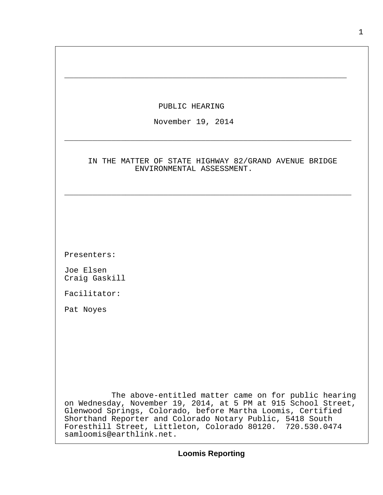| PUBLIC HEARING                                                                                                                                                                                                                                                                                                                               |
|----------------------------------------------------------------------------------------------------------------------------------------------------------------------------------------------------------------------------------------------------------------------------------------------------------------------------------------------|
| November 19, 2014                                                                                                                                                                                                                                                                                                                            |
| IN THE MATTER OF STATE HIGHWAY 82/GRAND AVENUE BRIDGE<br>ENVIRONMENTAL ASSESSMENT.                                                                                                                                                                                                                                                           |
|                                                                                                                                                                                                                                                                                                                                              |
|                                                                                                                                                                                                                                                                                                                                              |
| Presenters:                                                                                                                                                                                                                                                                                                                                  |
| Joe Elsen<br>Craig Gaskill                                                                                                                                                                                                                                                                                                                   |
| Facilitator:                                                                                                                                                                                                                                                                                                                                 |
| Pat Noyes                                                                                                                                                                                                                                                                                                                                    |
|                                                                                                                                                                                                                                                                                                                                              |
|                                                                                                                                                                                                                                                                                                                                              |
|                                                                                                                                                                                                                                                                                                                                              |
|                                                                                                                                                                                                                                                                                                                                              |
| The above-entitled matter came on for public hearing<br>on Wednesday, November 19, 2014, at 5 PM at 915 School Street,<br>Glenwood Springs, Colorado, before Martha Loomis, Certified<br>Shorthand Reporter and Colorado Notary Public, 5418 South<br>Foresthill Street, Littleton, Colorado 80120. 720.530.0474<br>samloomis@earthlink.net. |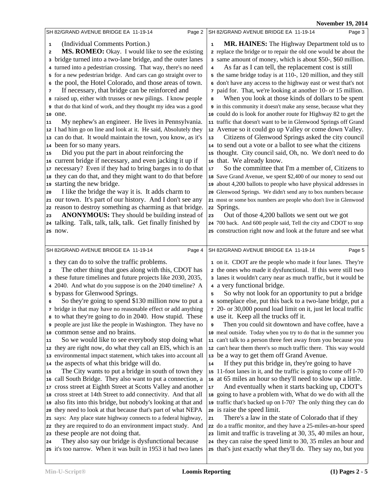**19, 2014** 

|                                                                      |                                                                                                                                                                                                                                                                                                                                                                                                                                                                                                                                                                                                                                                                                                                                                                                                                                                                                                                                                                                                                                                                                                                                                                                                                                                                                                                                                                                   |                                           | <b>November 19, 2014</b>                                                                                                                                                                                                                                                                                                                                                                                                                                                                                                                                                                                                                                                                                                                                                                                                                                                                                                                                                                                                                                                                                                                                                                                                                                                                                                                                                                                                                                        |
|----------------------------------------------------------------------|-----------------------------------------------------------------------------------------------------------------------------------------------------------------------------------------------------------------------------------------------------------------------------------------------------------------------------------------------------------------------------------------------------------------------------------------------------------------------------------------------------------------------------------------------------------------------------------------------------------------------------------------------------------------------------------------------------------------------------------------------------------------------------------------------------------------------------------------------------------------------------------------------------------------------------------------------------------------------------------------------------------------------------------------------------------------------------------------------------------------------------------------------------------------------------------------------------------------------------------------------------------------------------------------------------------------------------------------------------------------------------------|-------------------------------------------|-----------------------------------------------------------------------------------------------------------------------------------------------------------------------------------------------------------------------------------------------------------------------------------------------------------------------------------------------------------------------------------------------------------------------------------------------------------------------------------------------------------------------------------------------------------------------------------------------------------------------------------------------------------------------------------------------------------------------------------------------------------------------------------------------------------------------------------------------------------------------------------------------------------------------------------------------------------------------------------------------------------------------------------------------------------------------------------------------------------------------------------------------------------------------------------------------------------------------------------------------------------------------------------------------------------------------------------------------------------------------------------------------------------------------------------------------------------------|
|                                                                      | SH 82/GRAND AVENUE BRIDGE EA 11-19-14                                                                                                                                                                                                                                                                                                                                                                                                                                                                                                                                                                                                                                                                                                                                                                                                                                                                                                                                                                                                                                                                                                                                                                                                                                                                                                                                             | Page 2                                    | SH 82/GRAND AVENUE BRIDGE EA 11-19-14<br>Page 3                                                                                                                                                                                                                                                                                                                                                                                                                                                                                                                                                                                                                                                                                                                                                                                                                                                                                                                                                                                                                                                                                                                                                                                                                                                                                                                                                                                                                 |
| 1<br>2<br>3<br>6<br>7<br>10 one.<br>11<br>15<br>18<br>19<br>20<br>23 | (Individual Comments Portion.)<br>MS. ROMEO: Okay. I would like to see the existing<br>bridge turned into a two-lane bridge, and the outer lanes<br>4 turned into a pedestrian crossing. That way, there's no need<br>5 for a new pedestrian bridge. And cars can go straight over to<br>the pool, the Hotel Colorado, and those areas of town.<br>If necessary, that bridge can be reinforced and<br>a raised up, either with trusses or new pilings. I know people<br>that do that kind of work, and they thought my idea was a good<br>My nephew's an engineer. He lives in Pennsylvania.<br>12 I had him go on line and look at it. He said, Absolutely they<br>13 can do that. It would maintain the town, you know, as it's<br>14 been for so many years.<br>Did you put the part in about reinforcing the<br>16 current bridge if necessary, and even jacking it up if<br>17 necessary? Even if they had to bring barges in to do that<br>they can do that, and they might want to do that before<br>starting the new bridge.<br>I like the bridge the way it is. It adds charm to<br>21 our town. It's part of our history. And I don't see any<br>22 reason to destroy something as charming as that bridge.<br><b>ANONYMOUS:</b> They should be building instead of<br>24 talking. Talk, talk, talk, talk. Get finally finished by                                      | $\mathbf 1$<br>4<br>8<br>13<br>$17$<br>23 | MR. HAINES: The Highway Department told us to<br>2 replace the bridge or to repair the old one would be about the<br>3 same amount of money, which is about \$50-, \$60 million.<br>As far as I can tell, the replacement cost is still<br>5 the same bridge today is at 110-, 120 million, and they still<br>6 don't have any access to the highway east or west that's not<br>7 paid for. That, we're looking at another 10- or 15 million.<br>When you look at those kinds of dollars to be spent<br>in this community it doesn't make any sense, because what they<br>10 could do is look for another route for Highway 82 to get the<br>11 traffic that doesn't want to be in Glenwood Springs off Grand<br>12 Avenue so it could go up Valley or come down Valley.<br>Citizens of Glenwood Springs asked the city council<br>14 to send out a vote or a ballot to see what the citizens<br>15 thought. City council said, Oh, no. We don't need to do<br>16 that. We already know.<br>So the committee that I'm a member of, Citizens to<br>18 Save Grand Avenue, we spent \$2,400 of our money to send out<br>19 about 4,200 ballots to people who have physical addresses in<br>20 Glenwood Springs. We didn't send any to box numbers because<br>21 most or some box numbers are people who don't live in Glenwood<br>22 Springs.<br>Out of those 4,200 ballots we sent out we got<br>24 700 back. And 600 people said, Tell the city and CDOT to stop |
| 25 now.                                                              |                                                                                                                                                                                                                                                                                                                                                                                                                                                                                                                                                                                                                                                                                                                                                                                                                                                                                                                                                                                                                                                                                                                                                                                                                                                                                                                                                                                   |                                           | 25 construction right now and look at the future and see what                                                                                                                                                                                                                                                                                                                                                                                                                                                                                                                                                                                                                                                                                                                                                                                                                                                                                                                                                                                                                                                                                                                                                                                                                                                                                                                                                                                                   |
|                                                                      |                                                                                                                                                                                                                                                                                                                                                                                                                                                                                                                                                                                                                                                                                                                                                                                                                                                                                                                                                                                                                                                                                                                                                                                                                                                                                                                                                                                   |                                           |                                                                                                                                                                                                                                                                                                                                                                                                                                                                                                                                                                                                                                                                                                                                                                                                                                                                                                                                                                                                                                                                                                                                                                                                                                                                                                                                                                                                                                                                 |
| 2<br>6<br>11<br>15                                                   | SH 82/GRAND AVENUE BRIDGE EA 11-19-14<br>1 they can do to solve the traffic problems.<br>The other thing that goes along with this, CDOT has<br>3 these future timelines and future projects like 2030, 2035,<br>2040. And what do you suppose is on the 2040 timeline? A<br>5 bypass for Glenwood Springs.<br>So they're going to spend \$130 million now to put a<br>7 bridge in that may have no reasonable effect or add anything<br>a to what they're going to do in 2040. How stupid. These<br><b>9</b> people are just like the people in Washington. They have no<br>10 common sense and no brains.<br>So we would like to see everybody stop doing what<br>12 they are right now, do what they call an EIS, which is an<br>13 environmental impact statement, which takes into account all<br>14 the aspects of what this bridge will do.<br>The City wants to put a bridge in south of town they<br>16 call South Bridge. They also want to put a connection, a<br>17 cross street at Eighth Street at Scotts Valley and another<br>18 cross street at 14th Street to add connectivity. And that all<br>19 also fits into this bridge, but nobody's looking at that and<br>20 they need to look at that because that's part of what NEPA<br>21 says: Any place state highway connects to a federal highway,<br>they are required to do an environment impact study. And | Page 4<br>5<br>9<br>14<br>17<br>21        | SH 82/GRAND AVENUE BRIDGE EA 11-19-14<br>Page 5<br>1 on it. CDOT are the people who made it four lanes. They're<br>2 the ones who made it dysfunctional. If this were still two<br>3 lanes it wouldn't carry near as much traffic, but it would be<br>4 a very functional bridge.<br>So why not look for an opportunity to put a bridge<br>6 someplace else, put this back to a two-lane bridge, put a<br>7 20- or 30,000 pound load limit on it, just let local traffic<br>a use it. Keep all the trucks off it.<br>Then you could sit downtown and have coffee, have a<br>10 meal outside. Today when you try to do that in the summer you<br>11 can't talk to a person three feet away from you because you<br>12 can't hear them there's so much traffic there. This way would<br>13 be a way to get them off Grand Avenue.<br>If they put this bridge in, they're going to have<br>15 11-foot lanes in it, and the traffic is going to come off I-70<br>16 at 65 miles an hour so they'll need to slow up a little.<br>And eventually when it starts backing up, CDOT's<br>18 going to have a problem with, What do we do with all the<br>19 traffic that's backed up on I-70? The only thing they can do<br>20 is raise the speed limit.<br>There's a law in the state of Colorado that if they<br>22 do a traffic monitor, and they have a 25-miles-an-hour speed                                                                                        |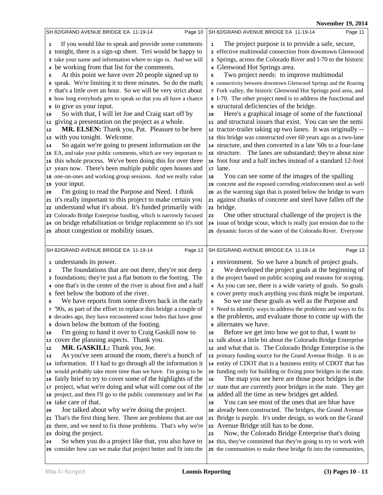**Nov. 10, 2014** 

|                                                                                                                                                                                                                                                                                                                                                                                                                                                                                                                                                                                                                                                                                                                                                                                                                                                                                                                                                                                                                                                                                                                                                                                                                                                                                                                                                                                                                                                                                                     | November 19, 2014                                                                                                                                                                                                                                                                                                                                                                                                                                                                                                                                                                                                                                                                                                                                                                                                                                                                                                                                                                                                                                                                                                                                                                                                                                                                                                                                                                                                                                                                                                    |
|-----------------------------------------------------------------------------------------------------------------------------------------------------------------------------------------------------------------------------------------------------------------------------------------------------------------------------------------------------------------------------------------------------------------------------------------------------------------------------------------------------------------------------------------------------------------------------------------------------------------------------------------------------------------------------------------------------------------------------------------------------------------------------------------------------------------------------------------------------------------------------------------------------------------------------------------------------------------------------------------------------------------------------------------------------------------------------------------------------------------------------------------------------------------------------------------------------------------------------------------------------------------------------------------------------------------------------------------------------------------------------------------------------------------------------------------------------------------------------------------------------|----------------------------------------------------------------------------------------------------------------------------------------------------------------------------------------------------------------------------------------------------------------------------------------------------------------------------------------------------------------------------------------------------------------------------------------------------------------------------------------------------------------------------------------------------------------------------------------------------------------------------------------------------------------------------------------------------------------------------------------------------------------------------------------------------------------------------------------------------------------------------------------------------------------------------------------------------------------------------------------------------------------------------------------------------------------------------------------------------------------------------------------------------------------------------------------------------------------------------------------------------------------------------------------------------------------------------------------------------------------------------------------------------------------------------------------------------------------------------------------------------------------------|
| SH 82/GRAND AVENUE BRIDGE EA  11-19-14<br>Page 10                                                                                                                                                                                                                                                                                                                                                                                                                                                                                                                                                                                                                                                                                                                                                                                                                                                                                                                                                                                                                                                                                                                                                                                                                                                                                                                                                                                                                                                   | SH 82/GRAND AVENUE BRIDGE EA 11-19-14<br>Page 11                                                                                                                                                                                                                                                                                                                                                                                                                                                                                                                                                                                                                                                                                                                                                                                                                                                                                                                                                                                                                                                                                                                                                                                                                                                                                                                                                                                                                                                                     |
| If you would like to speak and provide some comments<br>1<br>2 tonight, there is a sign-up sheet. Teri would be happy to<br>3 take your name and information where to sign in. And we will<br>be working from that list for the comments.<br>4<br>At this point we have over 20 people signed up to<br>5<br>6 speak. We're limiting it to three minutes. So do the math;<br>7 that's a little over an hour. So we will be very strict about<br>8 how long everybody gets to speak so that you all have a chance<br>to give us your input.<br>So with that, I will let Joe and Craig start off by<br>10<br>giving a presentation on the project as a whole.<br>11<br>MR. ELSEN: Thank you, Pat. Pleasure to be here<br>12<br>with you tonight. Welcome.<br>13<br>So again we're going to present information on the<br>14<br>15 EA, and take your public comments, which are very important to<br>this whole process. We've been doing this for over three<br>16<br>years now. There's been multiple public open houses and<br>17<br>18 one-on-ones and working group sessions. And we really value<br>your input.<br>19<br>I'm going to read the Purpose and Need. I think<br>20<br>it's really important to this project to make certain you<br>21<br>understand what it's about. It's funded primarily with<br>22<br>23 Colorado Bridge Enterprise funding, which is narrowly focused<br>24 on bridge rehabilitation or bridge replacement so it's not<br>25 about congestion or mobility issues. | The project purpose is to provide a safe, secure,<br>${\bf 1}$<br>2 effective multimodal connection from downtown Glenwood<br>3 Springs, across the Colorado River and I-70 to the historic<br>4 Glenwood Hot Springs area.<br>Two project needs: to improve multimodal<br>5<br>6 connectivity between downtown Glenwood Springs and the Roaring<br>7 Fork valley, the historic Glenwood Hot Springs pool area, and<br>8 I-70. The other project need is to address the functional and<br>structural deficiencies of the bridge.<br>Here's a graphical image of some of the functional<br>10<br>11 and structural issues that exist. You can see the semi<br>12 tractor-trailer taking up two lanes. It was originally --<br>13 this bridge was constructed over 60 years ago as a two-lane<br>14 structure, and then converted in a late '60s to a four-lane<br>15 structure. The lanes are substandard; they're about nine<br>16 foot four and a half inches instead of a standard 12-foot<br>17 lane.<br>You can see some of the images of the spalling<br>18<br>19 concrete and the exposed corroding reinforcement steel as well<br>20 as the warning sign that is posted below the bridge to warn<br>21 against chunks of concrete and steel have fallen off the<br>22 bridge.<br>One other structural challenge of the project is the<br>23<br>24 issue of bridge scour, which is really just erosion due to the<br>25 dynamic forces of the water of the Colorado River. Everyone                            |
|                                                                                                                                                                                                                                                                                                                                                                                                                                                                                                                                                                                                                                                                                                                                                                                                                                                                                                                                                                                                                                                                                                                                                                                                                                                                                                                                                                                                                                                                                                     |                                                                                                                                                                                                                                                                                                                                                                                                                                                                                                                                                                                                                                                                                                                                                                                                                                                                                                                                                                                                                                                                                                                                                                                                                                                                                                                                                                                                                                                                                                                      |
| SH 82/GRAND AVENUE BRIDGE EA 11-19-14<br>Page 12<br>1 understands its power.                                                                                                                                                                                                                                                                                                                                                                                                                                                                                                                                                                                                                                                                                                                                                                                                                                                                                                                                                                                                                                                                                                                                                                                                                                                                                                                                                                                                                        | SH 82/GRAND AVENUE BRIDGE EA 11-19-14<br>Page 13<br>1 environment. So we have a bunch of project goals.                                                                                                                                                                                                                                                                                                                                                                                                                                                                                                                                                                                                                                                                                                                                                                                                                                                                                                                                                                                                                                                                                                                                                                                                                                                                                                                                                                                                              |
| The foundations that are out there, they're not deep<br>2<br>a foundations; they're just a flat bottom to the footing. The<br>4 one that's in the center of the river is about five and a half<br>5 feet below the bottom of the river.<br>We have reports from some divers back in the early<br>6<br>7 '90s, as part of the effort to replace this bridge a couple of<br>8 decades ago, they have encountered scour holes that have gone<br>down below the bottom of the footing.<br>9<br>I'm going to hand it over to Craig Gaskill now to<br>10<br>cover the planning aspects. Thank you.<br>11<br>MR. GASKILL: Thank you, Joe.<br>12<br>As you've seen around the room, there's a bunch of<br>13<br>14 information. If I had to go through all the information it<br>15 would probably take more time than we have. I'm going to be<br>fairly brief to try to cover some of the highlights of the<br>16<br>project, what we're doing and what will come out of the<br>17<br>project, and then I'll go to the public commentary and let Pat<br>18<br>take care of that.<br>19<br>Joe talked about why we're doing the project.<br>20<br>That's the first thing here. There are problems that are out<br>21<br>there, and we need to fix those problems. That's why we're<br>22<br>doing the project.<br>23<br>So when you do a project like that, you also have to<br>24<br>25 consider how can we make that project better and fit into the                                                     | We developed the project goals at the beginning of<br>$\overline{\mathbf{2}}$<br>a the project based on public scoping and reasons for scoping.<br>4 As you can see, there is a wide variety of goals. So goals<br>5 cover pretty much anything you think might be important.<br>So we use these goals as well as the Purpose and<br>6<br>7 Need to identify ways to address the problems and ways to fix<br>s the problems, and evaluate those to come up with the<br>alternates we have.<br>Before we get into how we got to that, I want to<br>10<br>11 talk about a little bit about the Colorado Bridge Enterprise<br>12 and what that is. The Colorado Bridge Enterprise is the<br>13 primary funding source for the Grand Avenue Bridge. It is an<br>14 entity of CDOT that is a business entity of CDOT that has<br>15 funding only for building or fixing poor bridges in the state.<br>The map you see here are those poor bridges in the<br>16<br>17 state that are currently poor bridges in the state. They get<br>18 added all the time as new bridges get added.<br>You can see most of the ones that are blue have<br>19<br>20 already been constructed. The bridges, the Grand Avenue<br>21 Bridge is purple. It's under design, so work on the Grand<br>22 Avenue Bridge still has to be done.<br>Now, the Colorado Bridge Enterprise that's doing<br>23<br>24 this, they've committed that they're going to try to work with<br>25 the communities to make these bridge fit into the communities, |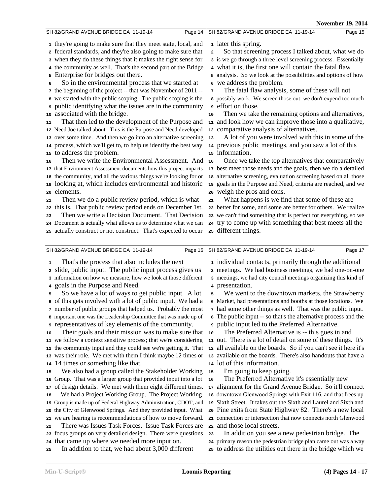**Nov. 10, 2014** 

|                                                                                                                                 | <b>November 19, 2014</b>                                                                                                        |
|---------------------------------------------------------------------------------------------------------------------------------|---------------------------------------------------------------------------------------------------------------------------------|
| SH 82/GRAND AVENUE BRIDGE EA 11-19-14<br>Page 14                                                                                | SH 82/GRAND AVENUE BRIDGE EA 11-19-14<br>Page 15                                                                                |
| 1 they're going to make sure that they meet state, local, and                                                                   | 1 later this spring.                                                                                                            |
| 2 federal standards, and they're also going to make sure that                                                                   | So that screening process I talked about, what we do<br>$\mathbf 2$                                                             |
| 3 when they do these things that it makes the right sense for                                                                   | 3 is we go through a three level screening process. Essentially                                                                 |
| 4 the community as well. That's the second part of the Bridge                                                                   | 4 what it is, the first one will contain the fatal flaw                                                                         |
|                                                                                                                                 |                                                                                                                                 |
| Enterprise for bridges out there.<br>5                                                                                          | 5 analysis. So we look at the possibilities and options of how                                                                  |
| So in the environmental process that we started at<br>6                                                                         | 6 we address the problem.                                                                                                       |
| 7 the beginning of the project -- that was November of 2011 --                                                                  | The fatal flaw analysis, some of these will not<br>7                                                                            |
| we started with the public scoping. The public scoping is the<br>8                                                              | 8 possibly work. We screen those out; we don't expend too much                                                                  |
| public identifying what the issues are in the community                                                                         | effort on those.                                                                                                                |
| 10 associated with the bridge.                                                                                                  | Then we take the remaining options and alternatives,<br>10                                                                      |
| That then led to the development of the Purpose and<br>11                                                                       | 11 and look how we can improve those into a qualitative,                                                                        |
| 12 Need Joe talked about. This is the Purpose and Need developed                                                                | 12 comparative analysis of alternatives.                                                                                        |
| 13 over some time. And then we go into an alternative screening                                                                 | A lot of you were involved with this in some of the<br>13                                                                       |
| 14 process, which we'll get to, to help us identify the best way                                                                | 14 previous public meetings, and you saw a lot of this                                                                          |
| 15 to address the problem.                                                                                                      | 15 information.                                                                                                                 |
| Then we write the Environmental Assessment. And<br>16                                                                           | Once we take the top alternatives that comparatively<br>16                                                                      |
| 17 that Environment Assessment documents how this project impacts                                                               | 17 best meet those needs and the goals, then we do a detailed                                                                   |
| 18 the community, and all the various things we're looking for or                                                               | 18 alternative screening, evaluation screening based on all those                                                               |
| a looking at, which includes environmental and historic                                                                         | 19 goals in the Purpose and Need, criteria are reached, and we                                                                  |
| 20 elements.                                                                                                                    | 20 weigh the pros and cons.                                                                                                     |
| Then we do a public review period, which is what<br>21                                                                          | What happens is we find that some of these are<br>21                                                                            |
| 22 this is. That public review period ends on December 1st.                                                                     | 22 better for some, and some are better for others. We realize                                                                  |
| Then we write a Decision Document. That Decision<br>23                                                                          | 23 we can't find something that is perfect for everything, so we                                                                |
| 24 Document is actually what allows us to determine what we can                                                                 | 24 try to come up with something that best meets all the                                                                        |
| 25 actually construct or not construct. That's expected to occur                                                                | 25 different things.                                                                                                            |
|                                                                                                                                 |                                                                                                                                 |
| SH 82/GRAND AVENUE BRIDGE EA 11-19-14<br>Page 16                                                                                | SH 82/GRAND AVENUE BRIDGE EA 11-19-14<br>Page 17                                                                                |
|                                                                                                                                 |                                                                                                                                 |
| That's the process that also includes the next<br>1                                                                             | 1 individual contacts, primarily through the additional                                                                         |
| 2 slide, public input. The public input process gives us                                                                        | a meetings. We had business meetings, we had one-on-one                                                                         |
| 3 information on how we measure, how we look at those different                                                                 | 3 meetings, we had city council meetings organizing this kind of                                                                |
| goals in the Purpose and Need.<br>$\overline{\mathbf{4}}$                                                                       |                                                                                                                                 |
|                                                                                                                                 | 4 presentation.                                                                                                                 |
| So we have a lot of ways to get public input. A lot<br>5                                                                        | We went to the downtown markets, the Strawberry<br>5                                                                            |
| 6 of this gets involved with a lot of public input. We had a                                                                    | 6 Market, had presentations and booths at those locations. We                                                                   |
|                                                                                                                                 | 7 had some other things as well. That was the public input.                                                                     |
| 7 number of public groups that helped us. Probably the most<br>8 important one was the Leadership Committee that was made up of | 8 The public input -- so that's the alternative process and the                                                                 |
| p representatives of key elements of the community.                                                                             |                                                                                                                                 |
| Their goals and their mission was to make sure that<br>10                                                                       | public input led to the Preferred Alternative.<br>10                                                                            |
|                                                                                                                                 | The Preferred Alternative is -- this goes in and                                                                                |
| 11 we follow a context sensitive process; that we're considering                                                                | 11 out. There is a lot of detail on some of these things. It's                                                                  |
| 12 the community input and they could see we're getting it. That                                                                | 12 all available on the boards. So if you can't see it here it's                                                                |
| 13 was their role. We met with them I think maybe 12 times or                                                                   | 13 available on the boards. There's also handouts that have a                                                                   |
| 14 14 times or something like that.                                                                                             | 14 lot of this information.                                                                                                     |
| We also had a group called the Stakeholder Working<br>15                                                                        | I'm going to keep going.<br>15<br>16                                                                                            |
| 16 Group. That was a larger group that provided input into a lot                                                                | The Preferred Alternative it's essentially new                                                                                  |
| of design details. We met with them eight different times.<br>17                                                                | 17 alignment for the Grand Avenue Bridge. So it'll connect                                                                      |
| We had a Project Working Group. The Project Working<br>18                                                                       | 18 downtown Glenwood Springs with Exit 116, and that frees up                                                                   |
| 19 Group is made up of Federal Highway Administration, CDOT, and                                                                | 19 Sixth Street. It takes out the Sixth and Laurel and Sixth and                                                                |
| 20 the City of Glenwood Springs. And they provided input. What                                                                  | 20 Pine exits from State Highway 82. There's a new local                                                                        |
| 21 we are hearing is recommendations of how to move forward.                                                                    | 21 connection or intersection that now connects north Glenwood                                                                  |
| There was Issues Task Forces. Issue Task Forces are<br>22                                                                       | 22 and those local streets.                                                                                                     |
| 23 focus groups on very detailed design. There were questions                                                                   | In addition you see a new pedestrian bridge. The<br>23                                                                          |
| that came up where we needed more input on.<br>24<br>In addition to that, we had about 3,000 different<br>25                    | 24 primary reason the pedestrian bridge plan came out was a way<br>25 to address the utilities out there in the bridge which we |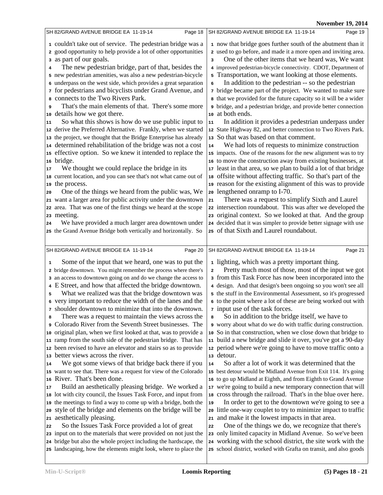|                                                                                                                                                                                                                                                                                                                                                                                                                                                                                                                                                                                                                                                                                                                                                                                                                                                                                                                                                                                                                                                                                                                                                                                                                                                                                                                                                                                                                                                                                                                      | NOVEMDET 19, ZU14                                                                                                                                                                                                                                                                                                                                                                                                                                                                                                                                                                                                                                                                                                                                                                                                                                                                                                                                                                                                                                                                                                                                                                                                                                                                                                                                                                                                                                                                                                                   |
|----------------------------------------------------------------------------------------------------------------------------------------------------------------------------------------------------------------------------------------------------------------------------------------------------------------------------------------------------------------------------------------------------------------------------------------------------------------------------------------------------------------------------------------------------------------------------------------------------------------------------------------------------------------------------------------------------------------------------------------------------------------------------------------------------------------------------------------------------------------------------------------------------------------------------------------------------------------------------------------------------------------------------------------------------------------------------------------------------------------------------------------------------------------------------------------------------------------------------------------------------------------------------------------------------------------------------------------------------------------------------------------------------------------------------------------------------------------------------------------------------------------------|-------------------------------------------------------------------------------------------------------------------------------------------------------------------------------------------------------------------------------------------------------------------------------------------------------------------------------------------------------------------------------------------------------------------------------------------------------------------------------------------------------------------------------------------------------------------------------------------------------------------------------------------------------------------------------------------------------------------------------------------------------------------------------------------------------------------------------------------------------------------------------------------------------------------------------------------------------------------------------------------------------------------------------------------------------------------------------------------------------------------------------------------------------------------------------------------------------------------------------------------------------------------------------------------------------------------------------------------------------------------------------------------------------------------------------------------------------------------------------------------------------------------------------------|
| SH 82/GRAND AVENUE BRIDGE EA 11-19-14<br>Page 18                                                                                                                                                                                                                                                                                                                                                                                                                                                                                                                                                                                                                                                                                                                                                                                                                                                                                                                                                                                                                                                                                                                                                                                                                                                                                                                                                                                                                                                                     | SH 82/GRAND AVENUE BRIDGE EA 11-19-14<br>Page 19                                                                                                                                                                                                                                                                                                                                                                                                                                                                                                                                                                                                                                                                                                                                                                                                                                                                                                                                                                                                                                                                                                                                                                                                                                                                                                                                                                                                                                                                                    |
| 1 couldn't take out of service. The pedestrian bridge was a<br>2 good opportunity to help provide a lot of other opportunities<br>as part of our goals.<br>3<br>The new pedestrian bridge, part of that, besides the<br>4<br>5 new pedestrian amenities, was also a new pedestrian-bicycle<br>6 underpass on the west side, which provides a great separation<br>for pedestrians and bicyclists under Grand Avenue, and<br>connects to the Two Rivers Park.<br>That's the main elements of that. There's some more<br>9<br>details how we got there.<br>10<br>So what this shows is how do we use public input to<br>11<br>12 derive the Preferred Alternative. Frankly, when we started<br>the project, we thought that the Bridge Enterprise has already<br>13<br>determined rehabilitation of the bridge was not a cost<br>14<br>effective option. So we knew it intended to replace the<br>15<br>bridge.<br>16<br>We thought we could replace the bridge in its<br>17<br>18 current location, and you can see that's not what came out of<br>19 the process.<br>One of the things we heard from the public was, We<br>20<br>want a larger area for public activity under the downtown<br>21<br>22 area. That was one of the first things we heard at the scope<br>23 meeting.<br>We have provided a much larger area downtown under<br>24<br>25 the Grand Avenue Bridge both vertically and horizontally. So                                                                                                     | 1 now that bridge goes further south of the abutment than it<br>2 used to go before, and made it a more open and inviting area.<br>One of the other items that we heard was, We want<br>3<br>4 improved pedestrian-bicycle connectivity. CDOT, Department of<br>5 Transportation, we want looking at those elements.<br>In addition to the pedestrian -- so the pedestrian<br>6<br>7 bridge became part of the project. We wanted to make sure<br>a that we provided for the future capacity so it will be a wider<br><sup>9</sup> bridge, and a pedestrian bridge, and provide better connection<br>10 at both ends.<br>In addition it provides a pedestrian underpass under<br>11<br>12 State Highway 82, and better connection to Two Rivers Park.<br>13 So that was based on that comment.<br>We had lots of requests to minimize construction<br>14<br>15 impacts. One of the reasons for the new alignment was to try<br>16 to move the construction away from existing businesses, at<br>17 least in that area, so we plan to build a lot of that bridge<br>18 offsite without affecting traffic. So that's part of the<br>19 reason for the existing alignment of this was to provide<br>20 lengthened onramp to I-70.<br>There was a request to simplify Sixth and Laurel<br>21<br>22 intersection roundabout. This was after we developed the<br>23 original context. So we looked at that. And the group<br>24 decided that it was simpler to provide better signage with use<br>25 of that Sixth and Laurel roundabout. |
|                                                                                                                                                                                                                                                                                                                                                                                                                                                                                                                                                                                                                                                                                                                                                                                                                                                                                                                                                                                                                                                                                                                                                                                                                                                                                                                                                                                                                                                                                                                      |                                                                                                                                                                                                                                                                                                                                                                                                                                                                                                                                                                                                                                                                                                                                                                                                                                                                                                                                                                                                                                                                                                                                                                                                                                                                                                                                                                                                                                                                                                                                     |
| SH 82/GRAND AVENUE BRIDGE EA 11-19-14<br>Page 20<br>Some of the input that we heard, one was to put the<br>1                                                                                                                                                                                                                                                                                                                                                                                                                                                                                                                                                                                                                                                                                                                                                                                                                                                                                                                                                                                                                                                                                                                                                                                                                                                                                                                                                                                                         | Page 21<br>SH 82/GRAND AVENUE BRIDGE EA 11-19-14<br>1 lighting, which was a pretty important thing.                                                                                                                                                                                                                                                                                                                                                                                                                                                                                                                                                                                                                                                                                                                                                                                                                                                                                                                                                                                                                                                                                                                                                                                                                                                                                                                                                                                                                                 |
| 2 bridge downtown. You might remember the process where there's<br>3 an access to downtown going on and do we change the access to<br>4 E Street, and how that affected the bridge downtown.<br>What we realized was that the bridge downtown was<br>5<br>6 very important to reduce the width of the lanes and the<br>7 shoulder downtown to minimize that into the downtown.<br>There was a request to maintain the views across the<br>8<br>Colorado River from the Seventh Street businesses. The<br>9<br>original plan, when we first looked at that, was to provide a<br>10<br>ramp from the south side of the pedestrian bridge. That has<br>11<br>been revised to have an elevator and stairs so as to provide<br>12<br>better views across the river.<br>13<br>We got some views of that bridge back there if you<br>14<br>15 want to see that. There was a request for view of the Colorado<br>16 River. That's been done.<br>Build an aesthetically pleasing bridge. We worked a<br>17<br>lot with city council, the Issues Task Force, and input from<br>18<br>the meetings to find a way to come up with a bridge, both the<br>19<br>style of the bridge and elements on the bridge will be<br>20<br>aesthetically pleasing.<br>21<br>So the Issues Task Force provided a lot of great<br>22<br>23 input on to the materials that were provided on not just the<br>24 bridge but also the whole project including the hardscape, the<br>25 landscaping, how the elements might look, where to place the | Pretty much most of those, most of the input we got<br>$\mathbf 2$<br>3 from this Task Force has now been incorporated into the<br>4 design. And that design's been ongoing so you won't see all<br>5 the stuff in the Environmental Assessment, so it's progressed<br>6 to the point where a lot of these are being worked out with<br><sup>7</sup> input use of the task forces.<br>So in addition to the bridge itself, we have to<br>8<br>o worry about what do we do with traffic during construction.<br>10 So in that construction, when we close down that bridge to<br>11 build a new bridge and slide it over, you've got a 90-day<br>12 period where we're going to have to move traffic onto a<br>13 detour.<br>So after a lot of work it was determined that the<br>14<br>15 best detour would be Midland Avenue from Exit 114. It's going<br>16 to go up Midland at Eighth, and from Eighth to Grand Avenue<br>17 we're going to build a new temporary connection that will<br>18 cross through the railroad. That's in the blue over here.<br>In order to get to the downtown we're going to see a<br>19<br>20 little one-way couplet to try to minimize impact to traffic<br>21 and make it the lowest impacts in that area.<br>One of the things we do, we recognize that there's<br>22<br>23 only limited capacity in Midland Avenue. So we've been<br>24 working with the school district, the site work with the<br>25 school district, worked with Grafta on transit, and also goods                           |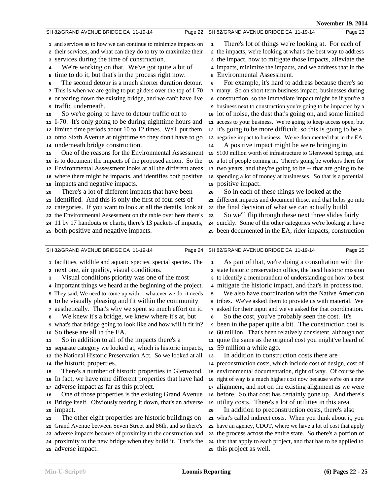| SH 82/GRAND AVENUE BRIDGE EA 11-19-14                                                                                                                                                                                                                                                                                                                                                                                                                                                                                                                                                                                                                                                                                                                                                                                                                                                                                                                                                                                                                                                                                                                                                                                                                                                                                                                                                                                                                                                                     | SH 82/GRAND AVENUE BRIDGE EA 11-19-14                                                                                                                                                                                                                                                                                                                                                                                                                                                                                                                                                                                                                                                                                                                                                                                                                                                                                                                                                                                                                                                                                                                                                                                                                                                                                                                                                                                                                                                                                                                                         |
|-----------------------------------------------------------------------------------------------------------------------------------------------------------------------------------------------------------------------------------------------------------------------------------------------------------------------------------------------------------------------------------------------------------------------------------------------------------------------------------------------------------------------------------------------------------------------------------------------------------------------------------------------------------------------------------------------------------------------------------------------------------------------------------------------------------------------------------------------------------------------------------------------------------------------------------------------------------------------------------------------------------------------------------------------------------------------------------------------------------------------------------------------------------------------------------------------------------------------------------------------------------------------------------------------------------------------------------------------------------------------------------------------------------------------------------------------------------------------------------------------------------|-------------------------------------------------------------------------------------------------------------------------------------------------------------------------------------------------------------------------------------------------------------------------------------------------------------------------------------------------------------------------------------------------------------------------------------------------------------------------------------------------------------------------------------------------------------------------------------------------------------------------------------------------------------------------------------------------------------------------------------------------------------------------------------------------------------------------------------------------------------------------------------------------------------------------------------------------------------------------------------------------------------------------------------------------------------------------------------------------------------------------------------------------------------------------------------------------------------------------------------------------------------------------------------------------------------------------------------------------------------------------------------------------------------------------------------------------------------------------------------------------------------------------------------------------------------------------------|
| Page 22                                                                                                                                                                                                                                                                                                                                                                                                                                                                                                                                                                                                                                                                                                                                                                                                                                                                                                                                                                                                                                                                                                                                                                                                                                                                                                                                                                                                                                                                                                   | Page 23                                                                                                                                                                                                                                                                                                                                                                                                                                                                                                                                                                                                                                                                                                                                                                                                                                                                                                                                                                                                                                                                                                                                                                                                                                                                                                                                                                                                                                                                                                                                                                       |
| 1 and services as to how we can continue to minimize impacts on<br>2 their services, and what can they do to try to maximize their<br>services during the time of construction.<br>3<br>We're working on that. We've got quite a bit of<br>4<br>time to do it, but that's in the process right now.<br>5<br>The second detour is a much shorter duration detour.<br>6<br>7 This is when we are going to put girders over the top of I-70<br>a or tearing down the existing bridge, and we can't have live<br>traffic underneath.<br>9<br>So we're going to have to detour traffic out to<br>10<br>11 I-70. It's only going to be during nighttime hours and<br>12 limited time periods about 10 to 12 times. We'll put them<br>13 onto Sixth Avenue at nighttime so they don't have to go<br>14 underneath bridge construction.<br>One of the reasons for the Environmental Assessment<br>15<br>16 is to document the impacts of the proposed action. So the<br>17 Environmental Assessment looks at all the different areas<br>18 where there might be impacts, and identifies both positive<br>19 impacts and negative impacts.<br>There's a lot of different impacts that have been<br>20<br>21 identified. And this is only the first of four sets of<br>22 categories. If you want to look at all the details, look at<br>23 the Environmental Assessment on the table over here there's<br>24 11 by 17 handouts or charts, there's 13 packets of impacts,<br>25 both positive and negative impacts. | There's lot of things we're looking at. For each of<br>$\mathbf 1$<br>2 the impacts, we're looking at what's the best way to address<br>a the impact, how to mitigate those impacts, alleviate the<br>4 impacts, minimize the impacts, and we address that in the<br>5 Environmental Assessment.<br>For example, it's hard to address because there's so<br>6<br>7 many. So on short term business impact, businesses during<br>a construction, so the immediate impact might be if you're a<br>business next to construction you're going to be impacted by a<br>10 lot of noise, the dust that's going on, and some limited<br>11 access to your business. We're going to keep access open, but<br>12 it's going to be more difficult, so this is going to be a<br>13 negative impact to business. We've documented that in the EA.<br>A positive impact might be we're bringing in<br>14<br>15 \$100 million worth of infrastructure to Glenwood Springs, and<br>16 a lot of people coming in. There's going be workers there for<br>17 two years, and they're going to be -- that are going to be<br>18 spending a lot of money at businesses. So that is a potential<br>19 positive impact.<br>So in each of these things we looked at the<br>20<br>21 different impacts and document those, and that helps go into<br>22 the final decision of what we can actually build.<br>So we'll flip through these next three slides fairly<br>23<br>24 quickly. Some of the other categories we're looking at have<br>25 been documented in the EA, rider impacts, construction |
| SH 82/GRAND AVENUE BRIDGE EA 11-19-14                                                                                                                                                                                                                                                                                                                                                                                                                                                                                                                                                                                                                                                                                                                                                                                                                                                                                                                                                                                                                                                                                                                                                                                                                                                                                                                                                                                                                                                                     | SH 82/GRAND AVENUE BRIDGE EA 11-19-14                                                                                                                                                                                                                                                                                                                                                                                                                                                                                                                                                                                                                                                                                                                                                                                                                                                                                                                                                                                                                                                                                                                                                                                                                                                                                                                                                                                                                                                                                                                                         |
| Page 24                                                                                                                                                                                                                                                                                                                                                                                                                                                                                                                                                                                                                                                                                                                                                                                                                                                                                                                                                                                                                                                                                                                                                                                                                                                                                                                                                                                                                                                                                                   | Page 25                                                                                                                                                                                                                                                                                                                                                                                                                                                                                                                                                                                                                                                                                                                                                                                                                                                                                                                                                                                                                                                                                                                                                                                                                                                                                                                                                                                                                                                                                                                                                                       |
| 1 facilities, wildlife and aquatic species, special species. The<br>2 next one, air quality, visual conditions.<br>Visual conditions priority was one of the most<br>3<br>4 important things we heard at the beginning of the project.<br>5 They said, We need to come up with -- whatever we do, it needs<br>6 to be visually pleasing and fit within the community<br>7 aesthetically. That's why we spent so much effort on it.<br>We knew it's a bridge, we knew where it's at, but<br>8<br>what's that bridge going to look like and how will it fit in?<br>So these are all in the EA.<br>10<br>So in addition to all of the impacts there's a<br>11<br>12 separate category we looked at, which is historic impacts,<br>13 the National Historic Preservation Act. So we looked at all<br>14 the historic properties.<br>There's a number of historic properties in Glenwood.<br>15<br>16 In fact, we have nine different properties that have had<br>17 adverse impact as far as this project.<br>One of those properties is the existing Grand Avenue<br>18<br>19 Bridge itself. Obviously tearing it down, that's an adverse<br>20 impact.<br>The other eight properties are historic buildings on<br>21<br>22 Grand Avenue between Seven Street and 86th, and so there's<br>23 adverse impacts because of proximity to the construction and<br>24 proximity to the new bridge when they build it. That's the<br>25 adverse impact.                                                             | As part of that, we're doing a consultation with the<br>1<br>2 state historic preservation office, the local historic mission<br>3 to identify a memorandum of understanding on how to best<br>4 mitigate the historic impact, and that's in process too.<br>We also have coordination with the Native American<br>5<br>6 tribes. We've asked them to provide us with material. We<br>7 asked for their input and we've asked for that coordination.<br>So the cost, you've probably seen the cost. It's<br>8<br>been in the paper quite a bit. The construction cost is<br>10 60 million. That's been relatively consistent, although not<br>11 quite the same as the original cost you might've heard of<br>12 59 million a while ago.<br>In addition to construction costs there are<br>13<br>14 preconstruction costs, which include cost of design, cost of<br>15 environmental documentation, right of way. Of course the<br>16 right of way is a much higher cost now because we're on a new<br>17 alignment, and not on the existing alignment as we were<br>18 before. So that cost has certainly gone up. And there's<br>19 utility costs. There's a lot of utilities in this area.<br>In addition to preconstruction costs, there's also<br>20<br>21 what's called indirect costs. When you think about it, you<br>22 have an agency, CDOT, where we have a lot of cost that apply<br>23 the process across the entire state. So there's a portion of<br>24 that that apply to each project, and that has to be applied to<br>25 this project as well.             |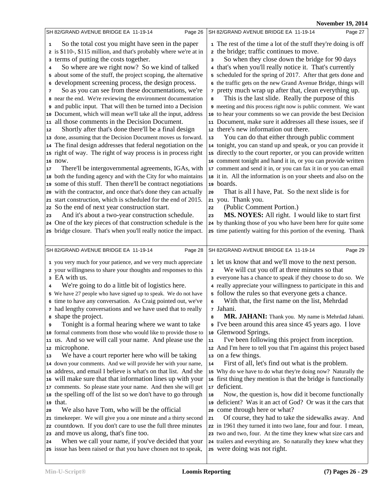|    | SH 82/GRAND AVENUE BRIDGE EA 11-19-14<br>Page 26                                                                      |                         | SH 82/GRAND AVENUE BRIDGE EA 11-19-14<br>Page 27                                                                                   |
|----|-----------------------------------------------------------------------------------------------------------------------|-------------------------|------------------------------------------------------------------------------------------------------------------------------------|
| 1  | So the total cost you might have seen in the paper                                                                    |                         | 1 The rest of the time a lot of the stuff they're doing is off                                                                     |
|    | 2 is \$110-, \$115 million, and that's probably where we're at in                                                     |                         | 2 the bridge; traffic continues to move.                                                                                           |
|    | 3 terms of putting the costs together.                                                                                | 3                       | So when they close down the bridge for 90 days                                                                                     |
| 4  | So where are we right now? So we kind of talked                                                                       |                         | 4 that's when you'll really notice it. That's currently                                                                            |
|    | 5 about some of the stuff, the project scoping, the alternative                                                       |                         | 5 scheduled for the spring of 2017. After that gets done and                                                                       |
| 6  | development screening process, the design process.                                                                    |                         | 6 the traffic gets on the new Grand Avenue Bridge, things will                                                                     |
| 7  | So as you can see from these documentations, we're                                                                    |                         | 7 pretty much wrap up after that, clean everything up.                                                                             |
|    | 8 near the end. We're reviewing the environment documentation                                                         | 8                       | This is the last slide. Really the purpose of this                                                                                 |
|    | and public input. That will then be turned into a Decision                                                            |                         | 9 meeting and this process right now is public comment. We want                                                                    |
|    | 10 Document, which will mean we'll take all the input, address                                                        |                         | 10 to hear your comments so we can provide the best Decision                                                                       |
|    | 11 all those comments in the Decision Document.                                                                       |                         | 11 Document, make sure it addresses all these issues, see if                                                                       |
| 12 | Shortly after that's done there'll be a final design                                                                  |                         | 12 there's new information out there.                                                                                              |
|    | 13 done, assuming that the Decision Document moves us forward.                                                        | 13                      | You can do that either through public comment                                                                                      |
|    | 14 The final design addresses that federal negotiation on the                                                         |                         | 14 tonight, you can stand up and speak, or you can provide it                                                                      |
|    | 15 right of way. The right of way process is in process right                                                         |                         | 15 directly to the court reporter, or you can provide written                                                                      |
|    | 16 now.                                                                                                               |                         | 16 comment tonight and hand it in, or you can provide written                                                                      |
| 17 | There'll be intergovernmental agreements, IGAs, with                                                                  |                         | 17 comment and send it in, or you can fax it in or you can email                                                                   |
|    | 18 both the funding agency and with the City for who maintains                                                        |                         | 18 it in. All the information is on your sheets and also on the                                                                    |
|    | 19 some of this stuff. Then there'll be contract negotiations                                                         |                         | 19 boards.                                                                                                                         |
| 20 | with the contractor, and once that's done they can actually                                                           | 20                      | That is all I have, Pat. So the next slide is for                                                                                  |
|    | 21 start construction, which is scheduled for the end of 2015.                                                        |                         | 21 you. Thank you.                                                                                                                 |
|    | 22 So the end of next year construction start.                                                                        | 22                      | (Public Comment Portion.)                                                                                                          |
| 23 | And it's about a two-year construction schedule.                                                                      | 23                      | MS. NOYES: All right. I would like to start first                                                                                  |
|    | 24 One of the key pieces of that construction schedule is the                                                         |                         | 24 by thanking those of you who have been here for quite some                                                                      |
|    | 25 bridge closure. That's when you'll really notice the impact.                                                       |                         | 25 time patiently waiting for this portion of the evening. Thank                                                                   |
|    |                                                                                                                       |                         |                                                                                                                                    |
|    |                                                                                                                       |                         |                                                                                                                                    |
|    | SH 82/GRAND AVENUE BRIDGE EA 11-19-14<br>Page 28                                                                      |                         | SH 82/GRAND AVENUE BRIDGE EA 11-19-14<br>Page 29                                                                                   |
|    | 1 you very much for your patience, and we very much appreciate                                                        |                         | 1 let us know that and we'll move to the next person.                                                                              |
|    | 2 your willingness to share your thoughts and responses to this                                                       | $\overline{\mathbf{2}}$ | We will cut you off at three minutes so that                                                                                       |
|    | 3 EA with us.                                                                                                         |                         | 3 everyone has a chance to speak if they choose to do so. We                                                                       |
| 4  | We're going to do a little bit of logistics here.                                                                     |                         | 4 really appreciate your willingness to participate in this and                                                                    |
|    | 5 We have 27 people who have signed up to speak. We do not have                                                       |                         | 5 follow the rules so that everyone gets a chance.                                                                                 |
|    | 6 time to have any conversation. As Craig pointed out, we've                                                          | 6                       | With that, the first name on the list, Mehrdad                                                                                     |
| 8  | 7 had lengthy conversations and we have used that to really                                                           | 8                       | 7 Jahani.                                                                                                                          |
| 9  | shape the project.                                                                                                    |                         | MR. JAHANI: Thank you. My name is Mehrdad Jahani.                                                                                  |
|    | Tonight is a formal hearing where we want to take<br>10 formal comments from those who would like to provide those to | 10                      | I've been around this area since 45 years ago. I love<br>Glenwood Springs.                                                         |
| 11 | us. And so we will call your name. And please use the                                                                 | ${\bf 11}$              | I've been following this project from inception.                                                                                   |
|    | 12 microphone.                                                                                                        |                         | 12 And I'm here to tell you that I'm against this project based                                                                    |
| 13 | We have a court reporter here who will be taking                                                                      |                         | 13 on a few things.                                                                                                                |
|    | 14 down your comments. And we will provide her with your name,                                                        | 14                      | First of all, let's find out what is the problem.                                                                                  |
|    | 15 address, and email I believe is what's on that list. And she                                                       |                         | 15 Why do we have to do what they're doing now? Naturally the                                                                      |
|    | 16 will make sure that that information lines up with your                                                            |                         | 16 first thing they mention is that the bridge is functionally                                                                     |
|    | 17 comments. So please state your name. And then she will get                                                         | 17                      | deficient.                                                                                                                         |
|    | 18 the spelling off of the list so we don't have to go through                                                        | 18                      | Now, the question is, how did it become functionally                                                                               |
|    | 19 that.                                                                                                              |                         | 19 deficient? Was it an act of God? Or was it the cars that                                                                        |
| 20 | We also have Tom, who will be the official                                                                            |                         | 20 come through here or what?                                                                                                      |
|    | 21 timekeeper. We will give you a one minute and a thirty second                                                      | 21                      | Of course, they had to take the sidewalks away. And                                                                                |
|    | 22 countdown. If you don't care to use the full three minutes                                                         |                         | 22 in 1961 they turned it into two lane, four and four. I mean,                                                                    |
| 24 | 23 and move us along, that's fine too.<br>When we call your name, if you've decided that your                         |                         | 23 two and two, four. At the time they knew what size cars and<br>24 trailers and everything are. So naturally they knew what they |
|    | 25 issue has been raised or that you have chosen not to speak,                                                        |                         | 25 were doing was not right.                                                                                                       |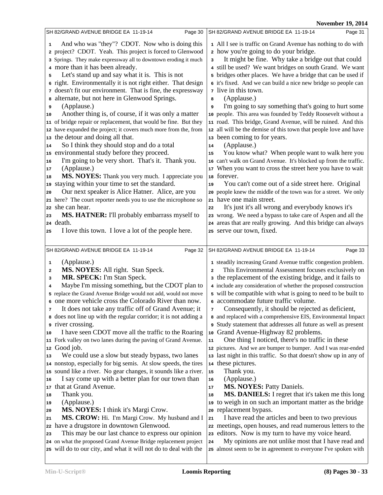|                                                                                                                                                                                                                                                                                                                                                         | November 19, 2014                                                                                                                                                                                                                                                                                                                                                                                                                |
|---------------------------------------------------------------------------------------------------------------------------------------------------------------------------------------------------------------------------------------------------------------------------------------------------------------------------------------------------------|----------------------------------------------------------------------------------------------------------------------------------------------------------------------------------------------------------------------------------------------------------------------------------------------------------------------------------------------------------------------------------------------------------------------------------|
| SH 82/GRAND AVENUE BRIDGE EA 11-19-14<br>Page 30                                                                                                                                                                                                                                                                                                        | SH 82/GRAND AVENUE BRIDGE EA 11-19-14<br>Page 31                                                                                                                                                                                                                                                                                                                                                                                 |
| And who was "they"? CDOT. Now who is doing this<br>1<br>2 project? CDOT. Yeah. This project is forced to Glenwood<br>3 Springs. They make expressway all to downtown eroding it much<br>4 more than it has been already.<br>Let's stand up and say what it is. This is not<br>5<br>6 right. Environmentally it is not right either. That design         | 1 All I see is traffic on Grand Avenue has nothing to do with<br>2 how you're going to do your bridge.<br>It might be fine. Why take a bridge out that could<br>3<br>4 still be used? We want bridges on south Grand. We want<br>5 bridges other places. We have a bridge that can be used if<br>6 it's fixed. And we can build a nice new bridge so people can                                                                  |
| 7 doesn't fit our environment. That is fine, the expressway<br>alternate, but not here in Glenwood Springs.<br>8                                                                                                                                                                                                                                        | <i>n</i> live in this town.<br>(Applause.)<br>8                                                                                                                                                                                                                                                                                                                                                                                  |
| (Applause.)<br>9<br>Another thing is, of course, if it was only a matter<br>10                                                                                                                                                                                                                                                                          | I'm going to say something that's going to hurt some<br>9<br>10 people. This area was founded by Teddy Roosevelt without a                                                                                                                                                                                                                                                                                                       |
| 11 of bridge repair or replacement, that would be fine. But they<br>12 have expanded the project; it covers much more from the, from                                                                                                                                                                                                                    | 11 road. This bridge, Grand Avenue, will be ruined. And this<br>12 all will be the demise of this town that people love and have                                                                                                                                                                                                                                                                                                 |
| the detour and doing all that.<br>13<br>So I think they should stop and do a total<br>14                                                                                                                                                                                                                                                                | 13 been coming to for years.<br>(Applause.)<br>14                                                                                                                                                                                                                                                                                                                                                                                |
| environmental study before they proceed.<br>15<br>I'm going to be very short. That's it. Thank you.<br>16<br>(Applause.)<br>17<br>MS. NOYES: Thank you very much. I appreciate you<br>18                                                                                                                                                                | You know what? When people want to walk here you<br>15<br>16 can't walk on Grand Avenue. It's blocked up from the traffic.<br>17 When you want to cross the street here you have to wait<br>18 forever.                                                                                                                                                                                                                          |
| staying within your time to set the standard.<br>19<br>Our next speaker is Alice Hatner. Alice, are you<br>20                                                                                                                                                                                                                                           | You can't come out of a side street here. Original<br>19<br>20 people knew the middle of the town was for a street. We only                                                                                                                                                                                                                                                                                                      |
| 21 here? The court reporter needs you to use the microphone so<br>she can hear.<br>22                                                                                                                                                                                                                                                                   | 21 have one main street.<br>It's just it's all wrong and everybody knows it's<br>22                                                                                                                                                                                                                                                                                                                                              |
| MS. HATNER: I'll probably embarrass myself to<br>23<br>24 death.                                                                                                                                                                                                                                                                                        | 23 wrong. We need a bypass to take care of Aspen and all the<br>24 areas that are really growing. And this bridge can always                                                                                                                                                                                                                                                                                                     |
| I love this town. I love a lot of the people here.<br>25                                                                                                                                                                                                                                                                                                | 25 serve our town, fixed.                                                                                                                                                                                                                                                                                                                                                                                                        |
|                                                                                                                                                                                                                                                                                                                                                         |                                                                                                                                                                                                                                                                                                                                                                                                                                  |
| Page 32<br>SH 82/GRAND AVENUE BRIDGE EA 11-19-14                                                                                                                                                                                                                                                                                                        | SH 82/GRAND AVENUE BRIDGE EA 11-19-14<br>Page 33                                                                                                                                                                                                                                                                                                                                                                                 |
| (Applause.)<br>1<br>MS. NOYES: All right. Stan Speck.<br>2<br><b>MR. SPECK:</b> I'm Stan Speck.<br>з<br>Maybe I'm missing something, but the CDOT plan to<br>4<br>5 replace the Grand Avenue Bridge would not add, would not move<br>6 one more vehicle cross the Colorado River than now.<br>It does not take any traffic off of Grand Avenue; it<br>7 | 1 steadily increasing Grand Avenue traffic congestion problem.<br>This Environmental Assessment focuses exclusively on<br>2<br>a the replacement of the existing bridge, and it fails to<br>4 include any consideration of whether the proposed construction<br>5 will be compatible with what is going to need to be built to<br>6 accommodate future traffic volume.<br>Consequently, it should be rejected as deficient,<br>7 |
| a does not line up with the regular corridor; it is not adding a<br><i>s</i> river crossing.<br>I have seen CDOT move all the traffic to the Roaring<br>10                                                                                                                                                                                              | 8 and replaced with a comprehensive EIS, Environmental Impact<br>Study statement that addresses all future as well as present<br>Grand Avenue-Highway 82 problems.<br>10                                                                                                                                                                                                                                                         |
| Fork valley on two lanes during the paving of Grand Avenue.<br>11<br>Good job.<br>12                                                                                                                                                                                                                                                                    | One thing I noticed, there's no traffic in these<br>11<br>12 pictures. And we are bumper to bumper. And I was rear-ended                                                                                                                                                                                                                                                                                                         |
| We could use a slow but steady bypass, two lanes<br>13<br>14 nonstop, especially for big semis. At slow speeds, the tires<br>15 sound like a river. No gear changes, it sounds like a river.<br>I say come up with a better plan for our town than<br>16<br>that at Grand Avenue.<br>17                                                                 | 13 last night in this traffic. So that doesn't show up in any of<br>14 these pictures.<br>Thank you.<br>15<br>(Applause.)<br>16<br>MS. NOYES: Patty Daniels.<br>17                                                                                                                                                                                                                                                               |
| Thank you.<br>18<br>(Applause.)<br>19<br>MS. NOYES: I think it's Margi Crow.<br>20                                                                                                                                                                                                                                                                      | <b>MS. DANIELS:</b> I regret that it's taken me this long<br>18<br>19 to weigh in on such an important matter as the bridge<br>20 replacement bypass.                                                                                                                                                                                                                                                                            |
| MS. CROW: Hi. I'm Margi Crow. My husband and I<br>21<br>22 have a drugstore in downtown Glenwood.<br>This may be our last chance to express our opinion<br>23                                                                                                                                                                                           | I have read the articles and been to two previous<br>21<br>22 meetings, open houses, and read numerous letters to the<br>23 editors. Now is my turn to have my voice heard.                                                                                                                                                                                                                                                      |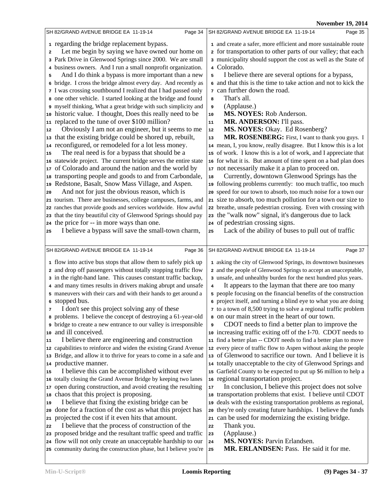**Nov. 10, 2014** 

|                                                                                                                                                                                                                                                                                                                                                                                                                                                                                                                                                                                                                                                                                                                                                                                                                                                                                                                                                                                                                                                                                                                                                                                                                                                                                                                                                                                                    | <b>November 19, 2014</b>                                                                                                                                                                                                                                                                                                                                                                                                                                                                                                                                                                                                                                                                                                                                                                                                                                                                                                                                                                                                                                                                                                                                                                                                                                                                                                                                                                                |
|----------------------------------------------------------------------------------------------------------------------------------------------------------------------------------------------------------------------------------------------------------------------------------------------------------------------------------------------------------------------------------------------------------------------------------------------------------------------------------------------------------------------------------------------------------------------------------------------------------------------------------------------------------------------------------------------------------------------------------------------------------------------------------------------------------------------------------------------------------------------------------------------------------------------------------------------------------------------------------------------------------------------------------------------------------------------------------------------------------------------------------------------------------------------------------------------------------------------------------------------------------------------------------------------------------------------------------------------------------------------------------------------------|---------------------------------------------------------------------------------------------------------------------------------------------------------------------------------------------------------------------------------------------------------------------------------------------------------------------------------------------------------------------------------------------------------------------------------------------------------------------------------------------------------------------------------------------------------------------------------------------------------------------------------------------------------------------------------------------------------------------------------------------------------------------------------------------------------------------------------------------------------------------------------------------------------------------------------------------------------------------------------------------------------------------------------------------------------------------------------------------------------------------------------------------------------------------------------------------------------------------------------------------------------------------------------------------------------------------------------------------------------------------------------------------------------|
| SH 82/GRAND AVENUE BRIDGE EA 11-19-14<br>Page 34                                                                                                                                                                                                                                                                                                                                                                                                                                                                                                                                                                                                                                                                                                                                                                                                                                                                                                                                                                                                                                                                                                                                                                                                                                                                                                                                                   | SH 82/GRAND AVENUE BRIDGE EA 11-19-14<br>Page 35                                                                                                                                                                                                                                                                                                                                                                                                                                                                                                                                                                                                                                                                                                                                                                                                                                                                                                                                                                                                                                                                                                                                                                                                                                                                                                                                                        |
| 1 regarding the bridge replacement bypass.<br>Let me begin by saying we have owned our home on<br>$\overline{\mathbf{2}}$<br>3 Park Drive in Glenwood Springs since 2000. We are small<br>4 business owners. And I run a small nonprofit organization.<br>And I do think a bypass is more important than a new<br>5<br>6 bridge. I cross the bridge almost every day. And recently as<br>7 I was crossing southbound I realized that I had passed only<br>8 one other vehicle. I started looking at the bridge and found<br>e myself thinking, What a great bridge with such simplicity and<br>10 historic value. I thought, Does this really need to be                                                                                                                                                                                                                                                                                                                                                                                                                                                                                                                                                                                                                                                                                                                                           | 1 and create a safer, more efficient and more sustainable route<br>2 for transportation to other parts of our valley; that each<br>3 municipality should support the cost as well as the State of<br>4 Colorado.<br>I believe there are several options for a bypass,<br>5<br>6 and that this is the time to take action and not to kick the<br>7 can further down the road.<br>That's all.<br>8<br>(Applause.)<br>9<br>MS. NOYES: Rob Anderson.<br>10                                                                                                                                                                                                                                                                                                                                                                                                                                                                                                                                                                                                                                                                                                                                                                                                                                                                                                                                                  |
| replaced to the tune of over \$100 million?<br>11                                                                                                                                                                                                                                                                                                                                                                                                                                                                                                                                                                                                                                                                                                                                                                                                                                                                                                                                                                                                                                                                                                                                                                                                                                                                                                                                                  | <b>MR. ANDERSON: I'll pass.</b><br>11                                                                                                                                                                                                                                                                                                                                                                                                                                                                                                                                                                                                                                                                                                                                                                                                                                                                                                                                                                                                                                                                                                                                                                                                                                                                                                                                                                   |
| Obviously I am not an engineer, but it seems to me<br>12                                                                                                                                                                                                                                                                                                                                                                                                                                                                                                                                                                                                                                                                                                                                                                                                                                                                                                                                                                                                                                                                                                                                                                                                                                                                                                                                           | MS. NOYES: Okay. Ed Rosenberg?<br>12                                                                                                                                                                                                                                                                                                                                                                                                                                                                                                                                                                                                                                                                                                                                                                                                                                                                                                                                                                                                                                                                                                                                                                                                                                                                                                                                                                    |
| that the existing bridge could be shored up, rebuilt,<br>13<br>reconfigured, or remodeled for a lot less money.<br>14<br>The real need is for a bypass that should be a<br>15<br>statewide project. The current bridge serves the entire state<br>16<br>of Colorado and around the nation and the world by<br>17<br>transporting people and goods to and from Carbondale,<br>18<br>Redstone, Basalt, Snow Mass Village, and Aspen.<br>19<br>And not for just the obvious reason, which is<br>20<br>21 tourism. There are businesses, college campuses, farms, and<br>22 ranches that provide goods and services worldwide. How awful                                                                                                                                                                                                                                                                                                                                                                                                                                                                                                                                                                                                                                                                                                                                                               | MR. ROSENBERG: First, I want to thank you guys. I<br>13<br>14 mean, I, you know, really disagree. But I know this is a lot<br>15 of work. I know this is a lot of work, and I appreciate that<br>16 for what it is. But amount of time spent on a bad plan does<br>17 not necessarily make it a plan to proceed on.<br>Currently, downtown Glenwood Springs has the<br>18<br>19 following problems currently: too much traffic, too much<br>20 speed for our town to absorb, too much noise for a town our<br>21 size to absorb, too much pollution for a town our size to<br>22 breathe, unsafe pedestrian crossing. Even with crossing with                                                                                                                                                                                                                                                                                                                                                                                                                                                                                                                                                                                                                                                                                                                                                           |
| that the tiny beautiful city of Glenwood Springs should pay<br>23                                                                                                                                                                                                                                                                                                                                                                                                                                                                                                                                                                                                                                                                                                                                                                                                                                                                                                                                                                                                                                                                                                                                                                                                                                                                                                                                  | 23 the "walk now" signal, it's dangerous due to lack                                                                                                                                                                                                                                                                                                                                                                                                                                                                                                                                                                                                                                                                                                                                                                                                                                                                                                                                                                                                                                                                                                                                                                                                                                                                                                                                                    |
| the price for -- in more ways than one.<br>24<br>I believe a bypass will save the small-town charm,<br>25                                                                                                                                                                                                                                                                                                                                                                                                                                                                                                                                                                                                                                                                                                                                                                                                                                                                                                                                                                                                                                                                                                                                                                                                                                                                                          | 24 of pedestrian crossing signs.<br>Lack of the ability of buses to pull out of traffic<br>25                                                                                                                                                                                                                                                                                                                                                                                                                                                                                                                                                                                                                                                                                                                                                                                                                                                                                                                                                                                                                                                                                                                                                                                                                                                                                                           |
| SH 82/GRAND AVENUE BRIDGE EA 11-19-14<br>Page 36                                                                                                                                                                                                                                                                                                                                                                                                                                                                                                                                                                                                                                                                                                                                                                                                                                                                                                                                                                                                                                                                                                                                                                                                                                                                                                                                                   | SH 82/GRAND AVENUE BRIDGE EA 11-19-14<br>Page 37                                                                                                                                                                                                                                                                                                                                                                                                                                                                                                                                                                                                                                                                                                                                                                                                                                                                                                                                                                                                                                                                                                                                                                                                                                                                                                                                                        |
| 1 flow into active bus stops that allow them to safely pick up<br>2 and drop off passengers without totally stopping traffic flow<br>3 in the right-hand lane. This causes constant traffic backup,<br>4 and many times results in drivers making abrupt and unsafe<br>5 maneuvers with their cars and with their hands to get around a<br>6 stopped bus.<br>I don't see this project solving any of these<br>$\bf 7$<br>a problems. I believe the concept of destroying a 61-year-old<br>• bridge to create a new entrance to our valley is irresponsible<br>and ill conceived.<br>10<br>I believe there are engineering and construction<br>11<br>capabilities to reinforce and widen the existing Grand Avenue<br>12<br>Bridge, and allow it to thrive for years to come in a safe and<br>13<br>productive manner.<br>14<br>I believe this can be accomplished without ever<br>15<br>totally closing the Grand Avenue Bridge by keeping two lanes<br>16<br>open during construction, and avoid creating the resulting<br>17<br>chaos that this project is proposing.<br>18<br>I believe that fixing the existing bridge can be<br>19<br>done for a fraction of the cost as what this project has<br>20<br>projected the cost if it even hits that amount.<br>21<br>I believe that the process of construction of the<br>22<br>proposed bridge and the resultant traffic speed and traffic<br>23 | 1 asking the city of Glenwood Springs, its downtown businesses<br>2 and the people of Glenwood Springs to accept an unacceptable,<br>3 unsafe, and unhealthy burden for the next hundred plus years.<br>It appears to the layman that there are too many<br>4<br>5 people focusing on the financial benefits of the construction<br>• project itself, and turning a blind eye to what you are doing<br>7 to a town of 8,500 trying to solve a regional traffic problem<br>a on our main street in the heart of our town.<br>CDOT needs to find a better plan to improve the<br>9<br>10 increasing traffic exiting off of the I-70. CDOT needs to<br>11 find a better plan -- CDOT needs to find a better plan to move<br>12 every piece of traffic flow to Aspen without asking the people<br>13 of Glenwood to sacrifice our town. And I believe it is<br>14 totally unacceptable to the city of Glenwood Springs and<br>15 Garfield County to be expected to put up \$6 million to help a<br>16 regional transportation project.<br>In conclusion, I believe this project does not solve<br>17<br>18 transportation problems that exist. I believe until CDOT<br>19 deals with the existing transportation problems as regional,<br>they're only creating future hardships. I believe the funds<br>20<br>21 can be used for modernizing the existing bridge.<br>Thank you.<br>22<br>(Applause.)<br>23 |
| flow will not only create an unacceptable hardship to our<br>24<br>25 community during the construction phase, but I believe you're                                                                                                                                                                                                                                                                                                                                                                                                                                                                                                                                                                                                                                                                                                                                                                                                                                                                                                                                                                                                                                                                                                                                                                                                                                                                | MS. NOYES: Parvin Erlandsen.<br>24<br>MR. ERLANDSEN: Pass. He said it for me.<br>25                                                                                                                                                                                                                                                                                                                                                                                                                                                                                                                                                                                                                                                                                                                                                                                                                                                                                                                                                                                                                                                                                                                                                                                                                                                                                                                     |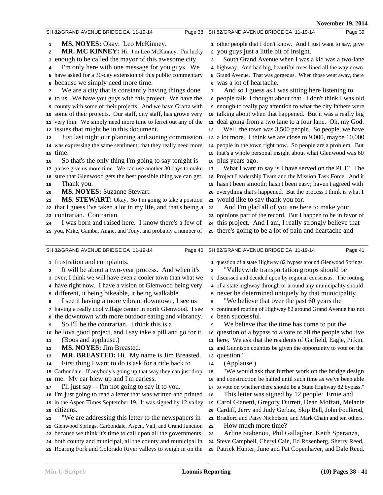**10, 2014** 

|                                                                  | <b>November 19, 2014</b>                                          |
|------------------------------------------------------------------|-------------------------------------------------------------------|
| SH 82/GRAND AVENUE BRIDGE EA 11-19-14<br>Page 38                 | SH 82/GRAND AVENUE BRIDGE EA 11-19-14<br>Page 39                  |
| MS. NOYES: Okay. Leo McKinney.<br>1                              | 1 other people that I don't know. And I just want to say, give    |
| MR. MC KINNEY: Hi. I'm Leo McKinney. I'm lucky<br>2              | 2 you guys just a little bit of insight.                          |
| a enough to be called the mayor of this awesome city.            | South Grand Avenue when I was a kid was a two-lane<br>3           |
| I'm only here with one message for you guys. We<br>4             | 4 highway. And had big, beautiful trees lined all the way down    |
| 5 have asked for a 30-day extension of this public commentary    | 5 Grand Avenue. That was gorgeous. When those went away, there    |
| 6 because we simply need more time.                              | 6 was a lot of heartache.                                         |
| We are a city that is constantly having things done<br>7         | And so I guess as I was sitting here listening to<br>7            |
| a to us. We have you guys with this project. We have the         | a people talk, I thought about that. I don't think I was old      |
| o county with some of their projects. And we have Grafta with    | enough to really pay attention to what the city fathers were      |
| 10 some of their projects. Our staff, city staff, has grown very | 10 talking about when that happened. But it was a really big      |
| 11 very thin. We simply need more time to ferret out any of the  | 11 deal going from a two lane to a four lane. Oh, my God.         |
| 12 issues that might be in this document.                        | Well, the town was 3,500 people. So people, we have<br>12         |
| Just last night our planning and zoning commission<br>13         | 13 a lot more. I think we are close to 9,000, maybe 10,000        |
| 14 was expressing the same sentiment; that they really need more | 14 people in the town right now. So people are a problem. But     |
| 15 time.                                                         | 15 that's a whole personal insight about what Glenwood was 60     |
| So that's the only thing I'm going to say tonight is<br>16       | 16 plus years ago.                                                |
| 17 please give us more time. We can use another 30 days to make  | What I want to say is I have served on the PLT? The<br>17         |
| 18 sure that Glenwood gets the best possible thing we can get.   | 18 Project Leadership Team and the Mission Task Force. And it     |
| Thank you.<br>19                                                 | 19 hasn't been smooth; hasn't been easy; haven't agreed with      |
| <b>MS. NOYES: Suzanne Stewart.</b><br>20                         | 20 everything that's happened. But the process I think is what I  |
| MS. STEWART: Okay. So I'm going to take a position<br>21         | 21 would like to say thank you for.                               |
| 22 that I guess I've taken a lot in my life, and that's being a  | And I'm glad all of you are here to make your<br>22               |
| 23 contrarian. Contrarian.                                       | 23 opinions part of the record. But I happen to be in favor of    |
| I was born and raised here. I know there's a few of<br>24        | 24 this project. And I am, I really strongly believe that         |
| 25 you, Mike, Gamba, Angie, and Tony, and probably a number of   | 25 there's going to be a lot of pain and heartache and            |
|                                                                  |                                                                   |
| Page 40<br>SH 82/GRAND AVENUE BRIDGE EA 11-19-14                 | SH 82/GRAND AVENUE BRIDGE EA 11-19-14<br>Page 41                  |
|                                                                  |                                                                   |
| 1 frustration and complaints.                                    | 1 question of a state Highway 82 bypass around Glenwood Springs.  |
| It will be about a two-year process. And when it's<br>2          | "Valleywide transportation groups should be<br>2                  |
| 3 over, I think we will have even a cooler town than what we     | 3 discussed and decided upon by regional consensus. The routing   |
| 4 have right now. I have a vision of Glenwood being very         | 4 of a state highway through or around any municipality should    |
| 5 different, it being bikeable, it being walkable.               | 5 never be determined uniquely by that municipality.              |
| I see it having a more vibrant downtown, I see us<br>6           | "We believe that over the past 60 years the<br>6                  |
| 7 having a really cool village center in north Glenwood. I see   | 7 continued routing of Highway 82 around Grand Avenue has not     |
| a the downtown with more outdoor eating and vibrancy.            | <sup>8</sup> been successful.                                     |
| So I'll be the contrarian. I think this is a<br>9                | We believe that the time has come to put the<br>9                 |
| 10 hellova good project, and I say take a pill and go for it.    | 10 question of a bypass to a vote of all the people who live      |
| (Boos and applause.)<br>11                                       | 11 here. We ask that the residents of Garfield, Eagle, Pitkin,    |
| MS. NOYES: Jim Breasted.<br>12                                   | 12 and Gunnison counties be given the opportunity to vote on the  |
| MR. BREASTED: Hi. My name is Jim Breasted.<br>13                 | 13 question."                                                     |
| First thing I want to do is ask for a ride back to<br>14         | (Applause.)<br>${\bf 14}$                                         |
| 15 Carbondale. If anybody's going up that way they can just drop | "We would ask that further work on the bridge design<br>15        |
| 16 me. My car blew up and I'm carless.                           | 16 and construction be halted until such time as we've been able  |
| I'll just say -- I'm not going to say it to you.<br>17           | 17 to vote on whether there should be a State Highway 82 bypass." |
| 18 I'm just going to read a letter that was written and printed  | This letter was signed by 12 people: Ernie and<br>18              |
| 19 in the Aspen Times September 19. It was signed by 12 valley   | 19 Carol Gianetti, Gregory Durrett, Dean Moffatt, Melanie         |
| 20 citizens.                                                     | 20 Cardiff, Jerry and Judy Gerbaz, Skip Bell, John Foulkrod,      |
| "We are addressing this letter to the newspapers in<br>21        | 21 Bradford and Patsy Nicholson, and Mark Chain and ten others.   |
| 22 Glenwood Springs, Carbondale, Aspen, Vail, and Grand Junction | How much more time?<br>22                                         |
| 23 because we think it's time to call upon all the governments,  | Arline Stabenou, Phil Gallagher, Keith Speranza,<br>23            |
| 24 both county and municipal, all the county and municipal in    | 24 Steve Campbell, Cheryl Cain, Ed Rosenberg, Sherry Reed,        |
|                                                                  |                                                                   |
| 25 Roaring Fork and Colorado River valleys to weigh in on the    | 25 Patrick Hunter, June and Pat Copenhaver, and Dale Reed.        |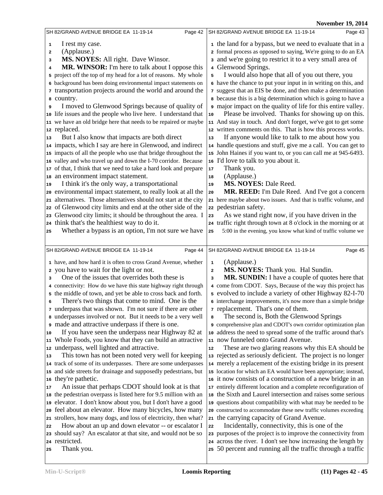|                                                                   | <b>November 19, 2014</b>                                          |
|-------------------------------------------------------------------|-------------------------------------------------------------------|
| SH 82/GRAND AVENUE BRIDGE EA 11-19-14                             | SH 82/GRAND AVENUE BRIDGE EA 11-19-14                             |
| Page 42                                                           | Page 43                                                           |
| I rest my case.                                                   | 1 the land for a bypass, but we need to evaluate that in a        |
| 1                                                                 | 2 formal process as opposed to saying, We're going to do an EA    |
| (Applause.)                                                       | a and we're going to restrict it to a very small area of          |
| 2                                                                 | 4 Glenwood Springs.                                               |
| MS. NOYES: All right. Dave Winsor.                                | I would also hope that all of you out there, you                  |
| з                                                                 | 5                                                                 |
| <b>MR. WINSOR:</b> I'm here to talk about I oppose this           | 6 have the chance to put your input in in writing on this, and    |
| 4                                                                 | 7 suggest that an EIS be done, and then make a determination      |
| 5 project off the top of my head for a lot of reasons. My whole   | a because this is a big determination which is going to have a    |
| 6 background has been doing environmental impact statements on    | o major impact on the quality of life for this entire valley.     |
| transportation projects around the world and around the           | Please be involved. Thanks for showing up on this.                |
| 7                                                                 | 10                                                                |
| <b>8</b> country.                                                 | 11 And stay in touch. And don't forget, we've got to get some     |
| I moved to Glenwood Springs because of quality of                 | 12 written comments on this. That is how this process works.      |
| 9                                                                 | If anyone would like to talk to me about how you                  |
| 10 life issues and the people who live here. I understand that    | 13                                                                |
| 11 we have an old bridge here that needs to be repaired or maybe  | 14 handle questions and stuff, give me a call. You can get to     |
| 12 replaced.                                                      | 15 John Haines if you want to, or you can call me at 945-6493.    |
| But I also know that impacts are both direct                      | 16 I'd love to talk to you about it.                              |
| 13                                                                | Thank you.                                                        |
| 14 impacts, which I say are here in Glenwood, and indirect        | 17                                                                |
| 15 impacts of all the people who use that bridge throughout the   | (Applause.)                                                       |
| 16 valley and who travel up and down the I-70 corridor. Because   | 18                                                                |
| 17 of that, I think that we need to take a hard look and prepare  | <b>MS. NOYES: Dale Reed.</b>                                      |
| 18 an environment impact statement.                               | 19                                                                |
| I think it's the only way, a transportational                     | MR. REED: I'm Dale Reed. And I've got a concern                   |
| 19                                                                | 20                                                                |
| 20 environmental impact statement, to really look at all the      | 21 here maybe about two issues. And that is traffic volume, and   |
| 21 alternatives. Those alternatives should not start at the city  | 22 pedestrian safety.                                             |
| 22 of Glenwood city limits and end at the other side of the       | As we stand right now, if you have driven in the                  |
| 23 Glenwood city limits; it should be throughout the area. I      | 23                                                                |
| 24 think that's the healthiest way to do it.                      | 24 traffic right through town at 8 o'clock in the morning or at   |
| Whether a bypass is an option, I'm not sure we have               | 5:00 in the evening, you know what kind of traffic volume we      |
| 25                                                                | 25                                                                |
| Page 44                                                           | Page 45                                                           |
| SH 82/GRAND AVENUE BRIDGE EA 11-19-14                             | SH 82/GRAND AVENUE BRIDGE EA 11-19-14                             |
| 1 have, and how hard it is often to cross Grand Avenue, whether   | (Applause.)                                                       |
| 2 you have to wait for the light or not.                          | $\mathbf{1}$                                                      |
| One of the issues that overrides both these is                    | MS. NOYES: Thank you. Hal Sundin.                                 |
| 3                                                                 | 2                                                                 |
| 4 connectivity: How do we have this state highway right through   | MR. SUNDIN: I have a couple of quotes here that                   |
| 5 the middle of town, and yet be able to cross back and forth.    | 3                                                                 |
| There's two things that come to mind. One is the                  | 4 come from CDOT. Says, Because of the way this project has       |
| 7 underpass that was shown. I'm not sure if there are other       | 5 evolved to include a variety of other Highway 82-I-70           |
| a underpasses involved or not. But it needs to be a very well     | 6 interchange improvements, it's now more than a simple bridge    |
| a made and attractive underpass if there is one.                  | 7 replacement. That's one of them.                                |
| If you have seen the underpass near Highway 82 at                 | The second is, Both the Glenwood Springs                          |
| 10                                                                | 8                                                                 |
| 11 Whole Foods, you know that they can build an attractive        | o comprehensive plan and CDOT's own corridor optimization plan    |
| 12 underpass, well lighted and attractive.                        | 10 address the need to spread some of the traffic around that's   |
| This town has not been noted very well for keeping                | 11 now funneled onto Grand Avenue.                                |
| 13                                                                | These are two glaring reasons why this EA should be               |
| 14 track of some of its underpasses. There are some underpasses   | 12                                                                |
| 15 and side streets for drainage and supposedly pedestrians, but  | 13 rejected as seriously deficient. The project is no longer      |
| 16 they're pathetic.                                              | 14 merely a replacement of the existing bridge in its present     |
| An issue that perhaps CDOT should look at is that                 | 15 location for which an EA would have been appropriate; instead, |
| 17                                                                | 16 it now consists of a construction of a new bridge in an        |
| 18 the pedestrian overpass is listed here for 9.5 million with an | 17 entirely different location and a complete reconfiguration of  |
| 19 elevator. I don't know about you, but I don't have a good      | 18 the Sixth and Laurel intersection and raises some serious      |
| 20 feel about an elevator. How many bicycles, how many            | 19 questions about compatibility with what may be needed to be    |
| 21 strollers, how many dogs, and loss of electricity, then what?  | 20 constructed to accommodate these new traffic volumes exceeding |
| How about an up and down elevator -- or escalator I               | 21 the carrying capacity of Grand Avenue.                         |
| 22                                                                | Incidentally, connectivity, this is one of the                    |
| 23 should say? An escalator at that site, and would not be so     | 22                                                                |
| 24 restricted.                                                    | 23 purposes of the project is to improve the connectivity from    |
| Thank you.                                                        | 24 across the river. I don't see how increasing the length by     |
| 25                                                                | 25 50 percent and running all the traffic through a traffic       |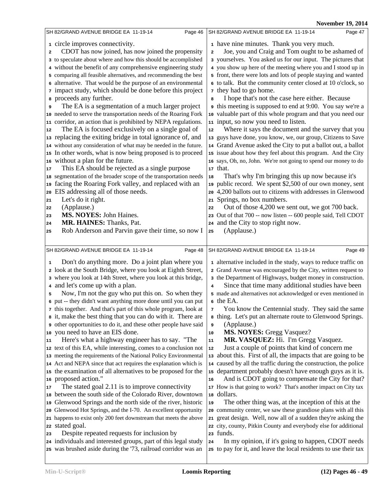|                                                                                                                                                                                                                                                                                                                                                                                                                                                                                                                                                                                                                                                                                                                                                                                                                                                                                                                                                                                                                                                                                                                                                                                                                                                                                                                                                                                                                                           | <b>November 19, 2014</b>                                                                                                                                                                                                                                                                                                                                                                                                                                                                                                                                                                                                                                                                                                                                                                                                                                                                                                                                                                                                                                                                                                                                                                                                                                                                                                                                                                        |
|-------------------------------------------------------------------------------------------------------------------------------------------------------------------------------------------------------------------------------------------------------------------------------------------------------------------------------------------------------------------------------------------------------------------------------------------------------------------------------------------------------------------------------------------------------------------------------------------------------------------------------------------------------------------------------------------------------------------------------------------------------------------------------------------------------------------------------------------------------------------------------------------------------------------------------------------------------------------------------------------------------------------------------------------------------------------------------------------------------------------------------------------------------------------------------------------------------------------------------------------------------------------------------------------------------------------------------------------------------------------------------------------------------------------------------------------|-------------------------------------------------------------------------------------------------------------------------------------------------------------------------------------------------------------------------------------------------------------------------------------------------------------------------------------------------------------------------------------------------------------------------------------------------------------------------------------------------------------------------------------------------------------------------------------------------------------------------------------------------------------------------------------------------------------------------------------------------------------------------------------------------------------------------------------------------------------------------------------------------------------------------------------------------------------------------------------------------------------------------------------------------------------------------------------------------------------------------------------------------------------------------------------------------------------------------------------------------------------------------------------------------------------------------------------------------------------------------------------------------|
| SH 82/GRAND AVENUE BRIDGE EA 11-19-14<br>Page 46                                                                                                                                                                                                                                                                                                                                                                                                                                                                                                                                                                                                                                                                                                                                                                                                                                                                                                                                                                                                                                                                                                                                                                                                                                                                                                                                                                                          | SH 82/GRAND AVENUE BRIDGE EA 11-19-14<br>Page 47                                                                                                                                                                                                                                                                                                                                                                                                                                                                                                                                                                                                                                                                                                                                                                                                                                                                                                                                                                                                                                                                                                                                                                                                                                                                                                                                                |
| 1 circle improves connectivity.<br>CDOT has now joined, has now joined the propensity<br>$\overline{\mathbf{2}}$<br>3 to speculate about where and how this should be accomplished<br>4 without the benefit of any comprehensive engineering study<br>5 comparing all feasible alternatives, and recommending the best<br>6 alternative. That would be the purpose of an environmental<br>7 impact study, which should be done before this project<br>a proceeds any further.<br>The EA is a segmentation of a much larger project<br>9<br>10 needed to serve the transportation needs of the Roaring Fork<br>11 corridor, an action that is prohibited by NEPA regulations.<br>The EA is focused exclusively on a single goal of<br>$12\,$<br>13 replacing the exiting bridge in total ignorance of, and<br>14 without any consideration of what may be needed in the future.<br>15 In other words, what is now being proposed is to proceed<br>16 without a plan for the future.<br>This EA should be rejected as a single purpose<br>17<br>18 segmentation of the broader scope of the transportation needs<br>19 facing the Roaring Fork valley, and replaced with an<br>EIS addressing all of those needs.<br>20<br>Let's do it right.<br>21<br>(Applause.)<br>22<br><b>MS. NOYES: John Haines.</b><br>23<br>MR. HAINES: Thanks, Pat.<br>24                                                                                          | 1 have nine minutes. Thank you very much.<br>Joe, you and Craig and Tom ought to be ashamed of<br>$\overline{\mathbf{2}}$<br>3 yourselves. You asked us for our input. The pictures that<br>4 you show up here of the meeting where you and I stood up in<br>5 front, there were lots and lots of people staying and wanted<br>6 to talk. But the community center closed at 10 o'clock, so<br><sup>7</sup> they had to go home.<br>I hope that's not the case here either. Because<br>8<br>this meeting is supposed to end at 9:00. You say we're a<br>10 valuable part of this whole program and that you need our<br>11 input, so now you need to listen.<br>Where it says the document and the survey that you<br>12<br>13 guys have done, you know, we, our group, Citizens to Save<br>14 Grand Avenue asked the City to put a ballot out, a ballot<br>15 issue about how they feel about this program. And the City<br>16 says, Oh, no, John. We're not going to spend our money to do<br>17 that.<br>That's why I'm bringing this up now because it's<br>18<br>19 public record. We spent \$2,500 of our own money, sent<br>20 4,200 ballots out to citizens with addresses in Glenwood<br>21 Springs, no box numbers.<br>Out of those 4,200 we sent out, we got 700 back.<br>22<br>23 Out of that 700 -- now listen -- 600 people said, Tell CDOT<br>24 and the City to stop right now. |
| Rob Anderson and Parvin gave their time, so now I<br>25                                                                                                                                                                                                                                                                                                                                                                                                                                                                                                                                                                                                                                                                                                                                                                                                                                                                                                                                                                                                                                                                                                                                                                                                                                                                                                                                                                                   | (Applause.)<br>25                                                                                                                                                                                                                                                                                                                                                                                                                                                                                                                                                                                                                                                                                                                                                                                                                                                                                                                                                                                                                                                                                                                                                                                                                                                                                                                                                                               |
| SH 82/GRAND AVENUE BRIDGE EA 11-19-14<br>Page 48                                                                                                                                                                                                                                                                                                                                                                                                                                                                                                                                                                                                                                                                                                                                                                                                                                                                                                                                                                                                                                                                                                                                                                                                                                                                                                                                                                                          | SH 82/GRAND AVENUE BRIDGE EA 11-19-14<br>Page 49                                                                                                                                                                                                                                                                                                                                                                                                                                                                                                                                                                                                                                                                                                                                                                                                                                                                                                                                                                                                                                                                                                                                                                                                                                                                                                                                                |
| Don't do anything more. Do a joint plan where you<br>1<br>2 look at the South Bridge, where you look at Eighth Street,<br>3 where you look at 14th Street, where you look at this bridge,<br>4 and let's come up with a plan.<br>Now, I'm not the guy who put this on. So when they<br>5<br>6 put -- they didn't want anything more done until you can put<br>7 this together. And that's part of this whole program, look at<br>a it, make the best thing that you can do with it. There are<br>other opportunities to do it, and these other people have said<br>10 you need to have an EIS done.<br>Here's what a highway engineer has to say. "The<br>11<br>12 text of this EA, while interesting, comes to a conclusion not<br>13 meeting the requirements of the National Policy Environmental<br>14 Act and NEPA since that act requires the explanation which is<br>15 the examination of all alternatives to be proposed for the<br>16 proposed action."<br>The stated goal 2.11 is to improve connectivity<br>17<br>18 between the south side of the Colorado River, downtown<br>19 Glenwood Springs and the north side of the river, historic<br>20 Glenwood Hot Springs, and the I-70. An excellent opportunity<br>21 happens to exist only 200 feet downstream that meets the above<br>22 stated goal.<br>Despite repeated requests for inclusion by<br>23<br>24 individuals and interested groups, part of this legal study | 1 alternative included in the study, ways to reduce traffic on<br>2 Grand Avenue was encouraged by the City, written request to<br>3 the Department of Highways, budget money in construction.<br>Since that time many additional studies have been<br>$\overline{\mathbf{4}}$<br>5 made and alternatives not acknowledged or even mentioned in<br>6 the EA.<br>You know the Centennial study. They said the same<br>7<br>a thing. Let's put an alternate route to Glenwood Springs.<br>(Applause.)<br>9<br><b>MS. NOYES:</b> Gregg Vasquez?<br>10<br>MR. VASQUEZ: Hi. I'm Gregg Vasquez.<br>$11\,$<br>Just a couple of points that kind of concern me<br>$12$<br>13 about this. First of all, the impacts that are going to be<br>14 caused by all the traffic during the construction, the police<br>15 department probably doesn't have enough guys as it is.<br>And is CDOT going to compensate the City for that?<br>16<br>17 How is that going to work? That's another impact on City tax<br>18 dollars.<br>The other thing was, at the inception of this at the<br>19<br>20 community center, we saw these grandiose plans with all this<br>21 great design. Well, now all of a sudden they're asking the<br>22 city, county, Pitkin County and everybody else for additional<br>23 funds.<br>In my opinion, if it's going to happen, CDOT needs<br>24                                   |
| 25 was brushed aside during the '73, railroad corridor was an                                                                                                                                                                                                                                                                                                                                                                                                                                                                                                                                                                                                                                                                                                                                                                                                                                                                                                                                                                                                                                                                                                                                                                                                                                                                                                                                                                             | 25 to pay for it, and leave the local residents to use their tax                                                                                                                                                                                                                                                                                                                                                                                                                                                                                                                                                                                                                                                                                                                                                                                                                                                                                                                                                                                                                                                                                                                                                                                                                                                                                                                                |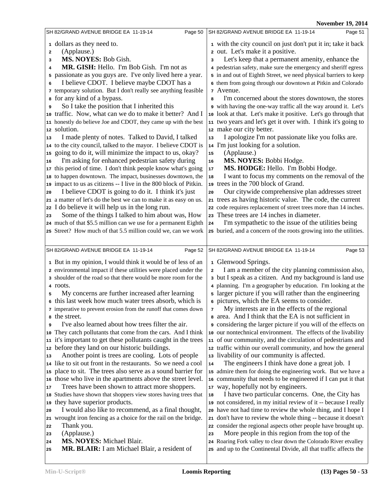|          | SH 82/GRAND AVENUE BRIDGE EA 11-19-14<br>Page 50                                                                                   | SH 82/GRAND AVENUE BRIDGE EA 11-19-14<br>Page 51                                                                                      |
|----------|------------------------------------------------------------------------------------------------------------------------------------|---------------------------------------------------------------------------------------------------------------------------------------|
|          | 1 dollars as they need to.                                                                                                         | 1 with the city council on just don't put it in; take it back                                                                         |
| 2        | (Applause.)                                                                                                                        | 2 out. Let's make it a positive.                                                                                                      |
| 3        | MS. NOYES: Bob Gish.                                                                                                               | Let's keep that a permanent amenity, enhance the<br>з                                                                                 |
| 4        | MR. GISH: Hello. I'm Bob Gish. I'm not as                                                                                          | 4 pedestrian safety, make sure the emergency and sheriff egress                                                                       |
|          | 5 passionate as you guys are. I've only lived here a year.                                                                         | 5 in and out of Eighth Street, we need physical barriers to keep                                                                      |
| 6        | I believe CDOT. I believe maybe CDOT has a                                                                                         | 6 them from going through our downtown at Pitkin and Colorado                                                                         |
|          | 7 temporary solution. But I don't really see anything feasible                                                                     | 7 Avenue.                                                                                                                             |
|          | <b>s</b> for any kind of a bypass.                                                                                                 | I'm concerned about the stores downtown, the stores<br>8                                                                              |
| 9        | So I take the position that I inherited this                                                                                       | o with having the one-way traffic all the way around it. Let's                                                                        |
|          | 10 traffic. Now, what can we do to make it better? And I                                                                           | 10 look at that. Let's make it positive. Let's go through that                                                                        |
|          | 11 honestly do believe Joe and CDOT, they came up with the best<br>12 solution.                                                    | 11 two years and let's get it over with. I think it's going to<br>12 make our city better.                                            |
| 13       | I made plenty of notes. Talked to David, I talked                                                                                  | I apologize I'm not passionate like you folks are.<br>13                                                                              |
|          | 14 to the city council, talked to the mayor. I believe CDOT is                                                                     | 14 I'm just looking for a solution.                                                                                                   |
|          | 15 going to do it, will minimize the impact to us, okay?                                                                           | (Applause.)<br>15                                                                                                                     |
| 16       | I'm asking for enhanced pedestrian safety during                                                                                   | MS. NOYES: Bobbi Hodge.<br>16                                                                                                         |
|          | 17 this period of time. I don't think people know what's going                                                                     | MS. HODGE: Hello. I'm Bobbi Hodge.<br>17                                                                                              |
|          | 18 to happen downtown. The impact, businesses downtown, the                                                                        | I want to focus my comments on the removal of the<br>18                                                                               |
|          | 19 impact to us as citizens -- I live in the 800 block of Pitkin.                                                                  | 19 trees in the 700 block of Grand.                                                                                                   |
| 20       | I believe CDOT is going to do it. I think it's just                                                                                | Our citywide comprehensive plan addresses street<br>20                                                                                |
|          | 21 a matter of let's do the best we can to make it as easy on us.                                                                  | 21 trees as having historic value. The code, the current                                                                              |
|          | 22 I do believe it will help us in the long run.                                                                                   | 22 code requires replacement of street trees more than 14 inches.                                                                     |
| 23       | Some of the things I talked to him about was, How                                                                                  | 23 These trees are 14 inches in diameter.                                                                                             |
|          | 24 much of that \$5.5 million can we use for a permanent Eighth<br>25 Street? How much of that 5.5 million could we, can we work   | I'm sympathetic to the issue of the utilities being<br>24<br>25 buried, and a concern of the roots growing into the utilities.        |
|          |                                                                                                                                    |                                                                                                                                       |
|          | SH 82/GRAND AVENUE BRIDGE EA 11-19-14<br>Page 52                                                                                   | Page 53<br>SH 82/GRAND AVENUE BRIDGE EA 11-19-14                                                                                      |
|          | 1 But in my opinion, I would think it would be of less of an                                                                       |                                                                                                                                       |
|          |                                                                                                                                    |                                                                                                                                       |
|          |                                                                                                                                    | 1 Glenwood Springs.<br>$\mathbf 2$                                                                                                    |
|          | 2 environmental impact if these utilities were placed under the<br>3 shoulder of the road so that there would be more room for the | I am a member of the city planning commission also,<br>3 but I speak as a citizen. And my background is land use                      |
|          | 4 roots.                                                                                                                           | 4 planning. I'm a geographer by education. I'm looking at the                                                                         |
| 5        | My concerns are further increased after learning                                                                                   | 5 larger picture if you will rather than the engineering                                                                              |
|          | 6 this last week how much water trees absorb, which is                                                                             | 6 pictures, which the EA seems to consider.                                                                                           |
|          | 7 imperative to prevent erosion from the runoff that comes down                                                                    | My interests are in the effects of the regional<br>7                                                                                  |
|          | a the street.                                                                                                                      | a area. And I think that the EA is not sufficient in                                                                                  |
| 9        | I've also learned about how trees filter the air.                                                                                  | o considering the larger picture if you will of the effects on                                                                        |
|          | 10 They catch pollutants that come from the cars. And I think                                                                      | 10 our nontechnical environment. The effects of the livability                                                                        |
|          | 11 it's important to get these pollutants caught in the trees                                                                      | 11 of our community, and the circulation of pedestrians and                                                                           |
|          | 12 before they land on our historic buildings.                                                                                     | 12 traffic within our overall community, and how the general                                                                          |
| 13       | Another point is trees are cooling. Lots of people                                                                                 | 13 livability of our community is affected.<br>14                                                                                     |
|          | 14 like to sit out front in the restaurants. So we need a cool<br>15 place to sit. The trees also serve as a sound barrier for     | The engineers I think have done a great job. I<br>15 admire them for doing the engineering work. But we have a                        |
|          | 16 those who live in the apartments above the street level.                                                                        | 16 community that needs to be engineered if I can put it that                                                                         |
| 17       | Trees have been shown to attract more shoppers.                                                                                    | 17 way, hopefully not by engineers.                                                                                                   |
|          | 18 Studies have shown that shoppers view stores having trees that                                                                  | I have two particular concerns. One, the City has<br>18                                                                               |
|          | 19 they have superior products.                                                                                                    | 19 not considered, in my initial review of it -- because I really                                                                     |
| 20       | I would also like to recommend, as a final thought,                                                                                | 20 have not had time to review the whole thing, and I hope I                                                                          |
|          | 21 wrought iron fencing as a choice for the rail on the bridge.                                                                    | 21 don't have to review the whole thing -- because it doesn't                                                                         |
| 22       | Thank you.                                                                                                                         | 22 consider the regional aspects other people have brought up.                                                                        |
| 23       | (Applause.)                                                                                                                        | More people in this region from the top of the<br>23                                                                                  |
| 24<br>25 | <b>MS. NOYES:</b> Michael Blair.<br>MR. BLAIR: I am Michael Blair, a resident of                                                   | 24 Roaring Fork valley to clear down the Colorado River etvalley<br>25 and up to the Continental Divide, all that traffic affects the |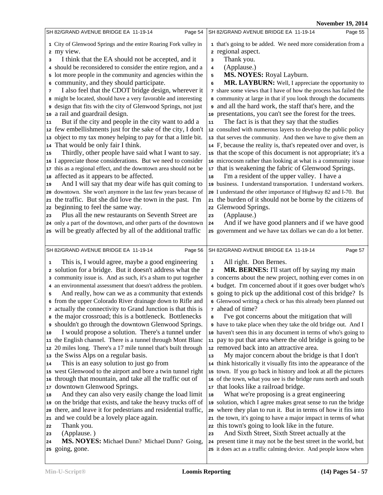|                                                                                                                                                                                                                                                                                                                                                                                                                                                                                                                                                                                                                                                                                                                                                                                                                                                                                                                                                                                                                                                                                                                                                                                                                                                                                                                                                                                                                                                                                                        | <b>November 19, 2014</b>                                                                                                                                                                                                                                                                                                                                                                                                                                                                                                                                                                                                                                                                                                                                                                                                                                                                                                                                                                                                                                                                                                                                                                                                                                                                                                                                                                                                                                                                                          |
|--------------------------------------------------------------------------------------------------------------------------------------------------------------------------------------------------------------------------------------------------------------------------------------------------------------------------------------------------------------------------------------------------------------------------------------------------------------------------------------------------------------------------------------------------------------------------------------------------------------------------------------------------------------------------------------------------------------------------------------------------------------------------------------------------------------------------------------------------------------------------------------------------------------------------------------------------------------------------------------------------------------------------------------------------------------------------------------------------------------------------------------------------------------------------------------------------------------------------------------------------------------------------------------------------------------------------------------------------------------------------------------------------------------------------------------------------------------------------------------------------------|-------------------------------------------------------------------------------------------------------------------------------------------------------------------------------------------------------------------------------------------------------------------------------------------------------------------------------------------------------------------------------------------------------------------------------------------------------------------------------------------------------------------------------------------------------------------------------------------------------------------------------------------------------------------------------------------------------------------------------------------------------------------------------------------------------------------------------------------------------------------------------------------------------------------------------------------------------------------------------------------------------------------------------------------------------------------------------------------------------------------------------------------------------------------------------------------------------------------------------------------------------------------------------------------------------------------------------------------------------------------------------------------------------------------------------------------------------------------------------------------------------------------|
| SH 82/GRAND AVENUE BRIDGE EA 11-19-14<br>Page 54                                                                                                                                                                                                                                                                                                                                                                                                                                                                                                                                                                                                                                                                                                                                                                                                                                                                                                                                                                                                                                                                                                                                                                                                                                                                                                                                                                                                                                                       | SH 82/GRAND AVENUE BRIDGE EA 11-19-14<br>Page 55                                                                                                                                                                                                                                                                                                                                                                                                                                                                                                                                                                                                                                                                                                                                                                                                                                                                                                                                                                                                                                                                                                                                                                                                                                                                                                                                                                                                                                                                  |
| 1 City of Glenwood Springs and the entire Roaring Fork valley in<br>2 my view.<br>I think that the EA should not be accepted, and it<br>3<br>4 should be reconsidered to consider the entire region, and a<br>5 lot more people in the community and agencies within the<br>6 community, and they should participate.<br>I also feel that the CDOT bridge design, wherever it<br>7<br>8 might be located, should have a very favorable and interesting<br>design that fits with the city of Glenwood Springs, not just<br>a rail and guardrail design.<br>10<br>But if the city and people in the city want to add a<br>11<br>12 few embellishments just for the sake of the city, I don't<br>object to my tax money helping to pay for that a little bit.<br>13<br>That would be only fair I think.<br>14<br>Thirdly, other people have said what I want to say.<br>15<br>16 I appreciate those considerations. But we need to consider<br>17 this as a regional effect, and the downtown area should not be<br>affected as it appears to be affected.<br>18<br>And I will say that my dear wife has quit coming to<br>19<br>20 downtown. She won't anymore in the last few years because of<br>the traffic. But she did love the town in the past. I'm<br>21<br>beginning to feel the same way.<br>22<br>Plus all the new restaurants on Seventh Street are<br>23<br>24 only a part of the downtown, and other parts of the downtown<br>25 will be greatly affected by all of the additional traffic | 1 that's going to be added. We need more consideration from a<br>2 regional aspect.<br>Thank you.<br>3<br>(Applause.)<br>$\overline{\mathbf{4}}$<br>MS. NOYES: Royal Layburn.<br>5<br>MR. LAYBURN: Well, I appreciate the opportunity to<br>6<br>7 share some views that I have of how the process has failed the<br>8 community at large in that if you look through the documents<br>and all the hard work, the staff that's here, and the<br>10 presentations, you can't see the forest for the trees.<br>The fact is is that they say that the studies<br>${\bf 11}$<br>12 consulted with numerous layers to develop the public policy<br>13 that serves the community. And then we have to give them an<br>14 F, because the reality is, that's repeated over and over, is<br>15 that the scope of this document is not appropriate; it's a<br>16 microcosm rather than looking at what is a community issue<br>17 that is weakening the fabric of Glenwood Springs.<br>I'm a resident of the upper valley. I have a<br>18<br>19 business. I understand transportation. I understand workers.<br>20 I understand the other importance of Highway 82 and I-70. But<br>21 the burden of it should not be borne by the citizens of<br>22 Glenwood Springs.<br>(Applause.)<br>23<br>And if we have good planners and if we have good<br>${\bf 24}$<br>25 government and we have tax dollars we can do a lot better.                                                                                              |
| SH 82/GRAND AVENUE BRIDGE EA 11-19-14<br>Page 56                                                                                                                                                                                                                                                                                                                                                                                                                                                                                                                                                                                                                                                                                                                                                                                                                                                                                                                                                                                                                                                                                                                                                                                                                                                                                                                                                                                                                                                       | Page 57<br>SH 82/GRAND AVENUE BRIDGE EA 11-19-14                                                                                                                                                                                                                                                                                                                                                                                                                                                                                                                                                                                                                                                                                                                                                                                                                                                                                                                                                                                                                                                                                                                                                                                                                                                                                                                                                                                                                                                                  |
| This is, I would agree, maybe a good engineering<br>$\mathbf 1$<br>a solution for a bridge. But it doesn't address what the<br>a community issue is. And as such, it's a sham to put together<br>4 an environmental assessment that doesn't address the problem.<br>And really, how can we as a community that extends<br>5<br>6 from the upper Colorado River drainage down to Rifle and<br>7 actually the connectivity to Grand Junction is that this is<br>a the major crossroad; this is a bottleneck. Bottlenecks<br>shouldn't go through the downtown Glenwood Springs.<br>I would propose a solution. There's a tunnel under<br>10<br>11 the English channel. There is a tunnel through Mont Blanc<br>12 20 miles long. There's a 17 mile tunnel that's built through<br>13 the Swiss Alps on a regular basis.<br>This is an easy solution to just go from<br>14<br>15 west Glenwood to the airport and bore a twin tunnel right<br>through that mountain, and take all the traffic out of<br>16<br>downtown Glenwood Springs.<br>17<br>And they can also very easily change the load limit<br>18<br>19 on the bridge that exists, and take the heavy trucks off of<br>20 there, and leave it for pedestrians and residential traffic,<br>and we could be a lovely place again.<br>21<br>Thank you.<br>22<br>(Applause.)<br>23<br>MS. NOYES: Michael Dunn? Michael Dunn? Going,<br>24<br>25 going, gone.                                                                                        | All right. Don Bernes.<br>$\mathbf{1}$<br>MR. BERNES: I'll start off by saying my main<br>2<br>a concerns about the new project, nothing ever comes in on<br>4 budget. I'm concerned about if it goes over budget who's<br>5 going to pick up the additional cost of this bridge? Is<br>6 Glenwood writing a check or has this already been planned out<br>7 ahead of time?<br>I've got concerns about the mitigation that will<br>8<br>I have to take place when they take the old bridge out. And I<br>10 haven't seen this in any document in terms of who's going to<br>11 pay to put that area where the old bridge is going to be<br>12 removed back into an attractive area.<br>My major concern about the bridge is that I don't<br>13<br>14 think historically it visually fits into the appearance of the<br>15 town. If you go back in history and look at all the pictures<br>16 of the town, what you see is the bridge runs north and south<br>17 that looks like a railroad bridge.<br>What we're proposing is a great engineering<br>18<br>19 solution, which I agree makes great sense to run the bridge<br>20 where they plan to run it. But in terms of how it fits into<br>21 the town, it's going to have a major impact in terms of what<br>22 this town's going to look like in the future.<br>And Sixth Street, Sixth Street actually at the<br>23<br>24 present time it may not be the best street in the world, but<br>25 it does act as a traffic calming device. And people know when |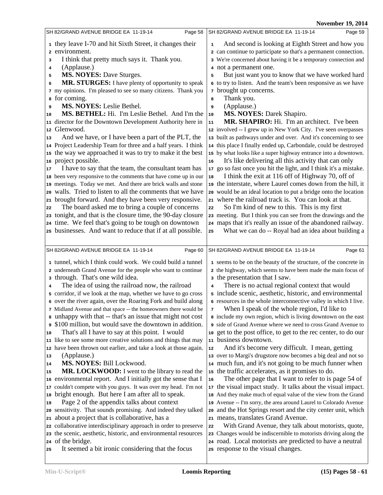|              |                                                                                                                                                                                                                                    | $1301$ CHIDCI $12,201$                                                                                                                                                                                                                                                                                                                              |
|--------------|------------------------------------------------------------------------------------------------------------------------------------------------------------------------------------------------------------------------------------|-----------------------------------------------------------------------------------------------------------------------------------------------------------------------------------------------------------------------------------------------------------------------------------------------------------------------------------------------------|
|              | SH 82/GRAND AVENUE BRIDGE EA 11-19-14<br>Page 58                                                                                                                                                                                   | SH 82/GRAND AVENUE BRIDGE EA 11-19-14<br>Page 59                                                                                                                                                                                                                                                                                                    |
| 3<br>4<br>5  | 1 they leave I-70 and hit Sixth Street, it changes their<br>2 environment.<br>I think that pretty much says it. Thank you.<br>(Applause.)<br><b>MS. NOYES: Dave Sturges.</b><br>MR. STURGES: I have plenty of opportunity to speak | And second is looking at Eighth Street and how you<br>1<br>2 can continue to participate so that's a permanent connection.<br>3 We're concerned about having it be a temporary connection and<br>4 not a permanent one.<br>But just want you to know that we have worked hard<br>5<br>6 to try to listen. And the team's been responsive as we have |
| 6<br>9<br>10 | 7 my opinions. I'm pleased to see so many citizens. Thank you<br>s for coming.<br>MS. NOYES: Leslie Bethel.<br>MS. BETHEL: Hi. I'm Leslie Bethel. And I'm the                                                                      | <sup>7</sup> brought up concerns.<br>Thank you.<br>8<br>(Applause.)<br>9<br><b>MS. NOYES: Darek Shapiro.</b><br>10                                                                                                                                                                                                                                  |
|              | 11 director for the Downtown Development Authority here in                                                                                                                                                                         | MR. SHAPIRO: Hi. I'm an architect. I've been<br>11                                                                                                                                                                                                                                                                                                  |
|              | 12 Glenwood.                                                                                                                                                                                                                       | 12 involved -- I grew up in New York City. I've seen overpasses                                                                                                                                                                                                                                                                                     |
| 13           | And we have, or I have been a part of the PLT, the                                                                                                                                                                                 | 13 built as pathways under and over. And it's concerning to see                                                                                                                                                                                                                                                                                     |
|              | 14 Project Leadership Team for three and a half years. I think                                                                                                                                                                     | 14 this place I finally ended up, Carbondale, could be destroyed                                                                                                                                                                                                                                                                                    |
|              | 15 the way we approached it was to try to make it the best                                                                                                                                                                         | 15 by what looks like a super highway entrance into a downtown.                                                                                                                                                                                                                                                                                     |
|              | 16 project possible.                                                                                                                                                                                                               | It's like delivering all this activity that can only<br>16                                                                                                                                                                                                                                                                                          |
| 17           | I have to say that the team, the consultant team has                                                                                                                                                                               | 17 go so fast once you hit the light, and I think it's a mistake.                                                                                                                                                                                                                                                                                   |
|              | 18 been very responsive to the comments that have come up in our                                                                                                                                                                   | I think the exit at 116 off of Highway 70, off of<br>18                                                                                                                                                                                                                                                                                             |
|              | 19 meetings. Today we met. And there are brick walls and stone                                                                                                                                                                     | 19 the interstate, where Laurel comes down from the hill, it                                                                                                                                                                                                                                                                                        |
| 20           | walls. Tried to listen to all the comments that we have                                                                                                                                                                            | 20 would be an ideal location to put a bridge onto the location                                                                                                                                                                                                                                                                                     |
|              | 21 brought forward. And they have been very responsive.                                                                                                                                                                            | 21 where the railroad track is. You can look at that.                                                                                                                                                                                                                                                                                               |
| 22           | The board asked me to bring a couple of concerns                                                                                                                                                                                   | So I'm kind of new to this. This is my first<br>22                                                                                                                                                                                                                                                                                                  |
|              | 23 tonight, and that is the closure time, the 90-day closure                                                                                                                                                                       | 23 meeting. But I think you can see from the drawings and the                                                                                                                                                                                                                                                                                       |
|              | 24 time. We feel that's going to be tough on downtown<br>25 businesses. And want to reduce that if at all possible.                                                                                                                | 24 maps that it's really an issue of the abandoned railway.<br>What we can do -- Royal had an idea about building a                                                                                                                                                                                                                                 |
|              |                                                                                                                                                                                                                                    | 25                                                                                                                                                                                                                                                                                                                                                  |
|              |                                                                                                                                                                                                                                    |                                                                                                                                                                                                                                                                                                                                                     |
|              | SH 82/GRAND AVENUE BRIDGE EA 11-19-14<br>Page 60                                                                                                                                                                                   | Page 61<br>SH 82/GRAND AVENUE BRIDGE EA 11-19-14                                                                                                                                                                                                                                                                                                    |
|              | 1 tunnel, which I think could work. We could build a tunnel                                                                                                                                                                        | 1 seems to be on the beauty of the structure, of the concrete in                                                                                                                                                                                                                                                                                    |
|              | 2 underneath Grand Avenue for the people who want to continue<br>3 through. That's one wild idea.                                                                                                                                  | 2 the highway, which seems to have been made the main focus of<br>a the presentation that I saw.                                                                                                                                                                                                                                                    |
| 4            | The idea of using the railroad now, the railroad                                                                                                                                                                                   | There is no actual regional context that would<br>4                                                                                                                                                                                                                                                                                                 |
|              | 5 corridor, if we look at the map, whether we have to go cross                                                                                                                                                                     | 5 include scenic, aesthetic, historic, and environmental                                                                                                                                                                                                                                                                                            |
|              | 6 over the river again, over the Roaring Fork and build along<br>7 Midland Avenue and that space -- the homeowners there would be                                                                                                  | 6 resources in the whole interconnective valley in which I live.<br>When I speak of the whole region, I'd like to<br>7                                                                                                                                                                                                                              |
|              | a unhappy with that -- that's an issue that might not cost                                                                                                                                                                         | 8 include my own region, which is living downtown on the east                                                                                                                                                                                                                                                                                       |
| 9            | \$100 million, but would save the downtown in addition.                                                                                                                                                                            | side of Grand Avenue where we need to cross Grand Avenue to                                                                                                                                                                                                                                                                                         |
| 10           | That's all I have to say at this point. I would                                                                                                                                                                                    | 10 get to the post office, to get to the rec center, to do our                                                                                                                                                                                                                                                                                      |
|              | 11 like to see some more creative solutions and things that may                                                                                                                                                                    | 11 business downtown.                                                                                                                                                                                                                                                                                                                               |
|              | 12 have been thrown out earlier, and take a look at those again.                                                                                                                                                                   | And it's become very difficult. I mean, getting<br>12                                                                                                                                                                                                                                                                                               |
| 13           | (Applause.)                                                                                                                                                                                                                        | 13 over to Margi's drugstore now becomes a big deal and not so                                                                                                                                                                                                                                                                                      |
| 14<br>15     | MS. NOYES: Bill Lockwood.                                                                                                                                                                                                          | 14 much fun, and it's not going to be much funner when                                                                                                                                                                                                                                                                                              |
|              | MR. LOCKWOOD: I went to the library to read the<br>16 environmental report. And I initially got the sense that I                                                                                                                   | 15 the traffic accelerates, as it promises to do.<br>The other page that I want to refer to is page 54 of<br>16                                                                                                                                                                                                                                     |
|              | 17 couldn't compete with you guys. It was over my head. I'm not                                                                                                                                                                    | 17 the visual impact study. It talks about the visual impact.                                                                                                                                                                                                                                                                                       |
|              | 18 bright enough. But here I am after all to speak.                                                                                                                                                                                | 18 And they make much of equal value of the view from the Grand                                                                                                                                                                                                                                                                                     |
| 19           | Page 2 of the appendix talks about context                                                                                                                                                                                         | 19 Avenue -- I'm sorry, the area around Laurel to Colorado Avenue                                                                                                                                                                                                                                                                                   |
|              | 20 sensitivity. That sounds promising. And indeed they talked                                                                                                                                                                      | 20 and the Hot Springs resort and the city center unit, which                                                                                                                                                                                                                                                                                       |
|              | 21 about a project that is collaborative, has a                                                                                                                                                                                    | 21 means, translates Grand Avenue.                                                                                                                                                                                                                                                                                                                  |
|              | 22 collaborative interdisciplinary approach in order to preserve                                                                                                                                                                   | With Grand Avenue, they talk about motorists, quote,<br>22                                                                                                                                                                                                                                                                                          |
|              | 23 the scenic, aesthetic, historic, and environmental resources                                                                                                                                                                    | 23 Changes would be indiscernible to motorists driving along the                                                                                                                                                                                                                                                                                    |
|              | 24 of the bridge.                                                                                                                                                                                                                  | 24 road. Local motorists are predicted to have a neutral                                                                                                                                                                                                                                                                                            |
| 25           | It seemed a bit ironic considering that the focus                                                                                                                                                                                  | 25 response to the visual changes.                                                                                                                                                                                                                                                                                                                  |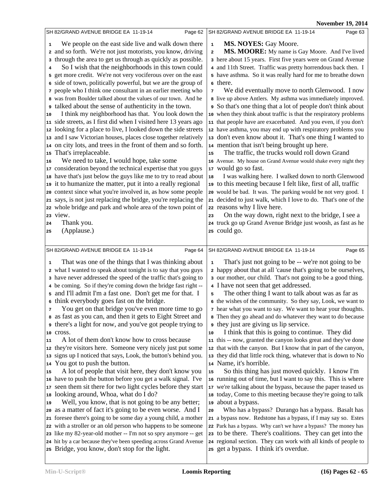|    |                                                                   |                | TOMCHINGI 17, 2014                                                                                                                |
|----|-------------------------------------------------------------------|----------------|-----------------------------------------------------------------------------------------------------------------------------------|
|    | SH 82/GRAND AVENUE BRIDGE EA 11-19-14<br>Page 62                  |                | SH 82/GRAND AVENUE BRIDGE EA 11-19-14<br>Page 63                                                                                  |
| 1  | We people on the east side live and walk down there               | $\mathbf{1}$   | MS. NOYES: Gay Moore.                                                                                                             |
|    | 2 and so forth. We're not just motorists, you know, driving       | $\mathbf 2$    | MS. MOORE: My name is Gay Moore. And I've lived                                                                                   |
|    | through the area to get us through as quickly as possible.        |                | 3 here about 15 years. First five years were on Grand Avenue                                                                      |
| 3  |                                                                   |                |                                                                                                                                   |
| 4  | So I wish that the neighborhoods in this town could               |                | 4 and 11th Street. Traffic was pretty horrendous back then. I                                                                     |
|    | 5 get more credit. We're not very vociferous over on the east     |                | 5 have asthma. So it was really hard for me to breathe down                                                                       |
|    | 6 side of town, politically powerful, but we are the group of     |                | 6 there.                                                                                                                          |
|    | 7 people who I think one consultant in an earlier meeting who     | $\overline{7}$ | We did eventually move to north Glenwood. I now                                                                                   |
|    | 8 was from Boulder talked about the values of our town. And he    |                | 8 live up above Antlers. My asthma was immediately improved.                                                                      |
|    | talked about the sense of authenticity in the town.               |                | So that's one thing that a lot of people don't think about                                                                        |
| 10 | I think my neighborhood has that. You look down the               |                | 10 when they think about traffic is that the respiratory problems                                                                 |
|    | 11 side streets, as I first did when I visited here 13 years ago  |                | 11 that people have are exacerbated. And you even, if you don't                                                                   |
| 12 | looking for a place to live, I looked down the side streets       |                | 12 have asthma, you may end up with respiratory problems you                                                                      |
|    | 13 and I saw Victorian houses, places close together relatively   |                | 13 don't even know about it. That's one thing I wanted to                                                                         |
|    | 14 on city lots, and trees in the front of them and so forth.     |                | 14 mention that isn't being brought up here.                                                                                      |
|    | 15 That's irreplaceable.                                          | 15             | The traffic, the trucks would roll down Grand                                                                                     |
| 16 | We need to take, I would hope, take some                          |                | 16 Avenue. My house on Grand Avenue would shake every night they                                                                  |
|    | 17 consideration beyond the technical expertise that you guys     |                | 17 would go so fast.                                                                                                              |
|    | 18 have that's just below the guys like me to try to read about   | 18             | I was walking here. I walked down to north Glenwood                                                                               |
| 19 | it to humanize the matter, put it into a really regional          |                | 19 to this meeting because I felt like, first of all, traffic                                                                     |
|    | 20 context since what you're involved in, as how some people      |                | 20 would be bad. It was. The parking would be not very good. I                                                                    |
|    | 21 says, is not just replacing the bridge, you're replacing the   |                | 21 decided to just walk, which I love to do. That's one of the                                                                    |
|    | 22 whole bridge and park and whole area of the town point of      |                | 22 reasons why I live here.                                                                                                       |
|    | 23 view.                                                          | 23             | On the way down, right next to the bridge, I see a                                                                                |
| 24 | Thank you.                                                        |                | 24 truck go up Grand Avenue Bridge just woosh, as fast as he                                                                      |
| 25 | (Applause.)                                                       |                | 25 could go.                                                                                                                      |
|    |                                                                   |                |                                                                                                                                   |
|    |                                                                   |                |                                                                                                                                   |
|    |                                                                   |                |                                                                                                                                   |
|    | SH 82/GRAND AVENUE BRIDGE EA 11-19-14<br>Page 64                  |                | SH 82/GRAND AVENUE BRIDGE EA 11-19-14<br>Page 65                                                                                  |
| 1  | That was one of the things that I was thinking about              | $\mathbf 1$    | That's just not going to be -- we're not going to be                                                                              |
|    | 2 what I wanted to speak about tonight is to say that you guys    |                | 2 happy about that at all 'cause that's going to be ourselves,                                                                    |
|    | a have never addressed the speed of the traffic that's going to   |                | 3 our mother, our child. That's not going to be a good thing.                                                                     |
|    | 4 be coming. So if they're coming down the bridge fast right --   |                | 4 I have not seen that get addressed.                                                                                             |
|    | 5 and I'll admit I'm a fast one. Don't get me for that. I         | 5              | The other thing I want to talk about was as far as                                                                                |
|    | 6 think everybody goes fast on the bridge.                        |                | 6 the wishes of the community. So they say, Look, we want to                                                                      |
| 7  | You get on that bridge you've even more time to go                |                | 7 hear what you want to say. We want to hear your thoughts.                                                                       |
|    | as fast as you can, and then it gets to Eight Street and          |                | 8 Then they go ahead and do whatever they want to do because                                                                      |
| 9  | there's a light for now, and you've got people trying to          |                | they just are giving us lip service.                                                                                              |
| 10 | cross.                                                            | 10             | I think that this is going to continue. They did                                                                                  |
| 11 | A lot of them don't know how to cross because                     |                | 11 this -- now, granted the canyon looks great and they've done                                                                   |
|    | 12 they're visitors here. Someone very nicely just put some       |                | 12 that with the canyon. But I know that in part of the canyon,                                                                   |
|    | 13 signs up I noticed that says, Look, the button's behind you.   |                | 13 they did that little rock thing, whatever that is down to No                                                                   |
|    | 14 You got to push the button.                                    |                | 14 Name, it's horrible.                                                                                                           |
| 15 | A lot of people that visit here, they don't know you              | 15             | So this thing has just moved quickly. I know I'm                                                                                  |
|    | 16 have to push the button before you get a walk signal. I've     |                | 16 running out of time, but I want to say this. This is where                                                                     |
|    | 17 seen them sit there for two light cycles before they start     |                | 17 we're talking about the bypass, because the paper teased us                                                                    |
|    | 18 looking around, Whoa, what do I do?                            |                | 18 today, Come to this meeting because they're going to talk                                                                      |
| 19 | Well, you know, that is not going to be any better;               |                | 19 about a bypass.                                                                                                                |
|    | 20 as a matter of fact it's going to be even worse. And I         | 20             | Who has a bypass? Durango has a bypass. Basalt has                                                                                |
|    | 21 foresee there's going to be some day a young child, a mother   |                |                                                                                                                                   |
|    | 22 with a stroller or an old person who happens to be someone     |                | 21 a bypass now. Redstone has a bypass, if I may say so. Estes<br>22 Park has a bypass. Why can't we have a bypass? The money has |
|    | 23 like my 82-year-old mother -- I'm not so spry anymore -- get   |                | 23 to be there. There's coalitions. They can get into the                                                                         |
|    | 24 hit by a car because they've been speeding across Grand Avenue |                | 24 regional section. They can work with all kinds of people to                                                                    |
|    | 25 Bridge, you know, don't stop for the light.                    |                | 25 get a bypass. I think it's overdue.                                                                                            |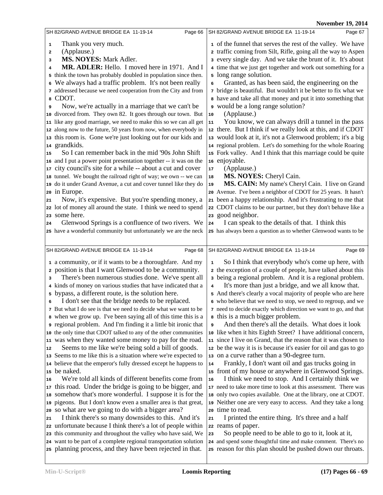| SH 82/GRAND AVENUE BRIDGE EA 11-19-14                                                                                                                                                                                                                                                                                                                                                                                                                                                                                                                                                                                                                                                                                                                                                                                                                                                                                                                                                                                                                                                                                                                                                                                                                                                                                                                 | SH 82/GRAND AVENUE BRIDGE EA 11-19-14                                                                                                                                                                                                                                                                                                                                                                                                                                                                                                                                                                                                                                                                                                                                                                                                                                                                                                                                                                                                                                                                                                                                                                                                                                                                                                                                  |
|-------------------------------------------------------------------------------------------------------------------------------------------------------------------------------------------------------------------------------------------------------------------------------------------------------------------------------------------------------------------------------------------------------------------------------------------------------------------------------------------------------------------------------------------------------------------------------------------------------------------------------------------------------------------------------------------------------------------------------------------------------------------------------------------------------------------------------------------------------------------------------------------------------------------------------------------------------------------------------------------------------------------------------------------------------------------------------------------------------------------------------------------------------------------------------------------------------------------------------------------------------------------------------------------------------------------------------------------------------|------------------------------------------------------------------------------------------------------------------------------------------------------------------------------------------------------------------------------------------------------------------------------------------------------------------------------------------------------------------------------------------------------------------------------------------------------------------------------------------------------------------------------------------------------------------------------------------------------------------------------------------------------------------------------------------------------------------------------------------------------------------------------------------------------------------------------------------------------------------------------------------------------------------------------------------------------------------------------------------------------------------------------------------------------------------------------------------------------------------------------------------------------------------------------------------------------------------------------------------------------------------------------------------------------------------------------------------------------------------------|
| Page 66                                                                                                                                                                                                                                                                                                                                                                                                                                                                                                                                                                                                                                                                                                                                                                                                                                                                                                                                                                                                                                                                                                                                                                                                                                                                                                                                               | Page 67                                                                                                                                                                                                                                                                                                                                                                                                                                                                                                                                                                                                                                                                                                                                                                                                                                                                                                                                                                                                                                                                                                                                                                                                                                                                                                                                                                |
| Thank you very much.<br>1<br>(Applause.)<br>2<br><b>MS. NOYES: Mark Adler.</b><br>3<br>MR. ADLER: Hello. I moved here in 1971. And I<br>4<br>5 think the town has probably doubled in population since then.<br>We always had a traffic problem. It's not been really<br>6<br>7 addressed because we need cooperation from the City and from<br>CDOT.<br>8<br>Now, we're actually in a marriage that we can't be<br>9<br>10 divorced from. They own 82. It goes through our town. But<br>11 like any good marriage, we need to make this so we can all get<br>12 along now to the future, 50 years from now, when everybody in<br>13 this room is. Gone we're just looking out for our kids and<br>14 grandkids.<br>So I can remember back in the mid '90s John Shift<br>15<br>16 and I put a power point presentation together -- it was on the<br>17 city council's site for a while -- about a cut and cover<br>18 tunnel. We bought the railroad right of way; we own -- we can<br>19 do it under Grand Avenue, a cut and cover tunnel like they do<br>20 in Europe.<br>Now, it's expensive. But you're spending money, a<br>21<br>22 lot of money all around the state. I think we need to spend<br>23 some here.<br>Glenwood Springs is a confluence of two rivers. We<br>24<br>25 have a wonderful community but unfortunately we are the neck | 1 of the funnel that serves the rest of the valley. We have<br>2 traffic coming from Silt, Rifle, going all the way to Aspen<br>3 every single day. And we take the brunt of it. It's about<br>4 time that we just get together and work out something for a<br>5 long range solution.<br>Granted, as has been said, the engineering on the<br>6<br>7 bridge is beautiful. But wouldn't it be better to fix what we<br>a have and take all that money and put it into something that<br>• would be a long range solution?<br>(Applause.)<br>10<br>You know, we can always drill a tunnel in the pass<br>11<br>12 there. But I think if we really look at this, and if CDOT<br>13 would look at it, it's not a Glenwood problem; it's a big<br>14 regional problem. Let's do something for the whole Roaring<br>15 Fork valley. And I think that this marriage could be quite<br>16 enjoyable.<br>(Applause.)<br>17<br>MS. NOYES: Cheryl Cain.<br>18<br>MS. CAIN: My name's Cheryl Cain. I live on Grand<br>19<br>20 Avenue. I've been a neighbor of CDOT for 25 years. It hasn't<br>21 been a happy relationship. And it's frustrating to me that<br>22 CDOT claims to be our partner, but they don't behave like a<br>23 good neighbor.<br>I can speak to the details of that. I think this<br>24<br>25 has always been a question as to whether Glenwood wants to be |
|                                                                                                                                                                                                                                                                                                                                                                                                                                                                                                                                                                                                                                                                                                                                                                                                                                                                                                                                                                                                                                                                                                                                                                                                                                                                                                                                                       |                                                                                                                                                                                                                                                                                                                                                                                                                                                                                                                                                                                                                                                                                                                                                                                                                                                                                                                                                                                                                                                                                                                                                                                                                                                                                                                                                                        |
| SH 82/GRAND AVENUE BRIDGE EA 11-19-14                                                                                                                                                                                                                                                                                                                                                                                                                                                                                                                                                                                                                                                                                                                                                                                                                                                                                                                                                                                                                                                                                                                                                                                                                                                                                                                 | Page 69                                                                                                                                                                                                                                                                                                                                                                                                                                                                                                                                                                                                                                                                                                                                                                                                                                                                                                                                                                                                                                                                                                                                                                                                                                                                                                                                                                |
| Page 68                                                                                                                                                                                                                                                                                                                                                                                                                                                                                                                                                                                                                                                                                                                                                                                                                                                                                                                                                                                                                                                                                                                                                                                                                                                                                                                                               | SH 82/GRAND AVENUE BRIDGE EA 11-19-14                                                                                                                                                                                                                                                                                                                                                                                                                                                                                                                                                                                                                                                                                                                                                                                                                                                                                                                                                                                                                                                                                                                                                                                                                                                                                                                                  |
| 1 a community, or if it wants to be a thoroughfare. And my                                                                                                                                                                                                                                                                                                                                                                                                                                                                                                                                                                                                                                                                                                                                                                                                                                                                                                                                                                                                                                                                                                                                                                                                                                                                                            | So I think that everybody who's come up here, with                                                                                                                                                                                                                                                                                                                                                                                                                                                                                                                                                                                                                                                                                                                                                                                                                                                                                                                                                                                                                                                                                                                                                                                                                                                                                                                     |
| 2 position is that I want Glenwood to be a community.                                                                                                                                                                                                                                                                                                                                                                                                                                                                                                                                                                                                                                                                                                                                                                                                                                                                                                                                                                                                                                                                                                                                                                                                                                                                                                 | ${\bf 1}$                                                                                                                                                                                                                                                                                                                                                                                                                                                                                                                                                                                                                                                                                                                                                                                                                                                                                                                                                                                                                                                                                                                                                                                                                                                                                                                                                              |
| There's been numerous studies done. We've spent all                                                                                                                                                                                                                                                                                                                                                                                                                                                                                                                                                                                                                                                                                                                                                                                                                                                                                                                                                                                                                                                                                                                                                                                                                                                                                                   | 2 the exception of a couple of people, have talked about this                                                                                                                                                                                                                                                                                                                                                                                                                                                                                                                                                                                                                                                                                                                                                                                                                                                                                                                                                                                                                                                                                                                                                                                                                                                                                                          |
| 3                                                                                                                                                                                                                                                                                                                                                                                                                                                                                                                                                                                                                                                                                                                                                                                                                                                                                                                                                                                                                                                                                                                                                                                                                                                                                                                                                     | a being a regional problem. And it is a regional problem.                                                                                                                                                                                                                                                                                                                                                                                                                                                                                                                                                                                                                                                                                                                                                                                                                                                                                                                                                                                                                                                                                                                                                                                                                                                                                                              |
| 4 kinds of money on various studies that have indicated that a                                                                                                                                                                                                                                                                                                                                                                                                                                                                                                                                                                                                                                                                                                                                                                                                                                                                                                                                                                                                                                                                                                                                                                                                                                                                                        | It's more than just a bridge, and we all know that.                                                                                                                                                                                                                                                                                                                                                                                                                                                                                                                                                                                                                                                                                                                                                                                                                                                                                                                                                                                                                                                                                                                                                                                                                                                                                                                    |
| bypass, a different route, is the solution here.                                                                                                                                                                                                                                                                                                                                                                                                                                                                                                                                                                                                                                                                                                                                                                                                                                                                                                                                                                                                                                                                                                                                                                                                                                                                                                      | $\overline{\mathbf{4}}$                                                                                                                                                                                                                                                                                                                                                                                                                                                                                                                                                                                                                                                                                                                                                                                                                                                                                                                                                                                                                                                                                                                                                                                                                                                                                                                                                |
| 5                                                                                                                                                                                                                                                                                                                                                                                                                                                                                                                                                                                                                                                                                                                                                                                                                                                                                                                                                                                                                                                                                                                                                                                                                                                                                                                                                     | 5 And there's clearly a vocal majority of people who are here                                                                                                                                                                                                                                                                                                                                                                                                                                                                                                                                                                                                                                                                                                                                                                                                                                                                                                                                                                                                                                                                                                                                                                                                                                                                                                          |
| I don't see that the bridge needs to be replaced.                                                                                                                                                                                                                                                                                                                                                                                                                                                                                                                                                                                                                                                                                                                                                                                                                                                                                                                                                                                                                                                                                                                                                                                                                                                                                                     | 6 who believe that we need to stop, we need to regroup, and we                                                                                                                                                                                                                                                                                                                                                                                                                                                                                                                                                                                                                                                                                                                                                                                                                                                                                                                                                                                                                                                                                                                                                                                                                                                                                                         |
| 6                                                                                                                                                                                                                                                                                                                                                                                                                                                                                                                                                                                                                                                                                                                                                                                                                                                                                                                                                                                                                                                                                                                                                                                                                                                                                                                                                     | 7 need to decide exactly which direction we want to go, and that                                                                                                                                                                                                                                                                                                                                                                                                                                                                                                                                                                                                                                                                                                                                                                                                                                                                                                                                                                                                                                                                                                                                                                                                                                                                                                       |
| 7 But what I do see is that we need to decide what we want to be                                                                                                                                                                                                                                                                                                                                                                                                                                                                                                                                                                                                                                                                                                                                                                                                                                                                                                                                                                                                                                                                                                                                                                                                                                                                                      | s this is a much bigger problem.                                                                                                                                                                                                                                                                                                                                                                                                                                                                                                                                                                                                                                                                                                                                                                                                                                                                                                                                                                                                                                                                                                                                                                                                                                                                                                                                       |
| a when we grow up. I've been saying all of this time this is a                                                                                                                                                                                                                                                                                                                                                                                                                                                                                                                                                                                                                                                                                                                                                                                                                                                                                                                                                                                                                                                                                                                                                                                                                                                                                        | And then there's all the details. What does it look                                                                                                                                                                                                                                                                                                                                                                                                                                                                                                                                                                                                                                                                                                                                                                                                                                                                                                                                                                                                                                                                                                                                                                                                                                                                                                                    |
| regional problem. And I'm finding it a little bit ironic that                                                                                                                                                                                                                                                                                                                                                                                                                                                                                                                                                                                                                                                                                                                                                                                                                                                                                                                                                                                                                                                                                                                                                                                                                                                                                         | 9                                                                                                                                                                                                                                                                                                                                                                                                                                                                                                                                                                                                                                                                                                                                                                                                                                                                                                                                                                                                                                                                                                                                                                                                                                                                                                                                                                      |
| 10 the only time that CDOT talked to any of the other communities                                                                                                                                                                                                                                                                                                                                                                                                                                                                                                                                                                                                                                                                                                                                                                                                                                                                                                                                                                                                                                                                                                                                                                                                                                                                                     | 10 like when it hits Eighth Street? I have additional concern,                                                                                                                                                                                                                                                                                                                                                                                                                                                                                                                                                                                                                                                                                                                                                                                                                                                                                                                                                                                                                                                                                                                                                                                                                                                                                                         |
| 11 was when they wanted some money to pay for the road.                                                                                                                                                                                                                                                                                                                                                                                                                                                                                                                                                                                                                                                                                                                                                                                                                                                                                                                                                                                                                                                                                                                                                                                                                                                                                               | 11 since I live on Grand, that the reason that it was chosen to                                                                                                                                                                                                                                                                                                                                                                                                                                                                                                                                                                                                                                                                                                                                                                                                                                                                                                                                                                                                                                                                                                                                                                                                                                                                                                        |
| Seems to me like we're being sold a bill of goods.                                                                                                                                                                                                                                                                                                                                                                                                                                                                                                                                                                                                                                                                                                                                                                                                                                                                                                                                                                                                                                                                                                                                                                                                                                                                                                    | 12 be the way it is is because it's easier for oil and gas to go                                                                                                                                                                                                                                                                                                                                                                                                                                                                                                                                                                                                                                                                                                                                                                                                                                                                                                                                                                                                                                                                                                                                                                                                                                                                                                       |
| 12                                                                                                                                                                                                                                                                                                                                                                                                                                                                                                                                                                                                                                                                                                                                                                                                                                                                                                                                                                                                                                                                                                                                                                                                                                                                                                                                                    | 13 on a curve rather than a 90-degree turn.                                                                                                                                                                                                                                                                                                                                                                                                                                                                                                                                                                                                                                                                                                                                                                                                                                                                                                                                                                                                                                                                                                                                                                                                                                                                                                                            |
| 13 Seems to me like this is a situation where we're expected to                                                                                                                                                                                                                                                                                                                                                                                                                                                                                                                                                                                                                                                                                                                                                                                                                                                                                                                                                                                                                                                                                                                                                                                                                                                                                       | Frankly, I don't want oil and gas trucks going in                                                                                                                                                                                                                                                                                                                                                                                                                                                                                                                                                                                                                                                                                                                                                                                                                                                                                                                                                                                                                                                                                                                                                                                                                                                                                                                      |
| 14 believe that the emperor's fully dressed except he happens to                                                                                                                                                                                                                                                                                                                                                                                                                                                                                                                                                                                                                                                                                                                                                                                                                                                                                                                                                                                                                                                                                                                                                                                                                                                                                      | 14                                                                                                                                                                                                                                                                                                                                                                                                                                                                                                                                                                                                                                                                                                                                                                                                                                                                                                                                                                                                                                                                                                                                                                                                                                                                                                                                                                     |
| 15 be naked.                                                                                                                                                                                                                                                                                                                                                                                                                                                                                                                                                                                                                                                                                                                                                                                                                                                                                                                                                                                                                                                                                                                                                                                                                                                                                                                                          | 15 front of my house or anywhere in Glenwood Springs.                                                                                                                                                                                                                                                                                                                                                                                                                                                                                                                                                                                                                                                                                                                                                                                                                                                                                                                                                                                                                                                                                                                                                                                                                                                                                                                  |
| We're told all kinds of different benefits come from                                                                                                                                                                                                                                                                                                                                                                                                                                                                                                                                                                                                                                                                                                                                                                                                                                                                                                                                                                                                                                                                                                                                                                                                                                                                                                  | I think we need to stop. And I certainly think we                                                                                                                                                                                                                                                                                                                                                                                                                                                                                                                                                                                                                                                                                                                                                                                                                                                                                                                                                                                                                                                                                                                                                                                                                                                                                                                      |
| 16                                                                                                                                                                                                                                                                                                                                                                                                                                                                                                                                                                                                                                                                                                                                                                                                                                                                                                                                                                                                                                                                                                                                                                                                                                                                                                                                                    | 16                                                                                                                                                                                                                                                                                                                                                                                                                                                                                                                                                                                                                                                                                                                                                                                                                                                                                                                                                                                                                                                                                                                                                                                                                                                                                                                                                                     |
| 17 this road. Under the bridge is going to be bigger, and                                                                                                                                                                                                                                                                                                                                                                                                                                                                                                                                                                                                                                                                                                                                                                                                                                                                                                                                                                                                                                                                                                                                                                                                                                                                                             | 17 need to take more time to look at this assessment. There was                                                                                                                                                                                                                                                                                                                                                                                                                                                                                                                                                                                                                                                                                                                                                                                                                                                                                                                                                                                                                                                                                                                                                                                                                                                                                                        |
| 18 somehow that's more wonderful. I suppose it is for the                                                                                                                                                                                                                                                                                                                                                                                                                                                                                                                                                                                                                                                                                                                                                                                                                                                                                                                                                                                                                                                                                                                                                                                                                                                                                             | 18 only two copies available. One at the library, one at CDOT.                                                                                                                                                                                                                                                                                                                                                                                                                                                                                                                                                                                                                                                                                                                                                                                                                                                                                                                                                                                                                                                                                                                                                                                                                                                                                                         |
| 19 pigeons. But I don't know even a smaller area is that great,                                                                                                                                                                                                                                                                                                                                                                                                                                                                                                                                                                                                                                                                                                                                                                                                                                                                                                                                                                                                                                                                                                                                                                                                                                                                                       | 19 Neither one are very easy to access. And they take a long                                                                                                                                                                                                                                                                                                                                                                                                                                                                                                                                                                                                                                                                                                                                                                                                                                                                                                                                                                                                                                                                                                                                                                                                                                                                                                           |
| 20 so what are we going to do with a bigger area?                                                                                                                                                                                                                                                                                                                                                                                                                                                                                                                                                                                                                                                                                                                                                                                                                                                                                                                                                                                                                                                                                                                                                                                                                                                                                                     | 20 time to read.                                                                                                                                                                                                                                                                                                                                                                                                                                                                                                                                                                                                                                                                                                                                                                                                                                                                                                                                                                                                                                                                                                                                                                                                                                                                                                                                                       |
| I think there's so many downsides to this. And it's                                                                                                                                                                                                                                                                                                                                                                                                                                                                                                                                                                                                                                                                                                                                                                                                                                                                                                                                                                                                                                                                                                                                                                                                                                                                                                   | I printed the entire thing. It's three and a half                                                                                                                                                                                                                                                                                                                                                                                                                                                                                                                                                                                                                                                                                                                                                                                                                                                                                                                                                                                                                                                                                                                                                                                                                                                                                                                      |
| 21                                                                                                                                                                                                                                                                                                                                                                                                                                                                                                                                                                                                                                                                                                                                                                                                                                                                                                                                                                                                                                                                                                                                                                                                                                                                                                                                                    | 21                                                                                                                                                                                                                                                                                                                                                                                                                                                                                                                                                                                                                                                                                                                                                                                                                                                                                                                                                                                                                                                                                                                                                                                                                                                                                                                                                                     |
| 22 unfortunate because I think there's a lot of people within                                                                                                                                                                                                                                                                                                                                                                                                                                                                                                                                                                                                                                                                                                                                                                                                                                                                                                                                                                                                                                                                                                                                                                                                                                                                                         | 22 reams of paper.                                                                                                                                                                                                                                                                                                                                                                                                                                                                                                                                                                                                                                                                                                                                                                                                                                                                                                                                                                                                                                                                                                                                                                                                                                                                                                                                                     |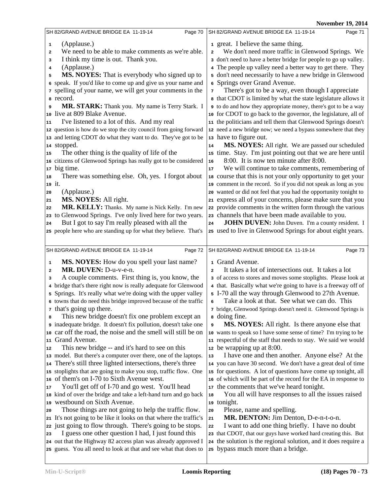|              |                                                                   |                         | <b>INOVEHIDEL 17, 2014</b>                                        |
|--------------|-------------------------------------------------------------------|-------------------------|-------------------------------------------------------------------|
|              | SH 82/GRAND AVENUE BRIDGE EA 11-19-14<br>Page 70                  |                         | SH 82/GRAND AVENUE BRIDGE EA 11-19-14<br>Page 71                  |
| $\mathbf{1}$ | (Applause.)                                                       |                         | 1 great. I believe the same thing.                                |
| $\mathbf{2}$ | We need to be able to make comments as we're able.                | $\overline{a}$          | We don't need more traffic in Glenwood Springs. We                |
| 3            | I think my time is out. Thank you.                                |                         | 3 don't need to have a better bridge for people to go up valley.  |
| 4            | (Applause.)                                                       |                         | 4 The people up valley need a better way to get there. They       |
|              | <b>MS. NOYES:</b> That is everybody who signed up to              |                         | 5 don't need necessarily to have a new bridge in Glenwood         |
| 5            | 6 speak. If you'd like to come up and give us your name and       |                         | 6 Springs over Grand Avenue.                                      |
|              |                                                                   |                         |                                                                   |
|              | 7 spelling of your name, we will get your comments in the         | 7                       | There's got to be a way, even though I appreciate                 |
| a record.    |                                                                   |                         | 8 that CDOT is limited by what the state legislature allows it    |
| 9            | <b>MR. STARK:</b> Thank you. My name is Terry Stark. I            |                         | to do and how they appropriate money, there's got to be a way     |
|              | 10 live at 809 Blake Avenue.                                      |                         | 10 for CDOT to go back to the governor, the legislature, all of   |
| 11           | I've listened to a lot of this. And my real                       |                         | 11 the politicians and tell them that Glenwood Springs doesn't    |
|              | 12 question is how do we stop the city council from going forward |                         | 12 need a new bridge now; we need a bypass somewhere that they    |
|              | 13 and letting CDOT do what they want to do. They've got to be    |                         | 13 have to figure out.                                            |
| 14 stopped.  |                                                                   | ${\bf 14}$              | <b>MS. NOYES:</b> All right. We are passed our scheduled          |
| 15           | The other thing is the quality of life of the                     |                         | 15 time. Stay. I'm just pointing out that we are here until       |
|              | 16 citizens of Glenwood Springs has really got to be considered   | 16                      | 8:00. It is now ten minute after 8:00.                            |
| 17 big time. |                                                                   | 17                      | We will continue to take comments, remembering of                 |
| 18           | There was something else. Oh, yes. I forgot about                 |                         | 18 course that this is not your only opportunity to get your      |
| 19 it.       |                                                                   |                         | 19 comment in the record. So if you did not speak as long as you  |
| 20           | (Applause.)                                                       |                         | 20 wanted or did not feel that you had the opportunity tonight to |
| 21           | MS. NOYES: All right.                                             |                         | 21 express all of your concerns, please make sure that you        |
| 22           | MR. KELLY: Thanks. My name is Nick Kelly. I'm new                 |                         | 22 provide comments in the written form through the various       |
| 23           | to Glenwood Springs. I've only lived here for two years.          |                         | 23 channels that have been made available to you.                 |
| 24           | But I got to say I'm really pleased with all the                  | 24                      | <b>JOHN DUVEN:</b> John Duven. I'm a county resident. I           |
|              | 25 people here who are standing up for what they believe. That's  |                         | 25 used to live in Glenwood Springs for about eight years.        |
|              |                                                                   |                         |                                                                   |
|              |                                                                   |                         |                                                                   |
|              | SH 82/GRAND AVENUE BRIDGE EA 11-19-14<br>Page 72                  |                         | SH 82/GRAND AVENUE BRIDGE EA 11-19-14<br>Page 73                  |
|              |                                                                   |                         |                                                                   |
| 1            | <b>MS. NOYES:</b> How do you spell your last name?                |                         | 1 Grand Avenue.                                                   |
| $\mathbf{2}$ | MR. DUVEN: D-u-v-e-n.                                             | $\overline{\mathbf{c}}$ | It takes a lot of intersections out. It takes a lot               |
| 3            | A couple comments. First thing is, you know, the                  |                         | 3 of access to stores and moves some stoplights. Please look at   |
|              | 4 bridge that's there right now is really adequate for Glenwood   |                         | 4 that. Basically what we're going to have is a freeway off of    |
| 5            | Springs. It's really what we're doing with the upper valley       |                         | 5 I-70 all the way through Glenwood to 27th Avenue.               |
|              | 6 towns that do need this bridge improved because of the traffic  | 6                       | Take a look at that. See what we can do. This                     |
|              | <sup>7</sup> that's going up there.                               |                         | 7 bridge, Glenwood Springs doesn't need it. Glenwood Springs is   |
| 8            | This new bridge doesn't fix one problem except an                 |                         | a doing fine.                                                     |
|              | inadequate bridge. It doesn't fix pollution, doesn't take one     | 9                       | <b>MS. NOYES:</b> All right. Is there anyone else that            |
|              | 10 car off the road, the noise and the smell will still be on     |                         | 10 wants to speak so I have some sense of time? I'm trying to be  |
| 11           | Grand Avenue.                                                     |                         | 11 respectful of the staff that needs to stay. We said we would   |
| 12           | This new bridge -- and it's hard to see on this                   |                         | 12 be wrapping up at 8:00.                                        |
|              | 13 model. But there's a computer over there, one of the laptops.  | 13                      | I have one and then another. Anyone else? At the                  |
| 14           | There's still three lighted intersections, there's three          |                         | 14 you can have 30 second. We don't have a great deal of time     |
|              | 15 stoplights that are going to make you stop, traffic flow. One  |                         | 15 for questions. A lot of questions have come up tonight, all    |
|              | 16 of them's on I-70 to Sixth Avenue west.                        |                         | 16 of which will be part of the record for the EA in response to  |
| 17           | You'll get off of I-70 and go west. You'll head                   |                         | 17 the comments that we've heard tonight.                         |
|              | 18 kind of over the bridge and take a left-hand turn and go back  | 18                      | You all will have responses to all the issues raised              |
|              | 19 westbound on Sixth Avenue.                                     |                         | 19 tonight.                                                       |
| 20           | Those things are not going to help the traffic flow.              | 20                      | Please, name and spelling.                                        |
|              | 21 It's not going to be like it looks on that where the traffic's | 21                      | MR. DENTON: Jim Denton, D-e-n-t-o-n.                              |
|              | 22 just going to flow through. There's going to be stops.         | 22                      | I want to add one thing briefly. I have no doubt                  |
| 23           | I guess one other question I had, I just found this               |                         | 23 that CDOT, that our guys have worked hard creating this. But   |
|              | 24 out that the Highway 82 access plan was already approved I     |                         | 24 the solution is the regional solution, and it does require a   |
|              | 25 guess. You all need to look at that and see what that does to  |                         | 25 bypass much more than a bridge.                                |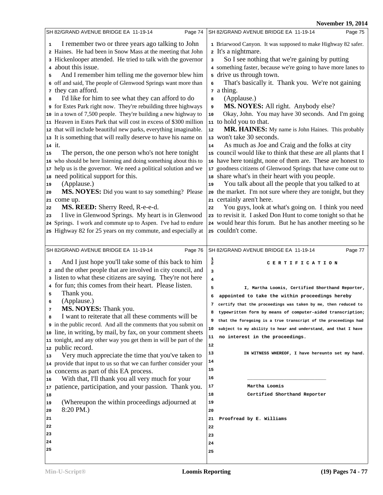|              | Page 74<br>SH 82/GRAND AVENUE BRIDGE EA 11-19-14                                                                              | SH 82/GRAND AVENUE BRIDGE EA 11-19-14<br>Page 75                                                                                 |  |
|--------------|-------------------------------------------------------------------------------------------------------------------------------|----------------------------------------------------------------------------------------------------------------------------------|--|
| $\mathbf{1}$ | I remember two or three years ago talking to John                                                                             | 1 Briarwood Canyon. It was supposed to make Highway 82 safer.                                                                    |  |
|              | 2 Haines. He had been in Snow Mass at the meeting that John                                                                   | 2 It's a nightmare.                                                                                                              |  |
|              | 3 Hickenlooper attended. He tried to talk with the governor                                                                   | So I see nothing that we're gaining by putting<br>3                                                                              |  |
|              | about this issue.                                                                                                             | 4 something faster, because we're going to have more lanes to                                                                    |  |
| 5            | And I remember him telling me the governor blew him                                                                           | 5 drive us through town.                                                                                                         |  |
|              | 6 off and said, The people of Glenwood Springs want more than                                                                 | That's basically it. Thank you. We're not gaining<br>6                                                                           |  |
|              | 7 they can afford.                                                                                                            | z a thing.                                                                                                                       |  |
| 8            | I'd like for him to see what they can afford to do                                                                            | (Applause.)<br>8                                                                                                                 |  |
|              | or Estes Park right now. They're rebuilding three highways                                                                    | MS. NOYES: All right. Anybody else?<br>9                                                                                         |  |
|              | 10 in a town of 7,500 people. They're building a new highway to                                                               | Okay, John. You may have 30 seconds. And I'm going<br>10                                                                         |  |
|              | 11 Heaven in Estes Park that will cost in excess of \$300 million                                                             | 11 to hold you to that.                                                                                                          |  |
|              | 12 that will include beautiful new parks, everything imaginable.                                                              | MR. HAINES: My name is John Haines. This probably<br>$\bf 12$                                                                    |  |
|              | 13 It is something that will really deserve to have his name on                                                               | 13 won't take 30 seconds.                                                                                                        |  |
|              | 14 it.                                                                                                                        | As much as Joe and Craig and the folks at city<br>14                                                                             |  |
| 15           | The person, the one person who's not here tonight                                                                             | 15 council would like to think that these are all plants that I                                                                  |  |
|              | 16 who should be here listening and doing something about this to                                                             | 16 have here tonight, none of them are. These are honest to                                                                      |  |
|              | 17 help us is the governor. We need a political solution and we                                                               | 17 goodness citizens of Glenwood Springs that have come out to                                                                   |  |
|              | 18 need political support for this.<br>(Applause.)                                                                            | 18 share what's in their heart with you people.<br>You talk about all the people that you talked to at                           |  |
| 19           | MS. NOYES: Did you want to say something? Please                                                                              | 19<br>20 the market. I'm not sure where they are tonight, but they                                                               |  |
| 20           | 21 come up.                                                                                                                   | 21 certainly aren't here.                                                                                                        |  |
| 22           | MS. REED: Sherry Reed, R-e-e-d.                                                                                               | You guys, look at what's going on. I think you need<br>22                                                                        |  |
| 23           | I live in Glenwood Springs. My heart is in Glenwood                                                                           | 23 to revisit it. I asked Don Hunt to come tonight so that he                                                                    |  |
|              | 24 Springs. I work and commute up to Aspen. I've had to endure                                                                | 24 would hear this forum. But he has another meeting so he                                                                       |  |
|              | 25 Highway 82 for 25 years on my commute, and especially at                                                                   | 25 couldn't come.                                                                                                                |  |
|              |                                                                                                                               |                                                                                                                                  |  |
|              |                                                                                                                               |                                                                                                                                  |  |
|              | Page 76<br>SH 82/GRAND AVENUE BRIDGE EA 11-19-14                                                                              | SH 82/GRAND AVENUE BRIDGE EA 11-19-14<br>Page 77                                                                                 |  |
| 1            |                                                                                                                               |                                                                                                                                  |  |
|              | And I just hope you'll take some of this back to him                                                                          | $\frac{1}{2}$<br>CERTIFICATION                                                                                                   |  |
|              | 2 and the other people that are involved in city council, and<br>a listen to what these citizens are saying. They're not here | 3<br>$\overline{\mathbf{4}}$                                                                                                     |  |
|              | 4 for fun; this comes from their heart. Please listen.                                                                        | 5                                                                                                                                |  |
| 5            | Thank you.                                                                                                                    | I, Martha Loomis, Certified Shorthand Reporter,<br>appointed to take the within proceedings hereby<br>6                          |  |
| 6            | (Applause.)                                                                                                                   | 7                                                                                                                                |  |
| 7            | MS. NOYES: Thank you.                                                                                                         | certify that the proceedings was taken by me, then reduced to<br>typewritten form by means of computer-aided transcription;<br>8 |  |
| 8            | I want to reiterate that all these comments will be                                                                           | that the foregoing is a true transcript of the proceedings had<br>9                                                              |  |
|              | in the public record. And all the comments that you submit on                                                                 | 10<br>subject to my ability to hear and understand, and that I have                                                              |  |
| 10           | line, in writing, by mail, by fax, on your comment sheets                                                                     | no interest in the proceedings.<br>11                                                                                            |  |
|              | 11 tonight, and any other way you get them in will be part of the                                                             | 12                                                                                                                               |  |
| 12           | public record.                                                                                                                | 13<br>IN WITNESS WHEREOF, I have hereunto set my hand.                                                                           |  |
| 13<br>14     | Very much appreciate the time that you've taken to                                                                            | 14                                                                                                                               |  |
| 15           | provide that input to us so that we can further consider your                                                                 | 15                                                                                                                               |  |
| 16           | concerns as part of this EA process.<br>With that, I'll thank you all very much for your                                      | 16                                                                                                                               |  |
| 17           | patience, participation, and your passion. Thank you.                                                                         | Martha Loomis<br>17                                                                                                              |  |
| 18           |                                                                                                                               | 18<br>Certified Shorthand Reporter                                                                                               |  |
| 19           | (Whereupon the within proceedings adjourned at                                                                                | 19                                                                                                                               |  |
| 20           | 8:20 PM.)                                                                                                                     | 20                                                                                                                               |  |
| 21           |                                                                                                                               | 21<br>Proofread by E. Williams                                                                                                   |  |
| 22           |                                                                                                                               | 22                                                                                                                               |  |
| 23           |                                                                                                                               | 23                                                                                                                               |  |
| 24           |                                                                                                                               | 24                                                                                                                               |  |
| 25           |                                                                                                                               | 25                                                                                                                               |  |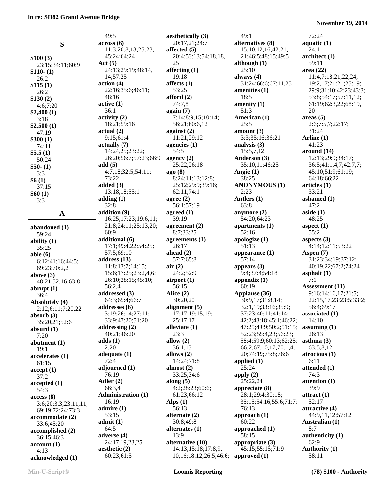#### in re: S

4:13

| n re: SH82 Grand Avenue Bridge  |                                          |                      |
|---------------------------------|------------------------------------------|----------------------|
|                                 | 49:5                                     | aesthetic            |
| \$                              | $\arccos(6)$                             | 20:17,2              |
|                                 | 11:3;20:8,13;25:23;                      | affected<br>20:4;53  |
| \$100(3)                        | 45:24;64:24<br>Act(5)                    | 25                   |
| 23:15;34:11;60:9<br>$$110-(1)$  | 24:13;29:19;48:14,                       | affecting            |
| 26:2                            | 14;57:25                                 | 19:18                |
| \$115(1)                        | action (4)                               | affects (1           |
| 26:2                            | 22:16;35:6;46:11;                        | 53:25                |
| \$130(2)                        | 48:16<br>active(1)                       | afford (2<br>74:7,8  |
| 4:6;7:20                        | 36:1                                     | again (7)            |
| \$2,400(1)<br>3:18              | activity <sub>(2)</sub>                  | 7:14;8:              |
| \$2,500(1)                      | 18:21;59:16                              | 56:21;               |
| 47:19                           | actual(2)                                | against (2           |
| \$300(1)                        | 9:15;61:4                                | 11:21;               |
| 74:11                           | actually (7)                             | agencies             |
| \$5.5(1)                        | 14:24,25;23:22;<br>26:20;56:7;57:23;66:9 | 54:5                 |
| 50:24                           | add(5)                                   | agency (2<br>25:22;  |
| $$50-(1)$<br>3:3                | 4:7,18;32:5;54:11;                       | ago(8)               |
| \$6(1)                          | 73:22                                    | 8:24;1               |
| 37:15                           | added $(3)$                              | 25:12;               |
| \$60(1)                         | 13:18,18;55:1                            | 62:11;               |
| 3:3                             | adding $(1)$                             | agree (2)            |
|                                 | 32:8                                     | 56:1;57              |
| A                               | addition (9)<br>16:25;17:23;19:6,11;     | agreed (1<br>39:19   |
| abandoned (1)                   | 21:8;24:11;25:13,20;                     | agreemer             |
| 59:24                           | 60:9                                     | 8:7;33               |
| ability $(1)$                   | additional (6)                           | agreeme              |
| 35:25                           | 17:1;49:4,22;54:25;                      | 26:17                |
| able $(6)$                      | 57:5;69:10                               | ahead $(2)$          |
| 6:12;41:16;44:5;                | address (13)<br>11:8;13:7;14:15;         | 57:7;6:              |
| 69:23;70:2,2                    | 15:6;17:25;23:2,4,6;                     | air(2)<br>24:2;52    |
| above $(3)$<br>48:21;52:16;63:8 | 26:10;28:15;45:10;                       | airport (            |
| abrupt $(1)$                    | 56:2,4                                   | 56:15                |
| 36:4                            | addressed (3)                            | Alice (2)            |
| Absolutely (4)                  | 64:3;65:4;66:7                           | 30:20,2              |
| 2:12;6:11;7:20,22               | addresses (6)                            | alignmen             |
| absorb $(3)$                    | 3:19;26:14;27:11;<br>33:9;47:20;51:20    | 17:17;<br>25:17,1    |
| 35:20,21;52:6                   | addressing (2)                           | alleviate            |
| absurd $(1)$<br>7:20            | 40:21;46:20                              | 23:3                 |
| abutment (1)                    | adds(1)                                  | allow $(2)$          |
| 19:1                            | 2:20                                     | 36:1,13              |
| accelerates (1)                 | adequate $(1)$                           | allows (2            |
| 61:15                           | 72:4                                     | 14:24;               |
| accept(1)                       | adjourned (1)<br>76:19                   | almost (2<br>33:25;  |
| 37:2                            | Adler (2)                                | along $(5)$          |
| accepted(1)<br>54:3             | 66:3,4                                   | 4:2;28               |
| access(8)                       | <b>Administration (1)</b>                | 61:23;               |
| 3:6;20:3,3;23:11,11;            | 16:19                                    | Alps $(1)$           |
| 69:19;72:24;73:3                | admire $(1)$                             | 56:13                |
| accommodate (2)                 | 53:15                                    | alternate            |
| 33:6;45:20                      | admit(1)<br>64:5                         | 30:8;49<br>alternate |
| accomplished (2)                | adverse (4)                              | 13:9                 |
| 36:15;46:3<br>account(1)        | 24:17,19,23,25                           | alternati            |
|                                 |                                          |                      |

**aesthetic (2)** 60:23;61:5

**aetically** (3) 20:17,21;24:7 **affected (5)** 20:4;53:13;54:18,18, **affecting (1) affects (1) d** (2) 7:14;8:9,15;10:14; 56:21;60:6,12 **nst** (2) :21;29:12 **acies** (1) **agency (2)**  25:22;26:18 8:24;11:13;12:8; 25:12;29:9;39:16; 62:11;74:1 **agree (2)** 56:1;57:19 **agreed (1) agreement** (2) 8:7;33:25 ements (1) **d** (2) 57:7;65:8  $:2;52:9$ **art (1)**  $:20,20$ **alignment (5)** 17:17;19:15,19; 25:17,17 *diate* (1) **allow (2)** 36:1,13 **as** (2) 14:24;71:8 **ast** (2) 33:25;34:6 **along (5)** 2:28:23;60:6; :23;66:12 **rnate** (2) 30:8;49:8 mates (1) mative (10) 14:13;15:18;17:8,9, 10,16;18:12;26:5;46:6; 49:1 **although (1)** 25:10 **always (4) amenities (1)** 18:5 **amenity (1)** 51:3 **American (1)** 25:5 **amount (3) analysis (3)** 15:5,7,12 **Anderson (3) Angie (1)** 38:25 2:23 **Antlers (1)** 63:8 **anymore (2)** 52:16 **apologize (1)** 51:13 57:14 **appears (3) appendix (1)** 60:19 **applied (1)** 25:24 **apply (2)** 25:22,24 76:13 **approach (1)** 60:22 58:15

**alternatives (8)** 15:10,12,16;42:21, 21;46:5;48:15;49:5 31:24;66:6;67:11,25 3:3;35:16;36:21 35:10,11;46:25 **ANONYMOUS (1)** 54:20;64:23 **apartments (1) appearance (1)** 9:4;37:4;54:18 **Applause (36)** 30:9,17;31:8,14; 32:1,19;33:16;35:9; 37:23;40:11;41:14; 42:2;43:18;45:1;46:22; 47:25;49:9;50:2;51:15; 52:23;55:4,23;56:23; 58:4;59:9;60:13;62:25; 66:2;67:10,17;70:1,4, 20;74:19;75:8;76:6 **appreciate (8)** 28:1;29:4;30:18; 35:15;54:16;55:6;71:7; **approached (1) appropriate (3)** 45:15;55:15;71:9 **approved (1)** 72:24 **aquatic (1)** 24:1 **architect (1)** 59:11 **area (22)** 11:4,7;18:21,22,24; 19:2,17;21:21;25:19; 29:9;31:10;42:23;43:3; 53:8;54:17;57:11,12; 61:19;62:3,22;68:19, 20 **areas (5)** 2:6;7:5,7;22:17; 31:24 **Arline (1)** 41:23 **around (14)** 12:13;29:9;34:17; 36:5;41:1,4,7;42:7,7; 45:10;51:9;61:19; 64:18;66:22 **articles (1)** 33:21 **ashamed (1)** 47:2 **aside (1)** 48:25 **aspect (1)**  $55.2$ **aspects (3)** 4:14;12:11;53:22 **Aspen (7)** 31:23;34:19;37:12; 40:19,22;67:2;74:24 **asphalt (1)** 7:1 **Assessment (11)** 9:16;14:16,17;21:5; 22:15,17,23;23:5;33:2; 56:4;69:17 **associated (1)** 14:10 **assuming (1)** 26:13 **asthma (3)** 63:5,8,12 **atrocious (1)** 6:11 **attended (1)** 74:3 **attention (1)** 39:9 **attract (1)** 52:17 **attractive (4)** 44:9,11,12;57:12 **Australian (1)** 8:7 **authenticity (1)** 62:9 **Authority (1)** 58:11

**November 19, 2014**

**acknowledged (1)**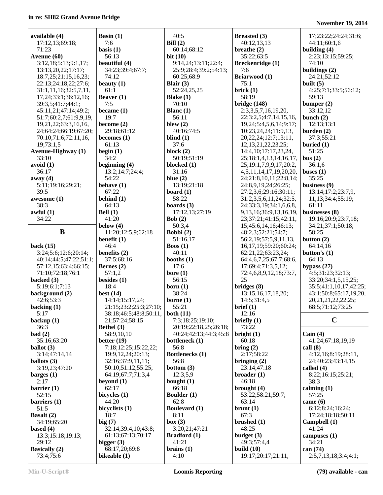| available (4)              | Basin $(1)$            | 40:5                  | <b>Breasted</b> (3)            | 17;23:22;24:24;31:6;    |
|----------------------------|------------------------|-----------------------|--------------------------------|-------------------------|
| 17:12,13;69:18;            | 7:6                    | Bill $(2)$            | 40:12,13,13                    | 44:11;60:1,6            |
|                            |                        |                       |                                |                         |
| 71:23                      | basis $(1)$            | 60:14;68:12           | breathe $(2)$                  | building $(4)$          |
| Avenue (60)                | 56:13                  | bit $(10)$            | 35:22;63:5                     | 2:23;13:15;59:25;       |
| 3:12,18;5:13;9:1,17;       | beautiful (4)          | 9:14,24;13:11;22:4;   | Breckenridge (1)               | 74:10                   |
|                            | 34:23;39:4;67:7;       | 25:9;28:4;39:2;54:13; | 7:6                            | buildings $(2)$         |
| 13:13,20,22;17:17;         |                        |                       |                                |                         |
| 18:7,25;21:15,16,23;       | 74:12                  | 60:25;68:9            | Briarwood (1)                  | 24:21;52:12             |
| 22:13;24:18,22;27:6;       | beauty $(1)$           | Blair $(3)$           | 75:1                           | built $(5)$             |
| 31:1,11,16;32:5,7,11,      | 61:1                   | 52:24,25,25           | brick(1)                       | 4:25;7:1;33:5;56:12;    |
| 17, 24; 33: 1; 36: 12, 16; | Beaver $(1)$           | Blake $(1)$           | 58:19                          | 59:13                   |
|                            |                        |                       |                                |                         |
| 39:3,5;41:7;44:1;          | 7:5                    | 70:10                 | bridge (148)                   | bumper $(2)$            |
| 45:11,21;47:14;49:2;       | became (1)             | Blanc $(1)$           | 2:3,3,5,7,16,19,20,            | 33:12,12                |
| 51:7;60:2,7;61:9,9,19,     | 19:7                   | 56:11                 | 22;3:2,5;4:7,14,15,16,         | bunch $(2)$             |
| 19,21,22;63:3,16,16,       | become $(2)$           | blew $(2)$            | 19, 24; 5: 4, 5, 6, 14; 9: 17; | 12:13;13:1              |
|                            |                        |                       |                                |                         |
| 24;64:24;66:19;67:20;      | 29:18;61:12            | 40:16;74:5            | 10:23,24,24;11:9,13,           | burden $(2)$            |
| 70:10;71:6;72:11,16,       | becomes $(1)$          | blind $(1)$           | 20, 22, 24; 12: 7; 13: 11,     | 37:3;55:21              |
| 19;73:1,5                  | 61:13                  | 37:6                  | 12, 13, 21, 22, 23, 25;        | buried $(1)$            |
| <b>Avenue-Highway</b> (1)  | begin $(1)$            | block $(2)$           | 14:4, 10; 17: 17, 23, 24,      | 51:25                   |
| 33:10                      | 34:2                   | 50:19;51:19           | 25;18:1,4,13,14,16,17,         | bus(2)                  |
|                            |                        |                       |                                |                         |
| avoid(1)                   | beginning $(4)$        | blocked (1)           | 25;19:1,7,9,9,17;20:2,         | 36:1,6                  |
| 36:17                      | 13:2;14:7;24:4;        | 31:16                 | 4,5,11,14,17,19,20,20,         | buses $(1)$             |
| away (4)                   | 54:22                  | blue $(2)$            | 24;21:8,10,11;22:8,14;         | 35:25                   |
| 5:11;19:16;29:21;          | behave $(1)$           | 13:19;21:18           | 24:8,9,19,24;26:25;            | business $(9)$          |
| 39:5                       | 67:22                  | board $(1)$           | 27:2,3,6;29:16;30:11;          | 13:14;17:2;23:7,9,      |
| awesome (1)                | behind $(1)$           | 58:22                 | 31:2,3,5,6,11,24;32:5,         | 11,13;34:4;55:19;       |
|                            |                        |                       |                                |                         |
| 38:3                       | 64:13                  | boards $(3)$          | 24;33:3,19;34:1,6,6,8,         | 61:11                   |
| awful(1)                   | Bell $(1)$             | 17:12,13;27:19        | 9, 13, 16; 36: 9, 13, 16, 19,  | businesses (8)          |
| 34:22                      | 41:20                  | Bob $(2)$             | 23;37:21;41:15;42:11,          | 19:16;20:9;23:7,18;     |
|                            | below $(4)$            | 50:3,4                | 15;45:6,14,16;46:13;           | 34:21;37:1;50:18;       |
| B                          | 11:20;12:5,9;62:18     | Bobbi (2)             | 48:2,3;52:21;54:7;             | 58:25                   |
|                            | benefit $(1)$          | 51:16,17              | 56:2,19;57:5,9,11,13,          | button $(2)$            |
|                            |                        |                       |                                |                         |
| back $(15)$                | 46:4                   | <b>Boos</b> $(1)$     | 16,17,19;59:20;60:24;          | 64:14,16                |
| 3:24;5:6;12:6;20:14;       | benefits (2)           | 40:11                 | 62:21,22;63:23,24;             | button's $(1)$          |
| 40:14;44:5;47:22;51:1;     | 37:5;68:16             | booths $(1)$          | 64:4,6,7,25;67:7;68:6,         | 64:13                   |
| 57:12,15;63:4;66:15;       | Bernes $(2)$           | 17:6                  | 17;69:4;71:3,5,12;             | bypass $(27)$           |
| 71:10;72:18;76:1           | 57:1,2                 | bore $(1)$            | 72:4,6,8,9,12,18;73:7,         | 4:5;31:23;32:13;        |
|                            | besides $(1)$          | 56:15                 | 25                             |                         |
| backed (3)                 |                        |                       |                                | 33:20;34:1,5,15,25;     |
| 5:19;6:1;7:13              | 18:4                   | born $(1)$            | bridges (8)                    | 35:5;41:1,10,17;42:25;  |
| background (2)             | best $(14)$            | 38:24                 | 13:15,16,17,18,20;             | 43:1;50:8;65:17,19,20,  |
| 42:6;53:3                  | 14:14;15:17,24;        | borne $(1)$           | 14:5;31:4,5                    | 20, 21, 21, 22, 22, 25; |
| backing (1)                | 21:15;23:2;25:3;27:10; | 55:21                 | brief (1)                      | 68:5;71:12;73:25        |
|                            |                        |                       |                                |                         |
| 5:17                       | 38:18;46:5;48:8;50:11, | both $(11)$           | 12:16                          |                         |
| backup $(1)$               | 21;57:24;58:15         | 7:3;18:25;19:10;      | briefly $(1)$                  | $\mathbf C$             |
| 36:3                       | Bethel (3)             | 20:19;22:18,25;26:18; | 73:22                          |                         |
| bad(2)                     | 58:9,10,10             | 40:24;42:13;44:3;45:8 | bright $(1)$                   | Cain $(4)$              |
| 35:16;63:20                | better $(19)$          | bottleneck (1)        | 60:18                          | 41:24;67:18,19,19       |
| ballot $(3)$               | 7:18;12:25;15:22,22;   | 56:8                  | bring $(2)$                    | call(8)                 |
|                            |                        |                       |                                |                         |
| 3:14;47:14,14              | 19:9, 12, 24; 20:13;   | Bottlenecks (1)       | 2:17;58:22                     | 4:12,16;8:19;28:11,     |
| ballots $(3)$              | 32:16;37:9,11,11;      | 56:8                  | bringing $(2)$                 | 24;40:23;43:14,15       |
| 3:19,23;47:20              | 50:10:51:12:55:25;     | bottom $(3)$          | 23:14;47:18                    | called $(4)$            |
| barges $(1)$               | 64:19;67:7;71:3,4      | 12:3,5,9              | broader $(1)$                  | 8:22;16:15;25:21;       |
| 2:17                       | beyond $(1)$           | bought $(1)$          | 46:18                          | 38:3                    |
| barrier $(1)$              | 62:17                  | 66:18                 | brought (4)                    | calming $(1)$           |
|                            |                        |                       |                                |                         |
| 52:15                      | bicycles (1)           | Boulder (1)           | 53:22;58:21;59:7;              | 57:25                   |
| barriers (1)               | 44:20                  | 62:8                  | 63:14                          | came $(6)$              |
| 51:5                       | bicyclists (1)         | <b>Boulevard</b> (1)  | brunt(1)                       | 6:12;8:24;16:24;        |
| <b>Basalt</b> $(2)$        | 18:7                   | 8:11                  | 67:3                           | 17:24;18:18;50:11       |
| 34:19;65:20                | big(7)                 | box (3)               | brushed (1)                    | Campbell (1)            |
| based $(4)$                | 32:14;39:4,10;43:8;    | 3:20,21;47:21         | 48:25                          | 41:24                   |
|                            |                        |                       |                                |                         |
| 13:3;15:18;19:13;          | 61:13;67:13;70:17      | <b>Bradford</b> (1)   | budget $(3)$                   | campuses $(1)$          |
| 29:12                      | bigger $(3)$           | 41:21                 | 49:3;57:4,4                    | 34:21                   |
| <b>Basically</b> (2)       | 68:17,20;69:8          | brains(1)             | build $(10)$                   | can $(74)$              |
| 73:4;75:6                  | bikeable (1)           | 4:10                  | 19:17;20:17;21:11,             | 2:5,7,13,18;3:4;4:1;    |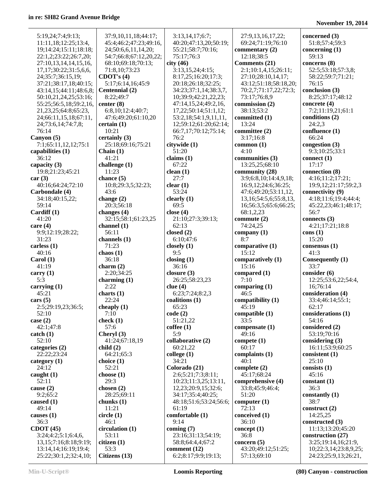| 5:19,24;7:4;9:13;                                   | 37:9,10,11,18;44:17;   | 3:13,14,17;6:7;                        | 27:9,13,16,17,22;                   | concerned (3)                            |
|-----------------------------------------------------|------------------------|----------------------------------------|-------------------------------------|------------------------------------------|
| 11:11,18;12:25;13:4,                                | 45:4;46:2;47:23;49:16, | 40:20;47:13,20;50:19;                  | 69:24;71:19;76:10                   | 51:8;57:4;59:3                           |
| 19;14:24;15:11;18:18;                               | 24;50:6,6,11,14,20;    | 55:21;58:7;70:16;                      | commentary $(2)$                    | concerning $(1)$                         |
| 22:1,2;23:22;26:7,20;                               | 54:7;66:8;67:12,20,22; | 75:17;76:3                             | 12:18;38:5                          | 59:13                                    |
| 27:10,13,14,14,15,16,                               | 68:10;69:18;70:13;     | city(46)                               | Comments (21)                       | concerns (8)                             |
| 17, 17; 30: 22; 31: 5, 6, 6,                        | 71:8,10:73:23          | 3:13,15,24;4:15;                       | 2:1;10:1,4,15;26:11;                | 52:5;53:18;57:3,8;                       |
| 24;35:7;36:15,19;                                   | CDOT's $(4)$           | 8:17,25;16:20;17:3;                    | 27:10;28:10,14,17;                  | 58:22;59:7;71:21;                        |
| 37:21;38:17,18;40:15;                               | 5:17;6:14,16;45:9      | 20:18;26:18;32:25;                     | 43:12;51:18;58:18,20;               | 76:15                                    |
| 43:14,15;44:11;48:6,8;                              | Centennial (2)         | 34:23;37:1,14;38:3,7,                  | 70:2,7;71:17,22;72:3;               | conclusion (3)                           |
| 50:10,21,24,25;53:16;                               | 8:22;49:7              | 10;39:9;42:21,22,23;                   | 73:17;76:8,9                        | 8:25;37:17;48:12                         |
| 55:25;56:5,18;59:2,16,                              | center $(8)$           | 47:14,15,24;49:2,16,                   | commission (2)                      | concrete $(4)$                           |
| 21, 23, 25; 64: 8; 65: 23,                          | 6:8,10;12:4;40:7;      | 17,22;50:14;51:1,12;                   | 38:13:53:2                          | 7:2;11:19,21;61:1                        |
| 24;66:11,15,18;67:11,                               | 47:6;49:20;61:10,20    | 53:2,18;54:1,9,11,11,                  | committed (1)                       | conditions (2)                           |
| 24;73:6,14;74:7,8;                                  | certain(1)             | 12;59:12;61:20;62:14;                  | 13:24                               | 24:2,3                                   |
| 76:14                                               | 10:21                  | 66:7,17;70:12;75:14;                   | committee (2)                       | confluence (1)                           |
| Canyon $(5)$                                        | certainly $(3)$        | 76:2                                   | 3:17;16:8                           | 66:24                                    |
| 7:1;65:11,12,12;75:1                                | 25:18;69:16;75:21      | citywide (1)                           | common $(1)$                        | congestion (3)                           |
| capabilities (1)                                    | Chain $(1)$            | 51:20                                  | 4:10                                | 9:3;10:25;33:1                           |
| 36:12                                               | 41:21                  | claims $(1)$                           | communities (3)                     | connect $(1)$                            |
| capacity (3)                                        | challenge (1)          | 67:22                                  | 13:25,25;68:10                      | 17:17                                    |
| 19:8;21:23;45:21                                    | 11:23                  | clean(1)                               | community (28)                      | connection (8)                           |
| car(3)                                              | chance (5)             | 27:7                                   | 3:9;6:8,10;14:4,9,18;               | 4:16;11:2;17:21;                         |
| 40:16;64:24;72:10                                   | 10:8;29:3,5;32:23;     | clear(1)                               | 16:9,12;24:6;36:25;                 | 19:9,12;21:17;59:2,3                     |
| Carbondale (4)                                      | 43:6                   | 53:24                                  | 47:6;49:20;53:11,12,                | connectivity (9)                         |
| 34:18;40:15,22;                                     | change $(2)$           | clearly $(1)$                          | 13, 16; 54: 5, 6; 55: 8, 13,        | 4:18;11:6;19:4;44:4;                     |
| 59:14                                               | 20:3;56:18             | 69:5                                   | 16;56:3,5;65:6;66:25;               | 45:22,23;46:1;48:17;                     |
| Cardiff $(1)$                                       | changes $(4)$          | close $(4)$                            | 68:1,2,23                           | 56:7                                     |
| 41:20                                               | 32:15;58:1;61:23,25    | 21:10;27:3;39:13;                      | commute (2)                         | connects (3)                             |
| care $(4)$                                          | channel $(1)$<br>56:11 | 62:13                                  | 74:24,25                            | 4:21;17:21;18:8                          |
| 9:9;12:19;28:22;<br>31:23                           | channels (1)           | closed $(2)$<br>6:10;47:6              | company (1)<br>8:7                  | cons(1)<br>15:20                         |
| carless $(1)$                                       | 71:23                  | closely $(1)$                          | comparative $(1)$                   | consensus $(1)$                          |
| 40:16                                               | chaos $(1)$            | 9:5                                    | 15:12                               | 41:3                                     |
| Carol(1)                                            | 36:18                  | closing $(1)$                          | comparatively (1)                   | Consequently (1)                         |
| 41:19                                               | charm $(2)$            | 36:16                                  | 15:16                               | 33:7                                     |
| carry $(1)$                                         | 2:20;34:25             | closure $(3)$                          | compared (1)                        | consider (6)                             |
| 5:3                                                 | charming $(1)$         | 26:25;58:23,23                         | 7:10                                | 12:25;53:6,22;54:4,                      |
| carrying (1)                                        | 2:22                   | clue $(4)$                             | comparing (1)                       | 16;76:14                                 |
| 45:21                                               | charts $(1)$           | 6:23;7:24;8:2,3                        | 46:5                                | consideration (4)                        |
| cars $(5)$                                          | 22:24                  | coalitions (1)                         | compatibility $(1)$                 | 33:4;46:14;55:1;                         |
| 2:5;29:19,23;36:5;                                  | cheaply $(1)$          | 65:23                                  | 45:19                               | 62:17                                    |
| 52:10                                               | 7:10                   | code(2)                                | compatible (1)                      | considerations (1)                       |
| case $(2)$                                          | check $(1)$            | 51:21,22                               | 33:5                                | 54:16                                    |
| 42:1;47:8                                           | 57:6                   | cofree(1)                              | compensate $(1)$                    | considered (2)                           |
| $\text{catch} (1)$                                  | Cheryl (3)             | 5:9                                    | 49:16                               | 53:19;70:16                              |
| 52:10                                               | 41:24;67:18,19         | collaborative (2)                      | compete $(1)$                       | considering (3)                          |
| categories (2)                                      | child(2)               | 60:21,22                               | 60:17                               | 16:11;53:9;60:25                         |
| 22:22;23:24                                         | 64:21;65:3             | $\text{college} \left( 1 \right)$      | complaints $(1)$                    | consistent $(1)$                         |
| category $(1)$                                      | choice (1)             | 34:21                                  | 40:1                                | 25:10                                    |
| 24:12                                               | 52:21                  | Colorado (21)                          | complete (2)                        | consists $(1)$                           |
| caught $(1)$                                        | choose (1)             | 2:6;5:21;7:3;8:11;                     | 45:17;68:24                         | 45:16                                    |
| 52:11                                               | 29:3                   | 10:23;11:3,25;13:11,                   | comprehensive (4)                   | constant(1)                              |
| cause $(2)$                                         | chosen $(2)$           | 12,23;20:9,15;32:6;                    | 33:8;45:9;46:4;                     | 36:3                                     |
| 9:2;65:2                                            | 28:25;69:11            | 34:17;35:4;40:25;                      | 51:20                               | constantly $(1)$                         |
| caused $(1)$                                        | chunks $(1)$           | 48:18;51:6;53:24;56:6;                 | computer $(1)$                      | 38:7                                     |
| 49:14                                               | 11:21                  | 61:19                                  | 72:13                               | construct $(2)$                          |
| causes $(1)$                                        | circle(1)              | comfortable (1)                        | conceived (1)                       | 14:25,25                                 |
| 36:3                                                | 46:1                   | 9:14                                   | 36:10                               | constructed (3)                          |
| CDOT(45)                                            | circulation (1)        | coming $(7)$                           | concept $(1)$<br>36:8               | 11:13;13:20;45:20                        |
| 3:24;4:2;5:1;6:4,6,<br>13, 15; 7: 16; 8: 18; 9: 19; | 53:11<br>citizen (1)   | 23:16;31:13;54:19;<br>58:8;64:4,4;67:2 |                                     | construction (27)<br>3:25;19:14,16;21:9, |
| 13:14,14;16:19;19:4;                                | 53:3                   | comment $(12)$                         | concern $(5)$<br>43:20;49:12;51:25; | 10;22:3,14;23:8,9,25;                    |
| 25:22;30:1,2;32:4,10;                               | Citizens (13)          | 6:2;8:17;9:9;19:13;                    | 57:13;69:10                         | 24:23;25:9,13;26:21,                     |
|                                                     |                        |                                        |                                     |                                          |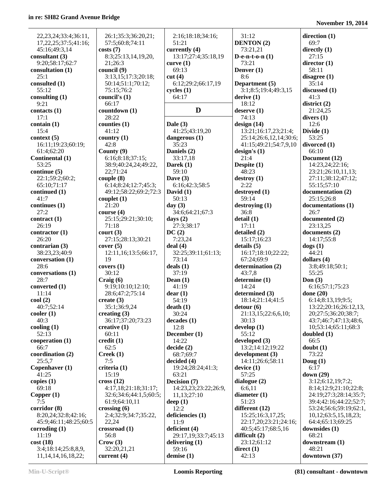| 22, 23, 24; 33: 4; 36: 11,       | 26:1;35:3;36:20,21;                      | 2:16;18:18;34:16;             | 31:12                                           | direction $(1)$                            |
|----------------------------------|------------------------------------------|-------------------------------|-------------------------------------------------|--------------------------------------------|
| 17, 22, 25; 37: 5; 41: 16;       | 57:5;60:8;74:11                          | 51:21                         | <b>DENTON</b> (2)                               | 69:7                                       |
| 45:16;49:3,14                    | costs(7)                                 | currently (4)                 | 73:21,21                                        | directly $(1)$                             |
| consultant $(3)$                 | 8:3;25:13,14,19,20,                      | 13:17;27:4;35:18,19           | D-e-n-t-o-n $(1)$                               | 27:15                                      |
| 9:20;58:17;62:7                  | 21;26:3                                  | curve $(1)$                   | 73:21                                           | director $(1)$                             |
| consultation (1)<br>25:1         | council (9)                              | 69:13                         | Denver $(1)$                                    | 58:11                                      |
| consulted (1)                    | 3:13,15;17:3;20:18;<br>50:14;51:1;70:12; | cut(4)<br>6:12;29:2;66:17,19  | 8:6<br>Department (5)                           | disagree $(1)$<br>35:14                    |
| 55:12                            | 75:15;76:2                               | cycles(1)                     | 3:1;8:5;19:4;49:3,15                            | discussed (1)                              |
| consulting $(1)$                 | council's (1)                            | 64:17                         | derive(1)                                       | 41:3                                       |
| 9:21                             | 66:17                                    |                               | 18:12                                           | district(2)                                |
| contacts $(1)$                   | countdown (1)                            | D                             | deserve $(1)$                                   | 21:24,25                                   |
| 17:1                             | 28:22                                    |                               | 74:13                                           | divers $(1)$                               |
| contain $(1)$                    | counties $(1)$                           | Dale $(3)$                    | design(14)                                      | 12:6                                       |
| 15:4                             | 41:12                                    | 41:25;43:19,20                | 13:21;16:17,23;21:4;                            | Divide $(1)$                               |
| context(5)<br>16:11;19:23;60:19; | country $(1)$<br>42:8                    | dangerous (1)<br>35:23        | 25:14;26:6,12,14;30:6;<br>41:15;49:21;54:7,9,10 | 53:25<br>divorced (1)                      |
| 61:4;62:20                       | County $(9)$                             | Daniels (2)                   | design's $(1)$                                  | 66:10                                      |
| Continental (1)                  | 6:16;8:18;37:15;                         | 33:17,18                      | 21:4                                            | Document (12)                              |
| 53:25                            | 38:9;40:24,24;49:22,                     | Darek (1)                     | Despite $(1)$                                   | 14:23,24;22:16;                            |
| continue (5)                     | 22;71:24                                 | 59:10                         | 48:23                                           | 23:21;26:10,11,13;                         |
| 22:1;59:2;60:2;                  | couple(8)                                | Dave $(3)$                    | destroy(1)                                      | 27:11;38:12;47:12;                         |
| 65:10;71:17                      | 6:14;8:24;12:7;45:3;                     | 6:16;42:3;58:5                | 2:22                                            | 55:15:57:10                                |
| continued (1)                    | 49:12;58:22;69:2;72:3                    | David $(1)$                   | destroyed (1)                                   | documentation (2)                          |
| 41:7                             | couplet $(1)$                            | 50:13                         | 59:14                                           | 25:15;26:8                                 |
| continues (1)                    | 21:20                                    | day $(3)$                     | $\text{destroying}(1)$                          | documentations (1)                         |
| 27:2<br>contract $(1)$           | course $(4)$<br>25:15;29:21;30:10;       | 34:6;64:21;67:3<br>days $(2)$ | 36:8<br>delta(1)                                | 26:7<br>documented (2)                     |
| 26:19                            | 71:18                                    | 27:3;38:17                    | 17:11                                           | 23:13,25                                   |
| contractor $(1)$                 | court (3)                                | DC(2)                         | detailed (2)                                    | documents (2)                              |
| 26:20                            | 27:15;28:13;30:21                        | 7:23,24                       | 15:17;16:23                                     | 14:17;55:8                                 |
| contrarian $(3)$                 | cover(5)                                 | deal(4)                       | details(5)                                      | $\text{dogs}(1)$                           |
| 38:23,23;40:9                    | 12:11,16;13:5;66:17,                     | 32:25;39:11;61:13;            | 16:17;18:10;22:22;                              | 44:21                                      |
| conversation (1)                 | 19                                       | 73:14                         | 67:24;69:9                                      | dollars $(4)$                              |
| 28:6                             | covers $(1)$                             | deals(1)                      | determination (2)                               | 3:8;49:18;50:1;                            |
| conversations (1)                | 30:12                                    | 37:19                         | 43:7,8                                          | 55:25                                      |
| 28:7                             | Craig(6)                                 | Dean $(1)$                    | determine (1)                                   | Don $(3)$                                  |
| converted (1)                    | 9:19;10:10;12:10;                        | 41:19                         | 14:24                                           | 6:16;57:1;75:23                            |
| 11:14                            | 28:6;47:2;75:14                          | dear(1)                       | determined (3)                                  | done $(20)$                                |
| $\text{cool}(2)$<br>40:7;52:14   | create $(3)$<br>35:1;36:9,24             | 54:19<br>death(1)             | 18:14;21:14;41:5<br>$\text{detour}(6)$          | 6:14;8:13,19;9:5;<br>13:22;20:16;26:12,13, |
| color(1)                         | creating $(3)$                           | 30:24                         | 21:13,15;22:6,6,10;                             | 20;27:5;36:20;38:7;                        |
| 40:3                             | 36:17;37:20;73:23                        | decades(1)                    | 30:13                                           | 43:7;46:7;47:13;48:6,                      |
| cooling $(1)$                    | creative $(1)$                           | 12:8                          | develp(1)                                       | 10;53:14;65:11;68:3                        |
| 52:13                            | 60:11                                    | December (1)                  | 55:12                                           | doubled $(1)$                              |
| cooperation (1)                  | $\text{credit}(1)$                       | 14:22                         | developed $(3)$                                 | 66:5                                       |
| 66:7                             | 62:5                                     | decide(2)                     | 13:2;14:12;19:22                                | doubt(1)                                   |
| coordination (2)                 | Creek(1)                                 | 68:7;69:7                     | development(3)                                  | 73:22                                      |
| 25:5.7                           | 7:5                                      | decided $(4)$                 | 14:11;26:6;58:11                                | Doug $(1)$                                 |
| Copenhaver (1)<br>41:25          | criteria (1)<br>15:19                    | 19:24;28:24;41:3;             | device(1)<br>57:25                              | 6:17                                       |
| copies $(1)$                     | cross(12)                                | 63:21<br>Decision (7)         | dialogue $(2)$                                  | down (29)<br>3:12;6:12,19;7:2;             |
| 69:18                            | 4:17,18;21:18;31:17;                     | 14:23,23;23:22;26:9,          | 6:6,11                                          | 8:14;12:9;21:10;22:8;                      |
| Copper $(1)$                     | 32:6;34:6;44:1,5;60:5;                   | 11,13;27:10                   | diameter $(1)$                                  | 24:19;27:3;28:14;35:7;                     |
| 7:5                              | 61:9;64:10,11                            | deep $(1)$                    | 51:23                                           | 39:4;42:16;44:22;52:7;                     |
| corridor (8)                     | crossing $(6)$                           | 12:2                          | different $(12)$                                | 53:24;56:6;59:19;62:1,                     |
| 8:20,24;32:8;42:16;              | 2:4;32:9;34:7;35:22,                     | deficiencies (1)              | 15:25;16:3,17,25;                               | 10,12;63:5,15,18,23;                       |
| 45:9;46:11;48:25;60:5            | 22,24                                    | 11:9                          | 22:17,20;23:21;24:16;                           | 64:4;65:13;69:25                           |
| corroding $(1)$                  | crossroad (1)                            | deficient (4)                 | 40:5;45:17;68:5,16                              | downsides (1)                              |
| 11:19                            | 56:8                                     | 29:17,19;33:7;45:13           | difficult $(2)$                                 | 68:21                                      |
| cost(18)                         | Crow(3)                                  | delivering $(1)$              | 23:12;61:12                                     | downstream (1)                             |
| 3:4;18:14;25:8,8,9,              | 32:20,21,21                              | 59:16                         | direct(1)                                       | 48:21                                      |
| 11, 14, 14, 16, 18, 22;          | current $(4)$                            | demise $(1)$                  | 42:13                                           | downtown (37)                              |

**Min-U-Script® Loomis Reporting (81) consultant - downtown**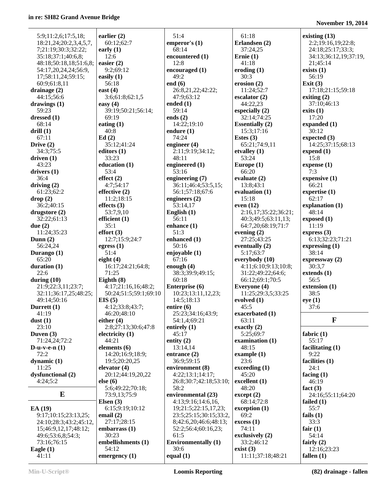**November 19, 2014**

| 5:9;11:2,6;17:5,18;    |                        |                            |                                  |                             |
|------------------------|------------------------|----------------------------|----------------------------------|-----------------------------|
|                        | earlier $(2)$          | 51:4                       | 61:18                            | existing $(13)$             |
| 18:21,24;20:2,3,4,5,7, | 60:12;62:7             | emperor's $(1)$            | Erlandsen (2)                    | 2:2;19:16,19;22:8;          |
|                        | early $(1)$            | 68:14                      | 37:24,25                         | 24:18;25:17;33:3;           |
| 7;21:19;30:3;32:22;    |                        |                            |                                  |                             |
| 35:18;37:1;40:6,8;     | 12:6                   | encountered (1)            | Ernie $(1)$                      | 34:13;36:12,19;37:19,       |
| 48:18;50:18,18;51:6,8; | easier $(2)$           | 12:8                       | 41:18                            | 21;45:14                    |
| 54:17,20,24,24;56:9,   | 9:2;69:12              | encouraged $(1)$           | eroding $(1)$                    | exists $(1)$                |
| 17;58:11,24;59:15;     | easily $(1)$           | 49:2                       | 30:3                             | 56:19                       |
| 60:9;61:8,11           | 56:18                  | end $(6)$                  | erosion $(2)$                    | Exit $(3)$                  |
| drainage $(2)$         | east $(4)$             | 26:8,21,22;42:22;          | 11:24;52:7                       | 17:18;21:15;59:18           |
|                        |                        |                            | escalator $(2)$                  |                             |
| 44:15:56:6             | 3:6;61:8;62:1,5        | 47:9;63:12                 |                                  | exiting $(2)$               |
| drawings $(1)$         | easy $(4)$             | ended $(1)$                | 44:22,23                         | 37:10;46:13                 |
| 59:23                  | 39:19;50:21;56:14;     | 59:14                      | especially $(2)$                 | exists(1)                   |
| dressed $(1)$          | 69:19                  | ends $(2)$                 | 32:14;74:25                      | 17:20                       |
| 68:14                  | eating $(1)$           | 14:22;19:10                | <b>Essentially (2)</b>           | expanded $(1)$              |
| drill(1)               | 40:8                   | endure $(1)$               | 15:3;17:16                       | 30:12                       |
| 67:11                  | Ed(2)                  | 74:24                      | Estes $(3)$                      | expected $(3)$              |
| Drive $(2)$            | 35:12;41:24            | engineer $(4)$             | 65:21;74:9,11                    | 14:25;37:15;68:13           |
| 34:3;75:5              | editors $(1)$          | 2:11;9:19;34:12;           | etvalley $(1)$                   | expend $(1)$                |
|                        | 33:23                  | 48:11                      | 53:24                            |                             |
| driven $(1)$           |                        |                            |                                  | 15:8                        |
| 43:23                  | education (1)          | engineered $(1)$           | Europe $(1)$                     | expense (1)                 |
| drivers $(1)$          | 53:4                   | 53:16                      | 66:20                            | 7:3                         |
| 36:4                   | effect(2)              | engineering (7)            | evaluate $(2)$                   | expensive $(1)$             |
| driving $(2)$          | 4:7;54:17              | 36:11;46:4;53:5,15;        | 13:8:43:1                        | 66:21                       |
| 61:23;62:2             | effective $(2)$        | 56:1;57:18;67:6            | evaluation (1)                   | expertise (1)               |
| drop(2)                | 11:2;18:15             | engineers $(2)$            | 15:18                            | 62:17                       |
|                        |                        | 53:14,17                   |                                  |                             |
| 36:2;40:15             | effects $(3)$          |                            | even $(12)$                      | explanation (1)             |
| drugstore $(2)$        | 53:7,9,10              | English $(1)$              | 2:16,17;35:22;36:21;             | 48:14                       |
| 32:22;61:13            | efficient (1)          | 56:11                      | 40:3;49:5;63:11,13;              | exposed(1)                  |
| due $(2)$              | 35:1                   | enhance $(1)$              | 64:7,20;68:19;71:7               | 11:19                       |
| 11:24;35:23            | effort(3)              | 51:3                       | evening $(2)$                    | express $(3)$               |
| Dunn $(2)$             | 12:7;15:9;24:7         | enhanced (1)               | 27:25;43:25                      | 6:13;32:23;71:21            |
| 56:24,24               | egress $(1)$           | 50:16                      | eventually $(2)$                 | expressing $(1)$            |
| Durango (1)            | 51:4                   | enjoyable (1)              | 5:17;63:7                        | 38:14                       |
|                        |                        |                            |                                  |                             |
| 65:20                  | eight $(4)$            | 67:16                      | everybody (10)                   | expressway (2)              |
| duration (1)           | 16:17;24:21;64:8;      | enough $(4)$               | 4:11;6:10;9:13;10:8;             | 30:3,7                      |
|                        |                        |                            |                                  |                             |
| 22:6                   | 71:25                  | 38:3;39:9;49:15;           | 31:22;49:22;64:6;                | extends $(1)$               |
| during $(10)$          | Eighth $(8)$           | 60:18                      | 66:12;69:1;70:5                  | 56:5                        |
| 21:9;22:3,11;23:7;     | 4:17;21:16,16;48:2;    |                            |                                  |                             |
|                        |                        | Enterprise (6)             | Everyone (4)                     | extension (1)               |
| 32:11;36:17,25;48:25;  | 50:24;51:5;59:1;69:10  | 10:23;13:11,12,23;         | 11:25;29:3,5;33:25               | 38:5                        |
| 49:14;50:16            | EIS(5)                 | 14:5;18:13                 | evolved $(1)$                    | eye(1)                      |
| Durrett (1)            | 4:12;33:8;43:7;        | entire $(6)$               | 45:5                             | 37:6                        |
| 41:19                  | 46:20;48:10            | 25:23;34:16;43:9;          | exacerbated (1)                  |                             |
| dust(1)                | either $(4)$           | 54:1,4;69:21               | 63:11                            | $\mathbf{F}$                |
| 23:10                  | 2:8;27:13;30:6;47:8    | entirely $(1)$             | exactly $(2)$                    |                             |
| Duven $(3)$            | electricity $(1)$      | 45:17                      | 5:25;69:7                        | fabric $(1)$                |
| 71:24,24;72:2          | 44:21                  | entity $(2)$               | examination $(1)$                | 55:17                       |
|                        |                        |                            | 48:15                            |                             |
| D-u-v-e- $n(1)$        | elements $(6)$         | 13:14,14                   |                                  | facilitating $(1)$          |
| 72:2                   | 14:20;16:9;18:9;       | entrance $(2)$             | example $(1)$                    | 9:22                        |
| dynamic $(1)$          | 19:5;20:20,25          | 36:9;59:15                 | 23:6                             | facilities $(1)$            |
| 11:25                  | elevator $(4)$         | environment (8)            | exceeding(1)                     | 24:1                        |
| dysfunctional (2)      | 20:12;44:19,20,22      | 4:22;13:1;14:17;           | 45:20                            | facing $(1)$                |
| 4:24;5:2               | else (6)               | 26:8;30:7;42:18;53:10;     | excellent $(1)$                  | 46:19                       |
|                        | 5:6;49:22;70:18;       | 58:2                       | 48:20                            | fact $(3)$                  |
| E                      | 73:9,13;75:9           | environmental (23)         | except (2)                       | 24:16;55:11;64:20           |
|                        | Elsen $(3)$            | 4:13;9:16;14:6,16,         | 68:14;72:8                       | failed $(1)$                |
|                        |                        |                            |                                  |                             |
| EA(19)                 | 6:15;9:19;10:12        | 19;21:5;22:15,17,23;       | exception (1)                    | 55:7                        |
| 9:17;10:15;23:13,25;   | email $(2)$            | 23:5;25:15;30:15;33:2,     | 69:2                             | fails $(1)$                 |
| 24:10;28:3;43:2;45:12, | 27:17;28:15            | 8;42:6,20;46:6;48:13;      | excess(1)                        | 33:3                        |
| 15;46:9,12,17;48:12;   | embarrass (1)          | 52:2;56:4;60:16,23;        | 74:11                            | fair $(1)$                  |
| 49:6;53:6,8;54:3;      | 30:23                  | 61:5                       | exclusively (2)                  | 54:14                       |
| 73:16;76:15            | embellishments (1)     | <b>Environmentally</b> (1) | 33:2;46:12                       | fairly $(2)$                |
| Eagle $(1)$<br>41:11   | 54:12<br>emergency (1) | 30:6<br>equal $(1)$        | exist $(3)$<br>11:11;37:18;48:21 | 12:16;23:23<br>fallen $(1)$ |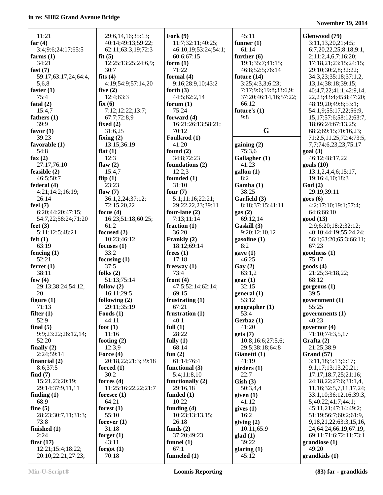| 11:21                | 29:6,14,16;35:13;     | Fork $(9)$           | 45:11                 | Glenwood (79)                 |
|----------------------|-----------------------|----------------------|-----------------------|-------------------------------|
| far $(4)$            | 40:14;49:13;59:22;    | 11:7;32:11;40:25;    | funner $(1)$          | 3:11,13,20,21;4:5;            |
| 3:4;9:6;24:17;65:5   | 62:11;63:3,19;72:3    | 46:10,19;53:24;54:1; | 61:14                 | 6:7,20,22,25;8:18;9:1,        |
| farms $(1)$          | fit(5)                | 60:6;67:15           | further $(6)$         | 2;11:2,4,6,7;16:20;           |
| 34:21                | 12:25;13:25;24:6,9;   |                      | 19:1;35:7;41:15;      |                               |
|                      | 30:7                  | form $(1)$<br>71:22  |                       | 17:18,21;23:15;24:15;         |
| fast $(7)$           |                       |                      | 46:8;52:5;76:14       | 29:10;30:2,8;32:22;           |
| 59:17;63:17,24;64:4, | fits $(4)$            | formal $(4)$         | future $(14)$         | 34:3,23;35:18;37:1,2,         |
| 5,6,8                | 4:19;54:9;57:14,20    | 9:16;28:9,10;43:2    | 3:25;4:3,3;6:23;      | 13, 14; 38: 18; 39: 15;       |
| faster $(1)$         | five $(2)$            | forth $(3)$          | 7:17;9:6;19:8;33:6,9; | 40:4,7,22;41:1;42:9,14,       |
| 75:4                 | 12:4;63:3             | 44:5;62:2,14         | 37:20;46:14,16;57:22; | 22, 23; 43: 4; 45: 8; 47: 20; |
| fatal $(2)$          | fix(6)                | forum $(1)$          | 66:12                 | 48:19,20;49:8;53:1;           |
| 15:4.7               | 7:12:12:22:13:7;      | 75:24                | future's $(1)$        | 54:1,9;55:17,22;56:9,         |
| fathers $(1)$        | 67:7;72:8,9           | forward $(4)$        | 9:8                   | 15, 17; 57: 6; 58: 12; 63: 7, |
| 39:9                 | fixed $(2)$           | 16:21;26:13;58:21;   |                       | 18;66:24;67:13,25;            |
| favor $(1)$          | 31:6,25               | 70:12                | G                     | 68:2;69:15;70:16,23;          |
| 39:23                | fixing $(2)$          | Foulkrod (1)         |                       | 71:2,5,11,25;72:4;73:5,       |
| favorable $(1)$      | 13:15;36:19           | 41:20                | gaining(2)            | 7,7;74:6,23,23;75:17          |
| 54:8                 | flat $(1)$            | found $(2)$          | 75:3,6                | goal(3)                       |
| fax $(2)$            | 12:3                  | 34:8;72:23           | Gallagher (1)         | 46:12:48:17.22                |
| 27:17;76:10          | flaw $(2)$            | foundations (2)      | 41:23                 | $\text{goals}$ (10)           |
| feasible (2)         | 15:4,7                | 12:2,3               | gallon (1)            | 13:1,2,4,4,6;15:17,           |
| 46:5;50:7            | flip $(1)$            | founded (1)          | 8:2                   | 19;16:4,10;18:3               |
| federal(4)           | 23:23                 | 31:10                | Gamba (1)             | God(2)                        |
| 4:21;14:2;16:19;     | flow $(7)$            | four $(7)$           | 38:25                 | 29:19:39:11                   |
| 26:14                | 36:1,2,24;37:12;      | 5:1;11:16;22:21;     | Garfield (3)          | goes(6)                       |
| feel $(7)$           | 72:15,20,22           | 29:22,22,23;39:11    | 8:18;37:15;41:11      | 4:2;17:10;19:1;57:4;          |
| 6:20;44:20;47:15;    | focus $(4)$           | four-lane $(2)$      | gas(2)                | 64:6;66:10                    |
| 54:7,22;58:24;71:20  | 16:23;51:18;60:25;    | 7:13;11:14           | 69:12,14              | good (13)                     |
| feet $(3)$           | 61:2                  | fraction $(1)$       | Gaskill (3)           | 2:9;6:20;18:2;32:12;          |
| 5:11;12:5;48:21      | focused (2)           | 36:20                | 9:20;12:10,12         | 40:10;44:19;55:24,24;         |
| felt $(1)$           | 10:23;46:12           | Frankly (2)          |                       | 56:1;63:20;65:3;66:11;        |
| 63:19                |                       |                      | gasoline $(1)$        | 67:23                         |
|                      | focuses $(1)$<br>33:2 | 18:12;69:14          | 8:2                   |                               |
| fencing $(1)$        |                       | frees $(1)$          | gave(1)               | goodness (1)                  |
| 52:21                | focusing $(1)$        | 17:18                | 46:25                 | 75:17                         |
| ferret $(1)$         | 37:5                  | freeway $(1)$        | $\text{Gay}(2)$       | $\mathbf{goods}\$ $(4)$       |
| 38:11                | folks $(2)$           | 73:4                 | 63:1,2                | 21:25;34:18,22;               |
| few $(4)$            | 51:13;75:14           | front $(4)$          | gen(1)                | 68:12                         |
| 29:13;38:24;54:12,   | follow $(2)$          | 47:5;52:14;62:14;    | 32:15                 | gorgeous (1)                  |
| 20                   | 16:11;29:5            | 69:15                | general(1)            | 39:5                          |
| figure $(1)$         | following $(2)$       | frustrating $(1)$    | 53:12                 | government (1)                |
| 71:13                | 29:11;35:19           | 67:21                | geographer (1)        | 55:25                         |
| filter $(1)$         | Foods $(1)$           | frustration $(1)$    | 53:4                  | governments $(1)$             |
| 52:9                 | 44:11                 | 40:1                 | Gerbaz(1)             | 40:23                         |
| final $(5)$          | foot $(1)$            | full $(1)$           | 41:20                 | governor $(4)$                |
| 9:9;23:22;26:12,14;  | 11:16                 | 28:22                | gets(7)               | 71:10;74:3,5,17               |
| 52:20                | footing $(2)$         | fully $(1)$          | 10:8;16:6;27:5,6;     | Grafta (2)                    |
| finally $(2)$        | 12:3,9                | 68:14                | 29:5;38:18;64:8       | 21:25;38:9                    |
| 2:24;59:14           | Force $(4)$           | fun $(2)$            | Gianetti (1)          | Grand (57)                    |
| financial $(2)$      | 20:18,22;21:3;39:18   | 61:14;76:4           | 41:19                 | 3:11,18;5:13;6:17;            |
| 8:6;37:5             | forced $(1)$          | functional (3)       | girders(1)            | 9:1,17;13:13,20,21;           |
| find $(7)$           | 30:2                  | 5:4;11:8,10          | 22:7                  | 17:17:18:7,25:21:16:          |
| 15:21,23;20:19;      | forces $(4)$          | functionally $(2)$   | Gish(3)               | 24:18,22;27:6;31:1,4,         |
| 29:14;37:9,11,11     | 11:25;16:22,22;21:7   | 29:16,18             | 50:3,4,4              | 11, 16; 32: 5, 7, 11, 17, 24; |
| finding $(1)$        | foresee $(1)$         | funded $(1)$         | given (1)             | 33:1,10;36:12,16;39:3,        |
| 68:9                 | 64:21                 | 10:22                | 41:12                 | 5;40:22;41:7;44:1;            |
| fine $(5)$           | forest $(1)$          | funding $(4)$        | gives $(1)$           | 45:11,21;47:14;49:2;          |
| 28:23;30:7,11;31:3;  | 55:10                 | 10:23;13:13,15;      | 16:2                  | 51:19;56:7;60:2;61:9,         |
| 73:8                 | forever $(1)$         | 26:18                | giving $(2)$          | 9, 18, 21, 22; 63: 3, 15, 16, |
| finished $(1)$       | 31:18                 | funds $(2)$          | 10:11;65:9            | 24;64:24;66:19;67:19;         |
| 2:24                 | forget $(1)$          | 37:20;49:23          | glad(1)               | 69:11;71:6;72:11;73:1         |
| first $(17)$         | 43:11                 | funnel $(1)$         | 39:22                 | grandiose(1)                  |
| 12:21;15:4;18:22;    | forgot $(1)$          | 67:1                 | glaring $(1)$         | 49:20                         |
| 20:10;22:21;27:23;   | 70:18                 | funneled $(1)$       | 45:12                 | grandkids(1)                  |
|                      |                       |                      |                       |                               |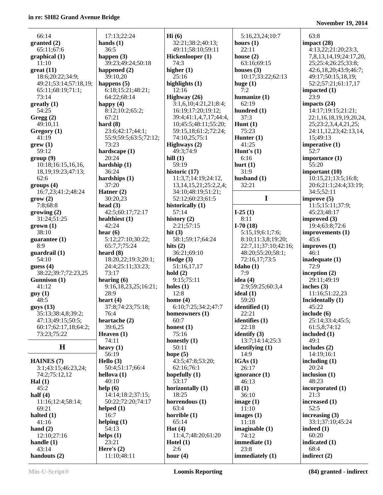| 66:14                   |                          |
|-------------------------|--------------------------|
| granted (2)             | hai                      |
| 65:11;67:6              |                          |
| graphical (1)           | haj                      |
| 11:10                   |                          |
| $great (11)$            | ha                       |
| 18:6;20:22;34:9;        |                          |
| 49:21;53:14;57:18,19;   | ha                       |
| 65:11;68:19;71:1;       | ť                        |
| 73:14                   | ť                        |
| greatly (1)             | ha                       |
| 54:25                   | ξ                        |
| Gregg(2)                | ť                        |
| 49:10,11                | haı                      |
| Gregory (1)             | Î                        |
| 41:19                   |                          |
| $g$ rew $(1)$           |                          |
| 59:12                   | haı                      |
| group(9)                |                          |
| 10:18;16:15,16,16,      | haı                      |
| 18, 19; 19: 23; 47: 13; |                          |
| 62:6                    | hai                      |
| groups (4)              |                          |
| 16:7,23;41:2;48:24      | Ha                       |
| grow(2)                 |                          |
| 7:8;68:8                | hea                      |
| growing (2)             | ۷                        |
| 31:24;51:25             |                          |
| $grown (1)$             | hea<br>۷                 |
| 38:10                   |                          |
| guarantee (1)           | hea                      |
| 8:9                     | t                        |
| guardrail (1)           | hea                      |
| 54:10                   |                          |
| guess $(4)$             |                          |
| 38:22;39:7;72:23,25     | j                        |
| Gunnison (1)            |                          |
| 41:12                   | hea                      |
| guy(1)                  |                          |
| 48:5                    | hea                      |
| guys (13)               |                          |
| 35:13;38:4,8;39:2;      |                          |
| 47:13;49:15;50:5;       | hea                      |
| 60:17;62:17,18;64:2;    |                          |
| 73:23;75:22             | He                       |
|                         |                          |
| Н                       | hea                      |
|                         |                          |
| <b>HAINES</b> (7)       | He                       |
| 3:1;43:15;46:23,24;     |                          |
| 74:2;75:12,12           | hel                      |
| Hal $(1)$               | $\overline{\phantom{a}}$ |
|                         |                          |

| 17:13;22:24                  |
|------------------------------|
| hands $(1)$                  |
| 36:5                         |
| happen (3)                   |
| 39:23;49:24;50:18            |
| happened (2)                 |
| 39:10,20                     |
|                              |
| happens (5)                  |
| 6:18;15:21;48:21;            |
| 64:22;68:14                  |
| happy (4)                    |
| $\overline{8:}12;10:2;65:2;$ |
| 67:21                        |
| hard $(8)$                   |
| 23:6;42:17;44:1;             |
| 55:9;59:5;63:5;72:12;        |
| 73:23                        |
|                              |
| hardscape (1)                |
| 20:24                        |
| hardship (1)                 |
| 36:24                        |
| hardships (1)                |
| 37:20                        |
| Hatner (2)                   |
| 30:20,23                     |
| head $(3)$                   |
|                              |
| 42:5;60:17;72:17             |
| healthiest (1)               |
| 42:24                        |
| hear $(6)$                   |
| 5:12;27:10;30:22;            |
| 65:7,7;75:24                 |
| heard $(8)$                  |
| 18:20,22;19:3;20:1;          |
|                              |
| 24:4;25:11;33:23;            |
| 73:17                        |
| hearing (6)                  |
| 9:16,18,23,25;16:21;         |
| 28:9                         |
| heart $(4)$                  |
| 37:8;74:23;75:18;            |
| 76:4                         |
|                              |
| heartache (2)                |
| 39:6,25                      |
| Heaven (1)                   |
| 74:11                        |
| heavy $(1)$                  |
|                              |
| 56:19                        |
|                              |
| Hello $(3)$                  |
| 50:4;51:17;66:4              |
| hellova (1)                  |
| 40:10                        |
| help(6)                      |
| 14:14;18:2;37:15;            |
| 50:22;72:20;74:17            |
| helped (1)                   |
| 16:7                         |
|                              |
| helping $(1)$                |
| 54:13                        |
| helps $(1)$                  |
| 23:21                        |
| Here's $(2)$<br>11:10;48:11  |

**Hi (6)** 32:21;38:2;40:13; 49:11;58:10;59:11 **Hickenlooper (1)** 74:3 **higher (1)** 25:16 **highlights (1)** 12:16 **Highway (26)** 3:1,6,10;4:21,21;8:4; 16:19;17:20;19:12; 39:4;41:1,4,7,17;44:4, 10;45:5;48:11;55:20; 59:15,18;61:2;72:24; 74:10,25;75:1 **Highways (2)** 49:3;74:9 **hill (1)** 59:19 **historic (17)** 11:3,7;14:19;24:12, 13,14,15,21;25:2,2,4; 34:10;48:19;51:21; 52:12;60:23;61:5 **historically (1)** 57:14 **history (2)** 2:21;57:15 **hit (3)** 58:1;59:17;64:24 **hits (2)** 36:21;69:10 **Hodge (3)** 51:16,17,17 **hold (2)** 9:15;75:11 **holes (1)** 12:8 **home (4)** 6:10;7:25;34:2;47:7 **homeowners (1)** 60:7 **honest (1)** 75:16 **honestly (1)** 50:11 **hope (5)** 43:5;47:8;53:20; 62:16;76:1 **hopefully (1)** 53:17 **horizontally (1)** 18:25 **horrendous (1)** 63:4 **horrible (1)** 65:14 **Hot (4)** 11:4,7;48:20;61:20 **Hotel (1)** 2:6 **hour (4)**

 5:16,23,24;10:7 **hours (1)** 22:11 **house (2)** 63:16;69:15 **houses (3)** 10:17;33:22;62:13 **huge (1)** 7:2 **humanize (1)** 62:19 **hundred (1)** 37:3 **Hunt (1)** 75:23 **Hunter (1)** 41:25 **Hunt's (1)** 6:16 **hurt (1)** 31:9 **husband (1)** 32:21 **I I-25 (1)** 8:11 **I-70 (18)** 5:15,19;6:1;7:6; 8:10;11:3,8;19:20; 22:7,11;37:10;42:16; 48:20;55:20;58:1; 72:16,17;73:5 **Idaho (1)** 7:9 **idea (4)** 2:9;59:25;60:3,4 **ideal (1)** 59:20 **identified (1)** 22:21 **identifies (1)** 22:18 **identify (3)** 13:7;14:14;25:3 **identifying (1)** 14:9 **IGAs (1)** 26:17 **ignorance (1)** 46:13 **ill (1)** 36:10 **image (1)** 11:10 **images (1)** 11:18 **imaginable (1)** 74:12 **immediate (1)** 23:8 **immediately (1)**

**November 19, 2014**

| 63:8                    |
|-------------------------|
| impact (28)             |
| 4:13,22;21:20;23:3,     |
| 7,8,13,14,19;24:17,20,  |
| 25;25:4;26:25;33:8;     |
| 42:6,18,20;43:9;46:7;   |
| 49:17;50:15,18,19;      |
| 52:2;57:21;61:17,17     |
| impacted (1)            |
| 23:9                    |
| impacts (24)            |
| 14:17;19:15;21:21;      |
| 22:1,16,18,19,19,20,24, |
| 25;23:2,3,4,4,21,25;    |
| 24:11,12,23;42:13,14,   |
| 15;49:13                |
| imperative (1)          |
| $\bar{5}2:7$            |
| importance (1)          |
| 55:20                   |
| important (10)          |
| 10:15,21;13:5;16:8;     |
| 20:6;21:1;24:4;33:19;   |
| 34:5;52:11              |
| improve (5)             |
| 11:5;15:11;37:9;        |
| 45:23;48:17             |
| improved (3)            |
| 19:4;63:8;72:6          |
| improvements (1)        |
| 45:6                    |
| improves (1)            |
| 46:1                    |
| inadequate (1)          |
| 72:9                    |
| inception $(2)$         |
| 29:11;49:19             |
| inches (3)              |
| 11:16;51:22,23          |
| Incidentally (1)        |
| 45:22                   |
| include (6)             |
| 25:14;33:4;45:5;        |
| 61:5,8;74:12            |
| included (1)            |
| 49:1                    |
| includes (2)            |
| 14:19;16:1              |
| including (1)           |
| 20:24                   |
| inclusion (1)           |
| 48:23                   |
| incorporated (1)        |
| 21:3                    |
| increased (1)           |
| 52:5                    |
| increasing (3)          |
| 33:1;37:10;45:24        |
| indeed (1)              |
| 60:20                   |
|                         |
| indicated (1)           |
| 68:4<br>indirect (2)    |

 12:10;27:16 **handle (1)** 43:14 **handouts (2)**

 45:2 **half (4)**

 69:21 **halted (1)** 41:16 **hand (2)**

11:16;12:4;58:14;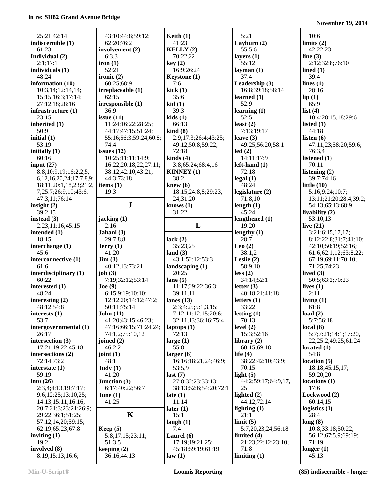| 25:21;42:14                      | 43:10;44:8;59:12;            | Keith $(1)$                 | 5:21                    | 10:6                   |
|----------------------------------|------------------------------|-----------------------------|-------------------------|------------------------|
|                                  |                              | 41:23                       |                         |                        |
| indiscernible (1)                | 62:20;76:2                   |                             | Layburn (2)             | limits $(2)$           |
| 61:23                            | involvement (2)              | KELLY(2)                    | 55:5.6                  | 42:22,23               |
| Individual (2)                   | 6:3,3                        | 70:22,22                    | layers $(1)$            | line $(3)$             |
| 2:1;17:1                         | iron(1)                      | key(2)                      | 55:12                   | 2:12;32:8;76:10        |
| individuals (1)                  | 52:21                        | 16:9;26:24                  | layman $(1)$            | lined $(1)$            |
| 48:24                            | ironic $(2)$                 | Keystone (1)                | 37:4                    | 39:4                   |
| information (10)                 | 60:25;68:9                   | 7:6                         | Leadership (3)          | lines $(1)$            |
| 10:3,14;12:14,14;                | irreplaceable (1)            | kick(1)                     | 16:8;39:18;58:14        | 28:16                  |
| 15:15:16:3:17:14:                | 62:15                        | 35:6                        | learned $(1)$           | lip(1)                 |
| 27:12,18;28:16                   | irresponsible (1)            | kid(1)                      | 52:9                    | 65:9                   |
|                                  | 36:9                         | 39:3                        |                         |                        |
| infrastructure (1)               |                              |                             | learning $(1)$          | list $(4)$             |
| 23:15                            | issue $(11)$                 | kids(1)                     | 52:5                    | 10:4;28:15,18;29:6     |
| inherited (1)                    | 11:24;16:22;28:25;           | 66:13                       | least $(2)$             | listed $(1)$           |
| 50:9                             | 44:17;47:15;51:24;           | $\;$ kind $\;$ (8)          | 7:13;19:17              | 44:18                  |
| initial $(1)$                    | 55:16;56:3;59:24;60:8;       | 2:9;17:3;26:4;43:25;        | leave $(3)$             | listen $(6)$           |
| 53:19                            | 74:4                         | 49:12;50:8;59:22;           | 49:25;56:20;58:1        | 47:11,23;58:20;59:6;   |
| initially $(1)$                  | issues $(12)$                | 72:18                       | led(2)                  | 76:3,4                 |
| 60:16                            | 10:25;11:11;14:9;            | kinds $(4)$                 | 14:11;17:9              | listened (1)           |
| input $(27)$                     | 16:22;20:18,22;27:11;        | 3:8;65:24;68:4,16           | $left$ -hand $(1)$      | 70:11                  |
| 8:8;10:9,19;16:2,2,5,            | 38:12;42:10;43:21;           | <b>KINNEY</b> (1)           | 72:18                   | listening $(2)$        |
|                                  | 44:3;73:18                   | 38:2                        |                         | 39:7;74:16             |
| 6, 12, 16, 20, 24; 17: 7, 8, 9;  |                              |                             | legal(1)                |                        |
| 18:11;20:1,18,23;21:2,           | items $(1)$                  | knew $(6)$                  | 48:24                   | little $(10)$          |
| 7;25:7;26:9,10;43:6;             | 19:3                         | 18:15;24:8,8;29:23,         | legislature $(2)$       | 5:16;9:24;10:7;        |
| 47:3,11;76:14                    |                              | 24;31:20                    | 71:8,10                 | 13:11;21:20;28:4;39:2; |
| insight $(2)$                    | $\mathbf J$                  | knows $(1)$                 | length $(1)$            | 54:13;65:13;68:9       |
| 39:2,15                          |                              | 31:22                       | 45:24                   | livability (2)         |
| instead $(3)$                    | jacking (1)                  |                             | lengthened (1)          | 53:10,13               |
| 2:23;11:16;45:15                 | 2:16                         | L                           | 19:20                   | live $(21)$            |
| intended $(1)$                   | Jahani (3)                   |                             | lengthy $(1)$           | 3:21;6:15,17,17;       |
| 18:15                            | 29:7,8,8                     | lack $(2)$                  | 28:7                    | 8:12;22:8;31:7;41:10;  |
|                                  |                              |                             |                         |                        |
| interchange (1)                  | Jerry(1)                     | 35:23,25                    | Leo $(2)$               | 42:10;50:19;52:16;     |
| 45:6                             | 41:20                        | land $(3)$                  | 38:1,2                  | 61:6;62:1,12;63:8,22;  |
| interconnective (1)              | $\text{Jim} (3)$             | 43:1;52:12;53:3             | Leslie $(2)$            | 67:19;69:11;70:10;     |
| 61:6                             | 40:12,13;73:21               | landscaping (1)             | 58:9,10                 | 71:25;74:23            |
| interdisciplinary (1)            | job $(3)$                    | 20:25                       | less(2)                 | lived $(3)$            |
| 60:22                            | 7:19;32:12;53:14             | lane $(5)$                  | 34:14;52:1              | 50:5;63:2;70:23        |
| interested (1)                   | Joe (9)                      | 11:17;29:22;36:3;           | letter $(3)$            | lives $(1)$            |
| 48:24                            | 6:15;9:19;10:10;             | 39:11,11                    | 40:18,21;41:18          | 2:11                   |
| interesting $(2)$                | 12:12,20;14:12;47:2;         | lanes $(13)$                | letters $(1)$           | living $(1)$           |
| 48:12;54:8                       | 50:11;75:14                  | 2:3;4:25;5:1,3,15;          | 33:22                   | 61:8                   |
| interests $(1)$                  | John(11)                     | 7:12;11:12,15;20:6;         | letting $(1)$           | load $(2)$             |
|                                  |                              |                             |                         |                        |
| 53:7                             | 41:20;43:15;46:23;           | 32:11,13;36:16;75:4         | 70:13                   | 5:7;56:18              |
| intergovernmental (1)            | 47:16;66:15;71:24,24;        | laptops $(1)$               | level $(2)$             | local(8)               |
| 26:17                            | 74:1,2;75:10,12              | 72:13                       | 15:3;52:16              | 5:7;7:21;14:1;17:20,   |
| intersection (3)                 | joined $(2)$                 | large $(1)$                 | library $(2)$           | 22;25:2;49:25;61:24    |
| 17:21;19:22;45:18                | 46:2,2                       | 55:8                        | 60:15:69:18             | located $(1)$          |
| intersections (2)                | joint $(1)$                  | larger(6)                   | life $(4)$              | 54:8                   |
| 72:14;73:2                       | 48:1                         | 16:16;18:21,24;46:9;        | 38:22;42:10;43:9;       | location(5)            |
| interstate $(1)$                 | Judy(1)                      | 53:5,9                      | 70:15                   | 18:18;45:15,17;        |
| 59:19                            | 41:20                        | last $(7)$                  | light $(5)$             | 59:20,20               |
| into $(26)$                      | Junction $(3)$               | 27:8;32:23;33:13;           | 44:2;59:17;64:9,17,     | locations(1)           |
| 2:3,4;4:13,19;7:17;              | 6:17;40:22;56:7              | 38:13;52:6;54:20;72:1       | 25                      | 17:6                   |
|                                  |                              |                             |                         |                        |
| 9:6;12:25;13:10,25;              | June $(1)$                   | late $(1)$                  | lighted $(2)$           | Lockwood (2)           |
| 14:13;15:11;16:16;               | 41:25                        | 11:14                       | 44:12;72:14             | 60:14,15               |
| 20:7;21:3;23:21;26:9;            |                              | later $(1)$                 | lighting $(1)$          | logistics $(1)$        |
| 29:22;36:1;51:25;                | K                            | 15:1                        | 21:1                    | 28:4                   |
| 57:12,14,20;59:15;               |                              | laugh $(1)$                 | limit(5)                | long(8)                |
| 62:19;65:23;67:8                 | Keep $(5)$                   | 7:4                         | 5:7, 20, 23, 24; 56: 18 | 10:8;33:18;50:22;      |
| inviting $(1)$                   | 5:8;17:15;23:11;             | Laurel $(6)$                | limited (4)             | 56:12;67:5,9;69:19;    |
| 19:2                             | 51:3,5                       | 17:19;19:21,25;             | 21:23;22:12;23:10;      | 71:19                  |
|                                  |                              |                             |                         |                        |
|                                  |                              |                             |                         |                        |
| involved (8)<br>8:19;15:13;16:6; | keeping $(2)$<br>36:16;44:13 | 45:18;59:19;61:19<br>law(1) | 71:8<br>limiting $(1)$  | longer $(1)$<br>45:13  |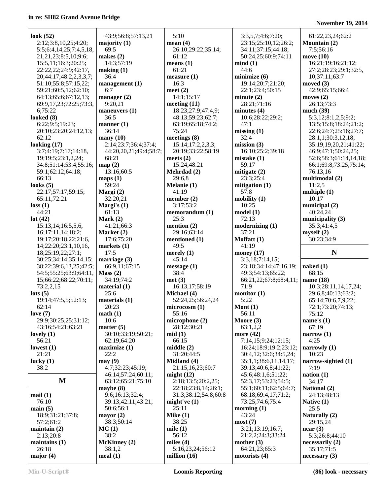**look (52)**

 6;75:22 **looked (8)**

 62:12 **looking (17)**

59:1;62:12 66:13 **looks (5)** 22:17;57:1

 73:2,2,15 **lots (5)**

 62:14 **love (7)** 29:9;30:25

**lovely (1)** 56:21 **lowest (1)** 21:21 **lucky (1)** 38:2

**mail (1)** 76:10 **main (5)** 18:9;31:21 57:2;61:2 **maintain (2)** 2:13;20:8 **maintains (1)** 26:18 **major (4)**

**loss (1)** 44:21 **lot (42)**

| ok (52)                                  | 43:9;56:8;57:13,21                |
|------------------------------------------|-----------------------------------|
| 2:12;3:8,10,25;4:20;                     | majority $(1)$                    |
|                                          |                                   |
| 5:5;6:4,14,25;7:4,5,18,                  | 69:5                              |
| 21,21,23;8:5,10;9:6;                     | makes $(2)$                       |
| 15:5,11;16:3;20:25;                      | 14:3;57:19                        |
| 22:22,22;24:9;42:17,                     | making (1)                        |
| 20;44:17;48:2,2,3,3,7;                   | 36:4                              |
| 51:10;55:8;57:15,22;                     |                                   |
|                                          | management (1)                    |
| 59:21;60:5,12;62:10;                     | 6:7                               |
| 64:13;65:6;67:12,13;                     | manager $(2)$                     |
| 69:9,17,23;72:25;73:3,                   | 9:20,21                           |
| 6;75:22                                  | maneuvers $(1)$                   |
| oked (8)                                 | 36:5                              |
| 6:22;9:5;19:23;                          |                                   |
|                                          | manner $(1)$                      |
| 20:10;23:20;24:12,13;                    | 36:14                             |
| 62:12                                    | $\boldsymbol{\mathrm{many}}$ (10) |
| oking (17)                               | 2:14;23:7;36:4;37:4;              |
| 3:7;4:19;7:17;14:18,                     | 44:20,20,21;49:4;58:7             |
| 19;19:5;23:1,2,24;                       | 68:21                             |
| 34:8;51:14;53:4;55:16;                   |                                   |
|                                          | map(2)                            |
| 59:1;62:12;64:18;                        | 13:16;60:5                        |
| 66:13                                    | maps(1)                           |
| oks (5)                                  | 59:24                             |
| 22:17;57:17;59:15;                       | Margi (2)                         |
| 65:11;72:21                              | 32:20,21                          |
|                                          |                                   |
| ss(1)                                    | Margi's (1)                       |
| 44:21                                    | 61:13                             |
| t(42)                                    | Mark $(2)$                        |
| 15:13,14;16:5,5,6,                       | 41:21;66:3                        |
| 16;17:11,14;18:2;                        | Market (2)                        |
| 19:17;20:18,22;21:6,                     | 17:6;75:20                        |
| 14;22:20;23:1,10,16,                     |                                   |
|                                          | markets (1)                       |
| 18;25:19,22;27:1;                        | 17:5                              |
| 30:25;34:14;35:14,15;                    | marriage $(3)$                    |
| 38:22;39:6,13,25;42:5;                   | 66:9,11;67:15                     |
| 54:5;55:25;63:9;64:11,                   | Mass(2)                           |
| 15;66:22;68:22;70:11;                    | 34:19;74:2                        |
| 73:2,2,15                                | material $(1)$                    |
|                                          |                                   |
| ts(5)                                    | 25:6                              |
| 19:14;47:5,5;52:13;                      | materials (1)                     |
| 62:14                                    | 20:23                             |
| ve (7)                                   | math(1)                           |
| 29:9;30:25,25;31:12;                     | 10:6                              |
| 43:16;54:21;63:21                        | matter $(5)$                      |
|                                          |                                   |
| $\text{vely}(1)$                         | 30:10;33:19;50:21;                |
| 56:21                                    | 62:19;64:20                       |
| west (1)                                 | maximize (1)                      |
| 21:21                                    | 22:2                              |
| cky(1)                                   | may(9)                            |
| 38:2                                     | 4:7;32:23;45:19;                  |
|                                          | 46:14;57:24;60:11;                |
|                                          |                                   |
| M                                        | 63:12;65:21;75:10                 |
|                                          | maybe $(8)$                       |
| ail (1)                                  | 9:6;16:13;32:4;                   |
| 76:10                                    | 39:13;42:11;43:21;                |
| $\sin(5)$                                | 50:6;56:1                         |
|                                          |                                   |
|                                          |                                   |
| 18:9;31:21;37:8;                         | mayor $(2)$                       |
| 57:2;61:2                                | 38:3;50:14                        |
|                                          | MC(1)                             |
|                                          | 38:2                              |
|                                          |                                   |
| aintain (2)<br>2:13;20:8<br>aintains (1) | McKinney (2)                      |
| 26:18                                    | 38:1,2                            |
| ajor (4)                                 | meal(1)                           |

|   | 5:10                                      |
|---|-------------------------------------------|
|   | mean(4)                                   |
|   | 26:10;29:22;35:14;                        |
|   | 61:12<br>means(1)                         |
|   | 61:21                                     |
|   | measure (1)                               |
|   | 16:3                                      |
|   | meet(2)                                   |
|   | 14:1;15:17                                |
|   | meeting $(11)$                            |
|   | 18:23;27:9;47:4,9;                        |
|   | 48:13;59:23;62:7;<br>63:19;65:18;74:2;    |
|   | 75:24                                     |
|   | meetings (8)                              |
|   | 15:14;17:2,2,3,3;                         |
| ; | 20:19;33:22;58:19                         |
|   | meets $(2)$                               |
|   | 15:24;48:21<br>Mehrdad (2)                |
|   | 29:6,8                                    |
|   | Melanie (1)                               |
|   | 41:19                                     |
|   | member (2)                                |
|   | 3:17;53:2                                 |
|   | memorandum (1)<br>25:3                    |
|   | mention $(2)$                             |
|   | 29:16;63:14                               |
|   | mentioned (1)                             |
|   | 49:5                                      |
|   | merely (1)                                |
|   | 45:14<br>message(1)                       |
|   | 38:4                                      |
|   | met(3)                                    |
|   | 16:13,17;58:19                            |
|   | Michael (4)                               |
|   | 52:24,25;56:24,24<br>microcosm (1)        |
|   | 55:16                                     |
|   | microphone (2)                            |
|   | 28:12;30:21                               |
|   | mid(1)                                    |
|   | 66:15                                     |
|   | middle (2)<br>31:20;44:5                  |
|   | Midland (4)                               |
|   | 21:15,16,23;60:7                          |
|   | might $(12)$                              |
|   | 2:18;13:5;20:2,25;<br>22:18;23:8,14;26:1; |
|   | 31:3;38:12;54:8;60:8                      |
|   | might've (1)                              |
|   | 25:11                                     |
|   | Mike $(1)$                                |
|   | 38:25                                     |
|   | mile $(1)$<br>56:12                       |
|   | miles $(4)$                               |
|   | 5:16,23,24;56:12                          |
|   | million (16)                              |
|   |                                           |

 3:3,5,7;4:6;7:20; 23:15;25:10,12;26:2; 34:11;37:15;44:18; 50:24,25;60:9;74:11 **mind (1)** 44:6 **minimize (6)** 19:14;20:7;21:20; 22:1;23:4;50:15 **minute (2)** 28:21;71:16 **minutes (4)** 10:6;28:22;29:2; 47:1 **missing (1)** 32:4 **mission (3)** 16:10;25:2;39:18 **mistake (1)** 59:17 **mitigate (2)** 23:3;25:4 **mitigation (1)** 57:8 **mobility (1)** 10:25 **model (1)** 72:13 **modernizing (1)** 37:21 **Moffatt (1)** 41:19 **money (17)** 3:3,18;7:14,15; 23:18;34:14;47:16,19; 49:3;54:13;65:22; 66:21,22;67:8;68:4,11; 71:9 **monitor (1)** 5:22 **Mont (1)** 56:11 **Moore (3)** 63:1,2,2 **more (42)** 7:14,15;9:24;12:15; 16:24;18:9;19:2;23:12; 30:4,12;32:6;34:5,24; 35:1,1;38:6,11,14,17; 39:13;40:6,8;41:22; 45:6;48:1,6;51:22; 52:3,17;53:23;54:5; 55:1;60:11;62:5;64:7; 68:18;69:4,17;71:2; 73:25;74:6;75:4 **morning (1)** 43:24 **most (7)** 3:21;13:19;16:7; 21:2,2;24:3;33:24 **mother (3)** 64:21,23;65:3 **motorists (4)**

| 61:22,23,24;62:2                                |
|-------------------------------------------------|
| <b>Mountain (2)</b><br>7:5;56:16                |
| move (10)<br>16:21;19:16;21:12;                 |
| 27:2;28:23;29:1;32:5,<br>10;37:11;63:7          |
| moved $(3)$                                     |
| 42:9;65:15;66:4<br>moves $(2)$                  |
| 26:13;73:3<br>much (39)                         |
| 5:3,12;8:1,2,5;9:2;<br>13:5;15:8;18:24;21:2;    |
| 22:6;24:7;25:16;27:7;                           |
| 28:1,1;30:3,12,18;<br>35:19,19,20,21;41:22;     |
| 46:9;47:1;50:24,25;<br>52:6;58:3;61:14,14,18;   |
| 66:1;69:8;73:25;75:14;                          |
| 76:13,16<br>multimodal (2)                      |
| 11:2,5<br>multiple (1)                          |
| 10:17<br>municipal (2)                          |
| 40:24,24                                        |
| municipality (3)<br>35:3;41:4,5                 |
| myself(2)<br>30:23;34:9                         |
|                                                 |
| N                                               |
| naked (1)                                       |
| 68:15<br>name (18)                              |
| 10:3;28:11,14,17,24;                            |
| 29:6,8;40:13;63:2;<br>65:14;70:6,7,9,22;        |
| 72:1;73:20;74:13;<br>75:12                      |
| name's (1)                                      |
| 67:19<br>narrow (1)                             |
| 4:25<br>narrowly (1)                            |
| 10:23<br>narrow-sighted (1)                     |
| 7:19                                            |
| nation (1)<br>34:17                             |
| <b>National (2)</b><br>24:13;48:13              |
| Native (1)<br>25:5                              |
| Naturally (2)                                   |
| 29:15,24<br>near(3)                             |
| 5:3;26:8;44:10<br>necessarily (2)<br>35:17;71:5 |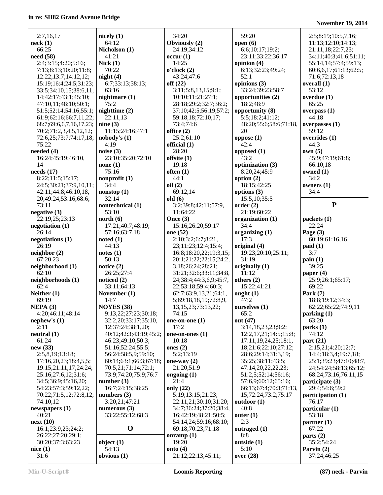| 2:7,16,17               | nicely $(1)$           | 34:20                            | 59:20                    | 2:5;8:19;10:5,7,16;         |
|-------------------------|------------------------|----------------------------------|--------------------------|-----------------------------|
| neck(1)                 | 64:12                  | Obviously (2)                    | open $(6)$               | 11:13;12:10;14:13;          |
| 66:25                   | Nicholson (1)          | 24:19:34:12                      | 6:6;10:17;19:2;          | 21:11,18;22:7,23;           |
| need (58)               | 41:21                  | occur(1)                         | 23:11;33:22;36:17        | 34:11;40:3;41:6;51:11;      |
| 2:4;3:15;4:20;5:16;     | Nick(1)                | 14:25                            | opinion $(4)$            | 55:14,14;57:4;59:13;        |
| 7:13;8:13;10:20;11:8;   | 70:22                  | o'clock(2)                       | 6:13;32:23;49:24;        | 60:6,6,17;61:13;62:5;       |
| 12:22;13:7;14:12,12;    | night(4)               | 43:24;47:6                       | 52:1                     | 71:6;72:13,18               |
| 15:19;16:4;24:5;31:23;  | 6:7;33:13;38:13;       | off $(22)$                       | opinions (3)             | overall $(1)$               |
| 33:5;34:10,15;38:6,11,  | 63:16                  | 3:11;5:8,13,15;9:1;              | 33:24;39:23;58:7         | 53:12                       |
| 14;42:17;43:1;45:10;    | nightmare (1)          | 10:10;11:21;27:1;                | opportunities (2)        | overdue $(1)$               |
| 47:10,11;48:10;50:1;    | 75:2                   | 28:18;29:2;32:7;36:2;            | 18:2;48:9                | 65:25                       |
| 51:5;52:14;54:16;55:1;  | nighttime (2)          | 37:10;42:5;56:19;57:2;           | opportunity (8)          | overpass $(1)$              |
| 61:9;62:16;66:7,11,22;  | 22:11,13               | 59:18,18;72:10,17;               | 5:5;18:2;41:12;          | 44:18                       |
| 68:7;69:6,6,7,16,17,23; | nine $(3)$             | 73:4;74:6                        | 48:20;55:6;58:6;71:18,   | overpasses $(1)$            |
| 70:2;71:2,3,4,5,12,12;  | 11:15;24:16;47:1       | office $(2)$                     | 20                       | 59:12                       |
| 72:6,25;73:7;74:17,18;  | nobody's (1)           | 25:2;61:10                       | oppose(1)                | overrides $(1)$             |
| 75:22                   | 4:19                   | official (1)                     | 42:4                     | 44:3                        |
| needed (4)              | noise $(3)$            | 28:20                            | opposed $(1)$            | own(5)                      |
| 16:24;45:19;46:10,      | 23:10;35:20;72:10      | offsite $(1)$                    | 43:2                     | 45:9;47:19;61:8;            |
| 14                      | none(1)                | 19:18                            | optimization (3)         | 66:10,18                    |
| needs $(17)$            | 75:16                  | often(1)                         | 8:20,24;45:9             | owned $(1)$                 |
| 8:22;11:5;15:17;        | nonprofit $(1)$        | 44:1                             | option $(2)$             | 34:2                        |
| 24:5;30:21;37:9,10,11;  | 34:4                   | oil(2)                           | 18:15:42:25              | owners $(1)$                |
| 42:11;44:8;46:10,18,    | nonstop(1)             | 69:12,14                         | options $(3)$            | 34:4                        |
| 20;49:24;53:16;68:6;    | 32:14                  | old(6)                           | 15:5, 10; 35:5           |                             |
| 73:11                   | nontechnical (1)       | 3:2;39:8;42:11;57:9,             | order(2)                 | ${\bf P}$                   |
| negative(3)             | 53:10                  | 11;64:22                         | 21:19;60:22              |                             |
| 22:19,25;23:13          | north (6)              | Once $(3)$                       | organization (1)         | packets(1)                  |
| negotiation (1)         | 17:21;40:7;48:19;      | 15:16;26:20;59:17                | 34:4                     | 22:24                       |
| 26:14                   | 57:16;63:7,18          | one (52)                         | organizing $(1)$         | Page $(3)$                  |
| negotiations (1)        | noted(1)               | 2:10;3:2;6:7;8:21,               | 17:3                     | 60:19;61:16,16              |
| 26:19                   | 44:13                  | 23;11:23;12:4;15:4;              | original (4)             | paid(1)                     |
| neighbor(2)             | notes(1)               | 16:8;18:20,22;19:3,15;           | 19:23;20:10;25:11;       | 3:7                         |
| 67:20,23                | 50:13                  | 20:1;21:22;22:15;24:2,           | 31:19                    | $\operatorname{pain}(1)$    |
| neighborhood (1)        | notice $(2)$           | 3,18;26:24;28:21;                | originally (1)           | 39:25                       |
| 62:10                   | 26:25;27:4             | 31:21;32:6;33:11;34:8,           | 11:12                    | paper $(4)$                 |
| neighborhoods (1)       | noticed (2)            | 24;38:4;44:3,6,9;45:7,           | others $(2)$             | 25:9;26:1;65:17;            |
| 62:4                    | 33:11;64:13            | 22;53:18;59:4;60:3;              | 15:22;41:21              | 69:22                       |
| Neither $(1)$           | November (1)           | 62:7;63:9,13,21;64:1,            | ought $(1)$              | Park $(7)$                  |
| 69:19                   | 14:7                   | 5;69:18,18,19;72:8,9,            | 47:2                     | 18:8;19:12;34:3;            |
| NEPA(3)                 | <b>NOYES</b> (38)      | 13, 15, 23; 73: 13, 22;          | ourselves (1)            | 62:22;65:22;74:9,11         |
| 4:20;46:11;48:14        | 9:13,22;27:23;30:18;   | 74:15                            | 65:2                     | parking (1)                 |
| nephew's $(1)$          | 32:2,20;33:17;35:10,   | one-on-one $(1)$                 | out (47)                 | 63:20                       |
| 2:11                    | 12;37:24;38:1,20;      | 17:2                             | 3:14,18,23,23;9:2;       | parts(1)                    |
| neutral (1)             | 40:12;42:3;43:19;45:2; | one-on-ones $(1)$                | 12:2,17,21;14:5;15:8;    | 74:12                       |
| 61:24                   | 46:23;49:10;50:3;      | 10:18                            | 17:11, 19, 24, 25; 18:1, | part(21)                    |
| new (33)                | 51:16;52:24;55:5;      | ones $(2)$                       | 18;21:6;22:10;27:12;     | 2:15,21;4:20;12:7;          |
| 2:5,8,19;13:18;         | 56:24;58:5,9;59:10;    | 5:2;13:19                        | 28:6;29:14;31:3,19;      | 14:4;18:3,4;19:7,18;        |
| 17:16,20,23;18:4,5,5;   | 60:14;63:1;66:3;67:18; | one-way $(2)$                    | 35:25;38:11;43:5;        | 25:1;39:23;47:10;48:7,      |
| 19:15;21:11,17;24:24;   | 70:5,21;71:14;72:1;    | 21:20;51:9                       | 47:14,20,22,22,23;       | 24;54:24;58:13;65:12;       |
| 25:16;27:6,12;31:6;     | 73:9;74:20;75:9;76:7   | ongoing $(1)$                    | 51:2,5;52:14;56:16;      | 68:24;73:16;76:11,15        |
| 34:5;36:9;45:16,20;     | number $(3)$           | 21:4                             | 57:6,9;60:12;65:16;      | participate (3)             |
| 54:23;57:3;59:12,22;    | 16:7;24:15;38:25       | only $(22)$                      | 66:13;67:4;70:3;71:13,   | 29:4:54:6:59:2              |
| 70:22;71:5,12;72:8,12;  | numbers $(3)$          | 5:19;13:15;21:23;                | 15;72:24;73:2;75:17      | participation (1)           |
| 74:10,12                | 3:20,21;47:21          | 22:11,21;30:10;31:20;            | outdoor (1)              | 76:17                       |
|                         |                        |                                  |                          |                             |
| newspapers $(1)$        | numerous $(3)$         | 34:7;36:24;37:20;38:4,           | 40:8                     | particular (1)              |
| 40:21                   | 33:22;55:12;68:3       | 16;42:19;48:21;50:5;             | outer $(1)$              | 53:18                       |
| next(10)                |                        | 54:14,24;59:16;68:10;            | 2:3                      | partner(1)                  |
| 16:1;23:9,23;24:2;      | $\mathbf 0$            | 69:18;70:23;71:18                | outraged (1)             | 67:22                       |
| 26:22;27:20;29:1;       |                        | onramp $(1)$                     | 8:8                      | parts(2)                    |
| 30:20;37:3;63:23        | object $(1)$           | 19:20                            | outside (1)              | 35:2;54:24                  |
| nice(1)<br>31:6         | 54:13<br>obvious $(1)$ | onto $(4)$<br>21:12;22:13;45:11; | 5:10<br>over $(28)$      | Parvin $(2)$<br>37:24;46:25 |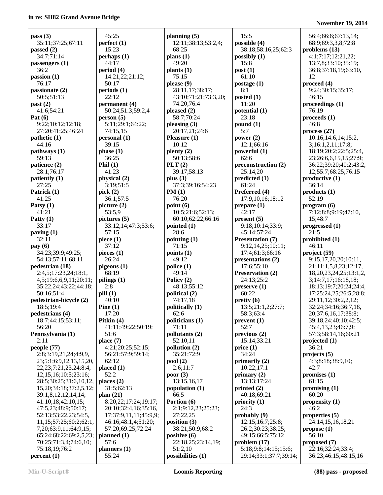> 20;37:6,16,17;38:8; 39:18,24;40:10;42:5; 45:4,13,23;46:7,9; 57:3;58:14,16;60:21 **projected (1)** 36:21 **projects (5)** 4:3;8:18;38:9,10; 42:7 **promises (1)** 61:15 **promising (1)** 60:20 **propensity (1)** 46:2 **properties (5)** 24:14,15,16,18,21 **propose (1)** 56:10 **proposed (7)** 22:16;32:24;33:4; 36:23;46:15;48:15,16 **Min-U-Script® Loomis Reporting (88) pass - proposed**

| 52:13;53:22,23<br>11,15;57:25;60<br>7,20;63:9,11;64<br>65:24;68:22;69<br>70:25;71:3,4;74<br>75:18,19;76:2 |
|-----------------------------------------------------------------------------------------------------------|
| percent(1)                                                                                                |
| Min-U-Script <sup>®</sup>                                                                                 |

| pass(3)                              | 45:25                      |
|--------------------------------------|----------------------------|
| 35:11;37:25;67:11                    | perfect(1)                 |
| passed $(2)$                         | 15:23                      |
| 34:7;71:14                           | perhaps(1)                 |
| passengers (1)                       | 44:17                      |
| 36:2                                 | period (4)                 |
| passion(1)                           | 14:21,22;21:12;            |
| 76:17                                | 50:17                      |
| passionate (2)                       | periods (1)                |
| 50:5;51:13                           | 22:12                      |
| past (2)                             | permanent (4)              |
| 41:6;54:21                           | 50:24;51:3;59:2,4          |
| Pat $(6)$                            | person(5)                  |
| 9:22;10:12;12:18;                    | 5:11;29:1;64:22;           |
| 27:20;41:25;46:24                    | 74:15,15                   |
| $\mathbf{pathetic}\left(1\right)$    | personal (1)               |
| 44:16                                | 39:15                      |
| pathways (1)                         | phase(1)                   |
| 59:13                                | 36:25                      |
| patience (2)                         | Phil $(1)$                 |
| 28:1;76:17                           | 41:23                      |
| patiently (1)                        | physical (2)               |
| 27:25                                | 3:19;51:5                  |
| Patrick (1)                          | pick $(2)$                 |
| 41:25                                | 36:1;57:5                  |
| Patsy $(1)$                          | picture $(2)$              |
| 41:21                                | 53:5,9                     |
| Patty $(1)$                          | picture (5)                |
| 33:17                                | 33:12,14;47:3;53:6;        |
| paving $(1)$<br>32:11                | 57:15                      |
|                                      | piece $(1)$                |
|                                      |                            |
| pay(6)                               | 37:12                      |
| 34:23;39:9;49:25;                    | pieces $(1)$               |
| 54:13;57:11;68:11                    | 26:24                      |
| pedestrian (18)                      | pigeons (1)                |
| 2:4,5;17:23,24;18:1,                 | 68:19                      |
| 4,5;19:6,6,9,11;20:11;               | pilings $(1)$              |
| 35:22,24;43:22;44:18;                | 2:8                        |
| 50:16;51:4                           | pill(1)                    |
| pedestrian-bicycle (2)               | 40:10                      |
| 18:5;19:4                            | Pine $(1)$                 |
| pedestrians (4)                      | 17:20                      |
| 18:7;44:15;53:11;<br>56:20           | Pitkin (4)                 |
|                                      | 41:11;49:22;50:19;         |
| Pennsylvania (1)<br>2:11             | 51:6                       |
|                                      | place $(7)$                |
| people (77)<br>2:8;3:19,21,24;4:9,9, | 4:21;20:25;52:15;          |
| 23;5:1;6:9,12,13,15,20,              | 56:21;57:9;59:14;<br>62:12 |
| 22, 23; 7: 21, 23, 24; 8: 4,         | placed (1)                 |
| 12, 15, 16; 10: 5; 23: 16;           | 52:2                       |
| 28:5;30:25;31:6,10,12,               | places $(2)$               |
| 15, 20; 34: 18; 37: 2, 5, 12;        | 31:5;62:13                 |
| 39:1,8,12,12,14,14;                  | plan $(21)$                |
| 41:10,18;42:10,15;                   | 8:20,22;17:24;19:17;       |
| 47:5,23;48:9;50:17;                  | 20:10;32:4,16;35:16,       |
| 52:13;53:22,23;54:5,                 | 17;37:9,11,11;45:9,9;      |
| 11,15;57:25;60:2;62:1,               | 46:16;48:1,4;51:20;        |
| 7,20;63:9,11;64:9,15;                | 57:20;69:25;72:24          |
| 65:24;68:22;69:2,5,23;               | planned(1)                 |
| 70:25;71:3,4;74:6,10;                | 57:6                       |
| 75:18,19;76:2<br>percent(1)          | planners (1)<br>55:24      |

| planning (5)                      |
|-----------------------------------|
| 12:11;38:13;53:2,4;               |
| 68:25                             |
| plans $(1)$<br>49:20              |
| plants(1)                         |
| 75:15                             |
| please (9)                        |
| 28:11,17;38:17;                   |
| 43:10;71:21;73:3,20;              |
| 74:20;76:4                        |
| pleased (2)                       |
| 58:7;70:24                        |
| pleasing (3)<br>20:17,21;24:6     |
| Pleasure (1)                      |
| 10:12                             |
| plenty (2)                        |
| 50:13;58:6                        |
| PLT(2)                            |
| 39:17;58:13                       |
| plus $(3)$                        |
| 37:3;39:16;54:23                  |
| PM(1)                             |
| 76:20<br>point(6)                 |
| 10:5;21:6;52:13;                  |
| 60:10;62:22;66:16                 |
| pointed (1)                       |
| 28:6                              |
| pointing $(1)$                    |
| 71:15                             |
| points (1)                        |
| 49:12                             |
| police (1)<br>49:14               |
| Policy (2)                        |
| 48:13;55:12                       |
| political (2)                     |
| 74:17,18                          |
| politically (1)                   |
| 62:6                              |
| politicians (1)                   |
| 71:11<br>pollutants (2)           |
| 52:10,11                          |
| pollution (2)                     |
| 35:21;72:9                        |
| pool(2)                           |
| 2:6;11:7                          |
| poor(3)                           |
| 13:15,16,17                       |
| population (1)                    |
| 66:5                              |
| Portion (6)<br>2:1;9:12,23;25:23; |
| 27:22,25                          |
| position (3)                      |
| 38:21;50:9;68:2                   |
| positive (6)                      |
| 22:18,25;23:14,19;                |
| 51:2,10<br>possibilities (1)      |
|                                   |

 15:5 **possible (4)** 38:18;58:16,25;62:3 **possibly (1)** 15:8 **post (1)** 61:10 **postage (1)** 8:1 **posted (1)** 11:20 **potential (1)** 23:18 **pound (1)** 5:7 **power (2)** 12:1;66:16 **powerful (1)** 62:6 **preconstruction (2)** 25:14,20 **predicted (1)** 61:24 **Preferred (4)** 17:9,10,16;18:12 **prepare (1)** 42:17 **present (5)** 9:18;10:14;33:9; 45:14;57:24 **Presentation (7)** 9:12,14,25;10:11; 17:4;61:3;66:16 **presentations (2)** 17:6;55:10 **Preservation (2)** 24:13;25:2 **preserve (1)** 60:22 **pretty (6)** 13:5;21:1,2;27:7; 58:3;63:4 **prevent (1)** 52:7 **previous (2)** 15:14;33:21 **price (1)** 34:24 **primarily (2)** 10:22;17:1 **primary (2)** 13:13;17:24 **printed (2)** 40:18;69:21 **priority (1)** 24:3 **probably (9)** 12:15;16:7;25:8; 26:2;30:23;38:25; 49:15;66:5;75:12 **problem (17)** 5:18;9:8;14:15;15:6; 29:14;33:1;37:7;39:14;  56:4;66:6;67:13,14; 68:9;69:3,3,8;72:8

 4:1;7:17;12:21,22; 13:7,8;33:10;35:19; 36:8;37:18,19;63:10,

9:24;30:15;35:17;

 10:16;14:6,14;15:2, 3;16:1,2,11;17:8; 18:19;20:2;22:5;25:4, 23;26:6,6,15,15;27:9; 36:22;39:20;40:2;43:2, 12;55:7;68:25;76:15

7:12;8:8;9:19;47:10,

 9:15,17,20,20;10:11, 21;11:1,5,8,23;12:17, 18,20,23,24,25;13:1,2, 3;14:7,17;16:18,18; 18:13;19:7;20:24;24:4, 17;25:24,25;26:5;28:8; 29:11,12;30:2,2,12; 32:24;34:16;36:7,18,

**productive (1)** 36:14 **products (1)** 52:19 **program (6)**

 15;48:7 **progressed (1)** 21:5 **prohibited (1)** 46:11 **project (59)**

**problems (13)**

 12 **proceed (4)**

 46:15 **proceedings (1)** 76:19 **proceeds (1)** 46:8 **process (27)**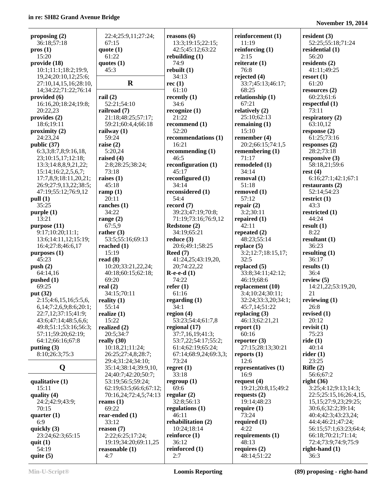| proposing $(2)$        | 22:4;25:9,11;27:24;    | reasons $(6)$         | reinforcement (1)   | resident $(3)$             |
|------------------------|------------------------|-----------------------|---------------------|----------------------------|
| 36:18;57:18            | 67:15                  | 13:3;19:15;22:15;     | 11:19               | 52:25;55:18;71:24          |
| prox(1)                | quote $(1)$            | 42:5;45:12;63:22      | reinforcing (1)     | residential (1)            |
| 15:20                  | 61:22                  | rebuilding $(1)$      | 2:15                | 56:20                      |
| provide (18)           | quotes $(1)$           | 74:9                  | reiterate $(1)$     | residents (2)              |
| 10:1;11:1;18:2;19:9,   | 45:3                   | rebuilt(1)            | 76:8                | 41:11;49:25                |
| 19,24;20:10,12;25:6;   |                        | 34:13                 | rejected $(4)$      | resort $(1)$               |
|                        | $\mathbf R$            |                       |                     |                            |
| 27:10,14,15,16;28:10,  |                        | rec(1)                | 33:7;45:13;46:17;   | 61:20                      |
| 14;34:22;71:22;76:14   |                        | 61:10                 | 68:25               | resources $(2)$            |
| provided (6)           | rail $(2)$             | recently $(1)$        | relationship (1)    | 60:23;61:6                 |
| 16:16,20;18:24;19:8;   | 52:21;54:10            | 34:6                  | 67:21               | respectful $(1)$           |
| 20:22,23               | railroad (7)           | recognize(1)          | relatively $(2)$    | 73:11                      |
| provides (2)           | 21:18;48:25;57:17;     | 21:22                 | 25:10;62:13         | respiratory $(2)$          |
| 18:6;19:11             | 59:21;60:4,4;66:18     | recommend (1)         | remaining $(1)$     | 63:10,12                   |
| proximity(2)           | railway $(1)$          | 52:20                 | 15:10               | response $(2)$             |
| 24:23,24               | 59:24                  | recommendations (1)   | remember (4)        | 61:25;73:16                |
| public (37)            |                        | 16:21                 | 20:2;66:15;74:1,5   |                            |
|                        | raise $(2)$            |                       |                     | responses $(2)$            |
| 6:3,3;8:7,8;9:16,18,   | 5:20,24                | recommending $(1)$    | remembering $(1)$   | 28:2;73:18                 |
| 23;10:15,17;12:18;     | raised $(4)$           | 46:5                  | 71:17               | responsive $(3)$           |
| 13:3;14:8,8,9,21,22;   | 2:8;28:25;38:24;       | reconfiguration (1)   | remodeled (1)       | 58:18,21;59:6              |
| 15:14;16:2,2,5,6,7;    | 73:18                  | 45:17                 | 34:14               | rest $(4)$                 |
| 17:7,8,9;18:11,20,21;  | raises $(1)$           | reconfigured (1)      | removal (1)         | 6:16;27:1;42:1;67:1        |
| 26:9;27:9,13,22;38:5;  | 45:18                  | 34:14                 | 51:18               | restaurants $(2)$          |
| 47:19;55:12;76:9,12    | ramp $(1)$             | reconsidered (1)      | removed (1)         | 52:14;54:23                |
| pull (1)               | 20:11                  | 54:4                  | 57:12               | restrict $(1)$             |
|                        |                        |                       |                     |                            |
| 35:25                  | ranches $(1)$          | record $(7)$          | repair $(2)$        | 43:3                       |
| purple(1)              | 34:22                  | 39:23;47:19;70:8;     | 3:2;30:11           | restricted $(1)$           |
| 13:21                  | range $(2)$            | 71:19;73:16;76:9,12   | repaired $(1)$      | 44:24                      |
| purpose (11)           | 67:5,9                 | Redstone (2)          | 42:11               | result $(1)$               |
| 9:17;10:20;11:1;       | rather $(3)$           | 34:19;65:21           | repeated (2)        | 8:22                       |
| 13:6;14:11,12;15:19;   | 53:5;55:16;69:13       | reduce $(3)$          | 48:23;55:14         | resultant $(1)$            |
| 16:4;27:8;46:6,17      | reached $(1)$          | 20:6;49:1;58:25       | replace $(5)$       | 36:23                      |
| purposes (1)           | 15:19                  | Reed $(7)$            | 3:2;12:7;18:15,17;  | resulting $(1)$            |
| 45:23                  | read $(8)$             | 41:24,25;43:19,20,    | 32:5                | 36:17                      |
|                        |                        |                       |                     |                            |
| push(2)                | 10:20;33:21,22,24;     | 20;74:22,22           | replaced $(5)$      | results $(1)$              |
| 64:14,16               | 40:18;60:15;62:18;     | $R-e-e-d(1)$          | 33:8;34:11;42:12;   | 36:4                       |
| pushed $(1)$           | 69:20                  | 74:22                 | 46:19:68:6          | review $(5)$               |
| 69:25                  | real $(2)$             | refer $(1)$           | replacement (10)    | 14:21,22;53:19,20,         |
| put (32)               | 34:15;70:11            | 61:16                 | 3:4;10:24;30:11;    | 21                         |
| 2:15;4:6,15,16;5:5,6,  | reality $(1)$          | regarding $(1)$       | 32:24;33:3,20;34:1; | reviewing $(1)$            |
| 6,14;7:2,6,9;8:6;20:1; | 55:14                  | 34:1                  | 45:7,14;51:22       | 26:8                       |
| 22:7,12;37:15;41:9;    | realize $(1)$          | region $(4)$          | replacing $(3)$     | revised $(1)$              |
| 43:6;47:14;48:5,6,6;   | 15:22                  | 53:23;54:4;61:7,8     | 46:13;62:21,21      | 20:12                      |
|                        |                        |                       |                     |                            |
| 49:8;51:1;53:16;56:3;  | realized $(2)$         | regional (17)         | report $(1)$        | revisit $(1)$              |
| 57:11;59:20;62:19;     | 20:5;34:7              | 37:7,16,19;41:3;      | 60:16               | 75:23                      |
| 64:12;66:16;67:8       | really $(30)$          | 53:7,22;54:17;55:2;   | reporter $(3)$      | ride(1)                    |
| putting $(3)$          | 10:18,21;11:24;        | 61:4;62:19;65:24;     | 27:15;28:13;30:21   | 40:14                      |
| 8:10;26:3;75:3         | 26:25;27:4,8;28:7;     | 67:14;68:9,24;69:3,3; | reports $(1)$       | rider $(1)$                |
|                        | 29:4:31:24:34:10:      | 73:24                 | 12:6                | 23:25                      |
| Q                      | 35:14;38:14;39:9,10,   | regret $(1)$          | representatives (1) | Rifle $(2)$                |
|                        | 24;40:7;42:20;50:7;    | 33:18                 | 16:9                | 56:6;67:2                  |
| qualitative $(1)$      | 53:19;56:5;59:24;      | regroup $(1)$         | request $(4)$       | right $(36)$               |
| 15:11                  | 62:19;63:5;66:6;67:12; | 69:6                  | 19:21;20:8,15;49:2  | 3:25;4:12;9:13;14:3;       |
|                        |                        |                       |                     |                            |
| quality $(4)$          | 70:16,24;72:4,5;74:13  | regular $(2)$         | requests $(2)$      | 22:5;25:15,16;26:4,15,     |
| 24:2;42:9;43:9;        | reams $(1)$            | 32:8;56:13            | 19:14;48:23         | 15, 15; 27: 9, 23; 29: 25; |
| 70:15                  | 69:22                  | regulations $(1)$     | require $(1)$       | 30:6,6;32:2;39:14;         |
| quarter $(1)$          | rear-ended (1)         | 46:11                 | 73:24               | 40:4;42:3;43:23,24;        |
| 6:9                    | 33:12                  | rehabilitation (2)    | required $(1)$      | 44:4;46:21;47:24;          |
| quickly $(3)$          | reason $(7)$           | 10:24;18:14           | 4:22                | 56:15;57:1;63:23;64:4;     |
| 23:24;62:3;65:15       | 2:22;6:25;17:24;       | reinforce $(1)$       | requirements $(1)$  | 66:18;70:21;71:14;         |
| quit $(1)$             | 19:19;34:20;69:11,25   | 36:12                 | 48:13               | 72:4;73:9;74:9;75:9        |
| 54:19                  | reasonable $(1)$       | reinforced (1)        | requires $(2)$      | right-hand $(1)$           |
| quite $(5)$            | 4:7                    | 2:7                   | 48:14;51:22         | 36:3                       |
|                        |                        |                       |                     |                            |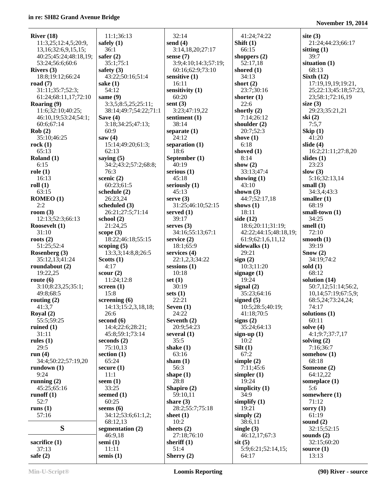| River $(18)$              | 11:1;36:13            | 32:14                | 41:24;74:22           | site $(3)$                    |
|---------------------------|-----------------------|----------------------|-----------------------|-------------------------------|
| 11:3,25;12:4,5;20:9,      | safely $(1)$          | send $(4)$           | Shift $(1)$           | 21:24;44:23;66:17             |
| 13, 16; 32: 6, 9, 15, 15; | 36:1                  | 3:14,18,20;27:17     | 66:15                 | sitting $(1)$                 |
| 40:25;45:24;48:18,19;     | safer $(2)$           | sense $(7)$          | shoppers $(2)$        | 39:7                          |
| 53:24;56:6;60:6           | 35:1:75:1             | 3:9;4:10;14:3;57:19; | 52:17,18              | situation (1)                 |
| Rivers (3)                | safety $(3)$          | 60:16;62:9;73:10     | shored $(1)$          | 68:13                         |
| 18:8;19:12;66:24          | 43:22;50:16;51:4      | sensitive (1)        | 34:13                 | Sixth $(12)$                  |
|                           |                       |                      |                       |                               |
| road $(7)$                | sake $(1)$            | 16:11                | short $(2)$           | 17:19,19,19;19:21,            |
| 31:11;35:7;52:3;          | 54:12                 | sensitivity $(1)$    | 23:7;30:16            | 25;22:13;45:18;57:23,         |
| 61:24;68:11,17;72:10      | same (9)              | 60:20                | shorter $(1)$         | 23;58:1;72:16,19              |
| Roaring (9)               | 3:3,5;8:5,25;25:11;   | sent $(3)$           | 22:6                  | size $(3)$                    |
| 11:6;32:10;40:25;         | 38:14;49:7;54:22;71:1 | 3:23;47:19,22        | shortly $(2)$         | 29:23;35:21,21                |
| 46:10,19;53:24;54:1;      | Save $(4)$            | sentiment (1)        | 7:14;26:12            | ski(2)                        |
| 60:6;67:14                | 3:18;34:25;47:13;     | 38:14                | shoulder $(2)$        | 7:5,7                         |
| Rob(2)                    | 60:9                  | separate $(1)$       | 20:7;52:3             | $\mathrm{Skip}\left(1\right)$ |
|                           |                       |                      |                       |                               |
| 35:10;46:25               | saw $(4)$             | 24:12                | shove $(1)$           | 41:20                         |
| rock(1)                   | 15:14;49:20;61:3;     | separation $(1)$     | 6:18                  | slide $(4)$                   |
| 65:13                     | 62:13                 | 18:6                 | shoved (1)            | 16:2;21:11;27:8,20            |
| Roland $(1)$              | saying $(5)$          | September (1)        | 8:14                  | slides $(1)$                  |
| 6:15                      | 34:2;43:2;57:2;68:8;  | 40:19                | show $(2)$            | 23:23                         |
| role(1)                   | 76:3                  | serious $(1)$        | 33:13;47:4            | slow $(3)$                    |
| 16:13                     | scenic $(2)$          | 45:18                | showing $(1)$         | 5:16;32:13,14                 |
| roll(1)                   | 60:23;61:5            | seriously $(1)$      | 43:10                 | small $(3)$                   |
|                           |                       |                      |                       |                               |
| 63:15                     | schedule $(2)$        | 45:13                | shown $(3)$           | 34:3,4;43:3                   |
| ROMEO (1)                 | 26:23,24              | serve $(3)$          | 44:7;52:17,18         | smaller $(1)$                 |
| 2:2                       | scheduled (3)         | 31:25;46:10;52:15    | shows $(1)$           | 68:19                         |
| room $(3)$                | 26:21;27:5;71:14      | served $(1)$         | 18:11                 | small-town $(1)$              |
| 12:13;52:3;66:13          | school $(2)$          | 39:17                | side $(12)$           | 34:25                         |
| Roosevelt (1)             | 21:24,25              | serves $(3)$         | 18:6;20:11;31:19;     | smell $(1)$                   |
| 31:10                     | scope $(3)$           | 34:16;55:13;67:1     | 42:22;44:15;48:18,19; | 72:10                         |
| roots $(2)$               | 18:22;46:18;55:15     | service $(2)$        | 61:9;62:1,6,11,12     | smooth $(1)$                  |
|                           |                       |                      |                       | 39:19                         |
| 51:25;52:4                | scoping $(5)$         | 18:1;65:9            | sidewalks (1)         |                               |
| Rosenberg (3)             | 13:3,3;14:8,8;26:5    | services $(4)$       | 29:21                 | Show (2)                      |
| 35:12,13;41:24            | Scotts $(1)$          | 22:1,2,3;34:22       | sign(2)               | 34:19;74:2                    |
| roundabout (2)            | 4:17                  | sessions $(1)$       | 10:3;11:20            | sold $(1)$                    |
| 19:22,25                  | scour $(2)$           | 10:18                | signage $(1)$         | 68:12                         |
| route $(6)$               | 11:24;12:8            | set $(1)$            | 19:24                 | solution (14)                 |
| 3:10;8:23,25;35:1;        | screen $(1)$          | 30:19                | signal $(2)$          | 50:7,12;51:14;56:2,           |
| 49:8;68:5                 | 15:8                  | sets $(1)$           | 35:23:64:16           | 10,14;57:19;67:5,9;           |
| routing $(2)$             | screening $(6)$       | 22:21                | signed $(5)$          | 68:5,24;73:24,24;             |
|                           |                       |                      |                       |                               |
| 41:3,7                    | 14:13;15:2,3,18,18;   | Seven $(1)$          | 10:5;28:5;40:19;      | 74:17                         |
| Royal $(2)$               | 26:6                  | 24:22                | 41:18;70:5            | solutions $(1)$               |
| 55:5;59:25                | second $(6)$          | Seventh (2)          | signs $(2)$           | 60:11                         |
| ruined $(1)$              | 14:4;22:6;28:21;      | 20:9;54:23           | 35:24;64:13           | solve $(4)$                   |
| 31:11                     | 45:8;59:1;73:14       | several $(1)$        | sign-up $(1)$         | 4:1;9:7;37:7,17               |
| rules $(1)$               | seconds $(2)$         | 35:5                 | 10:2                  | solving $(2)$                 |
| 29:5                      | 75:10,13              | shake $(1)$          | Silt(1)               | 7:16;36:7                     |
| run $(4)$                 | section $(1)$         | 63:16                | 67:2                  | somehow (1)                   |
| 34:4;50:22;57:19,20       | 65:24                 | sham $(1)$           | simple $(2)$          | 68:18                         |
|                           |                       |                      |                       |                               |
| rundown $(1)$             | secure $(1)$          | 56:3                 | 7:11;45:6             | Someone (2)                   |
| 9:24                      | 11:1                  | shape $(1)$          | simpler $(1)$         | 64:12,22                      |
| running $(2)$             | seem $(1)$            | 28:8                 | 19:24                 | someplace $(1)$               |
| 45:25;65:16               | 33:25                 | Shapiro (2)          | simplicity $(1)$      | 5:6                           |
| runoff $(1)$              | seemed $(1)$          | 59:10,11             | 34:9                  | somewhere (1)                 |
| 52:7                      | 60:25                 | share $(3)$          | simplify $(1)$        | 71:12                         |
| runs $(1)$                | seems $(6)$           | 28:2;55:7;75:18      | 19:21                 | sorry $(1)$                   |
| 57:16                     | 34:12;53:6;61:1,2;    | sheet $(1)$          | simply $(2)$          | 61:19                         |
|                           | 68:12,13              | 10:2                 | 38:6,11               | sound $(2)$                   |
|                           |                       |                      |                       |                               |
| S                         | segmentation $(2)$    | sheets $(2)$         | single $(3)$          | 32:15;52:15                   |
|                           | 46:9,18               | 27:18;76:10          | 46:12,17;67:3         | sounds $(2)$                  |
| sacrifice (1)             | semi $(1)$            | sheriff $(1)$        | $s$ it $(5)$          | 32:15;60:20                   |
| 37:13                     | 11:11                 | 51:4                 | 5:9;6:21;52:14,15;    | source $(1)$                  |
| safe $(2)$                | semis $(1)$           | Sherry $(2)$         | 64:17                 | 13:13                         |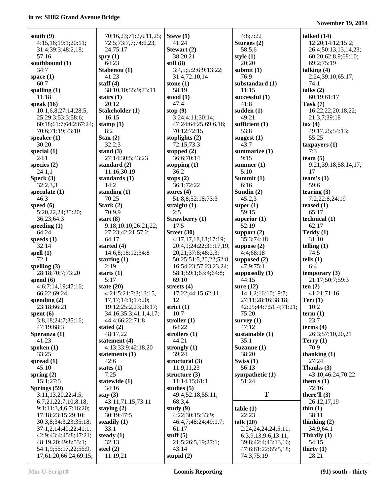| south $(9)$                                | 70:16,23;71:2,6,11,25;                         | Steve $(1)$                         | 4:8;7:22                                 | talked $(14)$                      |
|--------------------------------------------|------------------------------------------------|-------------------------------------|------------------------------------------|------------------------------------|
| 4:15,16;19:1;20:11;                        | 72:5;73:7,7;74:6,23,                           | 41:24                               | Sturges (2)                              | 12:20;14:12;15:2;                  |
| 31:4;39:3;48:2,18;                         | 24;75:17                                       | Stewart (2)                         | 58:5,6                                   | 26:4;50:13,13,14,23;               |
| 57:16                                      | spry $(1)$                                     | 38:20,21                            | style $(1)$                              | 60:20;62:8,9;68:10;                |
| southbound (1)                             | 64:23                                          | still $(8)$                         | 20:20                                    | 69:2;75:19                         |
| 34:7                                       | Stabenou (1)                                   | 3:4,5;5:2;6:9;13:22;                | submit $(1)$                             | talking $(4)$                      |
| space $(1)$                                | 41:23                                          | 31:4;72:10,14                       | 76:9                                     | 2:24;39:10;65:17;                  |
| 60:7                                       | staff $(4)$                                    | stone $(1)$                         | substandard (1)                          | 74:1                               |
| spalling $(1)$                             | 38:10,10;55:9;73:11                            | 58:19                               | 11:15                                    | talks $(2)$                        |
| 11:18                                      | stairs $(1)$                                   | stood $(1)$                         | successful $(1)$                         | 60:19;61:17                        |
| speak $(16)$                               | 20:12                                          | 47:4                                | 41:8                                     | Task $(7)$                         |
| 10:1,6,8;27:14;28:5,<br>25;29:3;53:3;58:6; | Stakeholder (1)<br>16:15                       | stop $(9)$<br>3:24;4:11;30:14;      | sudden $(1)$<br>49:21                    | 16:22,22;20:18,22;<br>21:3,7;39:18 |
| 60:18;61:7;64:2;67:24;                     | stamp $(1)$                                    | 47:24;64:25;69:6,16;                | sufficient (1)                           | tax(4)                             |
| 70:6;71:19;73:10                           | 8:2                                            | 70:12;72:15                         | 53:8                                     | 49:17,25;54:13;                    |
| speaker $(1)$                              | Stan $(2)$                                     | stoplights $(2)$                    | suggest $(1)$                            | 55:25                              |
| 30:20                                      | 32:2,3                                         | 72:15;73:3                          | 43:7                                     | $t$ axpayers $(1)$                 |
| special $(1)$                              | stand $(3)$                                    | stopped $(2)$                       | summarize (1)                            | 7:3                                |
| 24:1                                       | 27:14;30:5;43:23                               | 36:6;70:14                          | 9:15                                     | team $(5)$                         |
| species $(2)$                              | standard $(2)$                                 | stopping $(1)$                      | summer $(1)$                             | 9:21;39:18;58:14,17,               |
| 24:1,1                                     | 11:16;30:19                                    | 36:2                                | 5:10                                     | 17                                 |
| Speck(3)                                   | standards (1)                                  | stops $(2)$                         | Summit (1)                               | team's $(1)$                       |
| 32:2,3,3                                   | 14:2                                           | 36:1;72:22                          | 6:16                                     | 59:6                               |
| speculate $(1)$                            | standing $(1)$                                 | stores $(4)$                        | Sundin $(2)$                             | tearing $(3)$                      |
| 46:3<br>speed $(6)$                        | 70:25<br>Stark $(2)$                           | 51:8,8;52:18;73:3<br>straight $(1)$ | 45:2,3                                   | 7:2;22:8;24:19<br>teased $(1)$     |
| 5:20,22,24;35:20;                          | 70:9,9                                         | 2:5                                 | super $(1)$<br>59:15                     | 65:17                              |
| 36:23;64:3                                 | start $(8)$                                    | <b>Strawberry</b> (1)               | superior $(1)$                           | technical $(1)$                    |
| speeding $(1)$                             | 9:18;10:10;26:21,22;                           | 17:5                                | 52:19                                    | 62:17                              |
| 64:24                                      | 27:23;42:21;57:2;                              | Street $(30)$                       | support $(2)$                            | Teddy(1)                           |
| speeds $(1)$                               | 64:17                                          | 4:17,17,18,18;17:19;                | 35:3;74:18                               | 31:10                              |
| 32:14                                      | started $(4)$                                  | 20:4,9;24:22;31:17,19,              | suppose $(2)$                            | telling $(1)$                      |
| spell $(1)$                                | 14:6,8;18:12;34:8                              | 20,21;37:8;48:2,3;                  | 4:4:68:18                                | 74:5                               |
| 72:1                                       | starting $(1)$                                 | 50:25;51:5,20,22;52:8,              | supposed $(2)$                           | tells $(1)$                        |
| spelling $(3)$                             | 2:19                                           | 16;54:23;57:23,23,24;               | 47:9;75:1                                | 6:4                                |
| 28:18;70:7;73:20                           | starts $(1)$                                   | 58:1;59:1;63:4;64:8;                | supposedly $(1)$                         | temporary $(3)$                    |
| spend $(6)$                                | 5:17                                           | 69:10                               | 44:15                                    | 21:17:50:7:59:3                    |
| 4:6;7:14,19;47:16;                         | state $(20)$                                   | streets $(4)$                       | sure $(12)$                              | ten(2)                             |
| 66:22;69:24<br>spending $(2)$              | 4:21;5:21;7:3;13:15,<br>17, 17; 14: 1; 17: 20; | 17:22;44:15;62:11,<br>12            | 14:1,2;16:10;19:7;<br>27:11;28:16;38:18; | 41:21;71:16<br>Teri $(1)$          |
| 23:18;66:21                                | 19:12;25:2,23;28:17;                           | strict $(1)$                        | 42:25;44:7;51:4;71:21;                   | 10:2                               |
| spent $(6)$                                | 34:16;35:3;41:1,4,17;                          | 10:7                                | 75:20                                    | term(1)                            |
| 3:8,18;24:7;35:16;                         | 44:4;66:22;71:8                                | stroller $(1)$                      | survey $(1)$                             | 23:7                               |
| 47:19;68:3                                 | stated $(2)$                                   | 64:22                               | 47:12                                    | terms $(4)$                        |
| Speranza (1)                               | 48:17,22                                       | strollers $(1)$                     | sustainable (1)                          | 26:3;57:10,20,21                   |
| 41:23                                      | statement (4)                                  | 44:21                               | 35:1                                     | Terry $(1)$                        |
| spoken $(1)$                               | 4:13;33:9;42:18,20                             | strongly $(1)$                      | Suzanne (1)                              | 70:9                               |
| 33:25                                      | statements $(1)$                               | 39:24                               | 38:20                                    | thanking $(1)$                     |
| spread $(1)$                               | 42:6                                           | structural (3)                      | Swiss $(1)$                              | 27:24                              |
| 45:10                                      | states $(1)$                                   | 11:9,11,23                          | 56:13                                    | Thanks (3)                         |
| spring $(2)$                               | 7:25                                           | structure $(3)$                     | sympathetic $(1)$                        | 43:10;46:24;70:22                  |
| 15:1;27:5<br>Springs (59)                  | statewide (1)<br>34:16                         | 11:14,15;61:1<br>studies $(5)$      | 51:24                                    | them's $(1)$<br>72:16              |
| 3:11,13,20,22;4:5;                         | stay $(3)$                                     | 49:4;52:18;55:11;                   | T                                        | there'll $(3)$                     |
| 6:7,21,22;7:10;8:18;                       | 43:11;71:15;73:11                              | 68:3,4                              |                                          | 26:12,17,19                        |
| 9:1;11:3,4,6,7;16:20;                      | staying $(2)$                                  | study $(9)$                         | table(1)                                 | thin $(1)$                         |
| 17:18;23:15;29:10;                         | 30:19:47:5                                     | 4:22;30:15;33:9;                    | 22:23                                    | 38:11                              |
| 30:3,8;34:3,23;35:18;                      | steadily $(1)$                                 | 46:4,7;48:24;49:1,7;                | talk $(20)$                              | thinking $(2)$                     |
| 37:1,2,14;40:22;41:1;                      | 33:1                                           | 61:17                               | 2:24,24,24,24;5:11;                      | 34:9;64:1                          |
| 42:9;43:4;45:8;47:21;                      | steady $(1)$                                   | stuff $(5)$                         | 6:3,9,13;9:6;13:11;                      | Thirdly (1)                        |
| 48:19,20;49:8;53:1;                        | 32:13                                          | 21:5;26:5,19;27:1;                  | 39:8;42:4;43:13,16;                      | 54:15                              |
| 54:1,9;55:17,22;56:9,                      | steel $(2)$                                    | 43:14                               | 47:6;61:22;65:5,18;                      | thirty $(1)$                       |
| 17;61:20;66:24;69:15;                      | 11:19,21                                       | stupid $(2)$                        | 74:3;75:19                               | 28:21                              |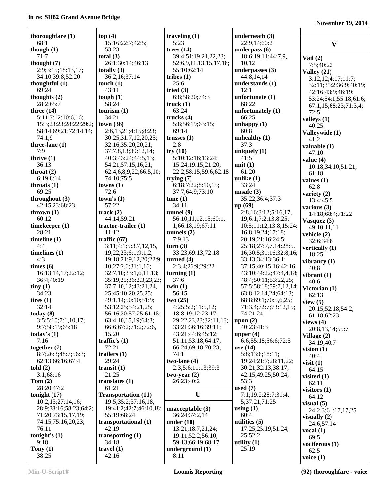| thoroughfare $(1)$<br>68:1   | top(4)<br>15:16;22:7;42:5;    | traveling $(1)$<br>5:23           | underneath (3)<br>22:9,14;60:2                  |                            |
|------------------------------|-------------------------------|-----------------------------------|-------------------------------------------------|----------------------------|
| though $(1)$                 | 53:23                         | trees $(14)$                      | underpass (6)                                   | $\mathbf{V}$               |
| 71:7                         | total $(3)$                   | 39:4;51:19,21,22,23;              | 18:6;19:11;44:7,9,                              |                            |
| thought $(7)$                | 26:1;30:14;46:13              | 52:6,9,11,13,15,17,18;            | 10,12                                           | Vail $(2)$                 |
| 2:9;3:15;18:13,17;           | totally $(3)$                 | 55:10;62:14                       | underpasses (3)                                 | 7:5;40:22<br>Valley $(21)$ |
| 34:10;39:8;52:20             | 36:2,16;37:14                 | tribes $(1)$                      | 44:8,14,14                                      | 3:12,12;4:17;11:7;         |
| thoughtful $(1)$             | touch $(1)$                   | 25:6                              | understands (1)                                 | 32:11;35:2;36:9;40:19;     |
| 69:24                        | 43:11                         | tried $(3)$                       | 12:1                                            | 42:16;43:9;46:19;          |
| thoughts (2)                 | tough $(1)$                   | 6:8;58:20;74:3                    | unfortunate $(1)$                               | 53:24;54:1;55:18;61:6;     |
| 28:2;65:7                    | 58:24                         | truek(1)                          | 68:22                                           | 67:1,15;68:23;71:3,4;      |
| three $(14)$                 | tourism $(1)$                 | 63:24                             | unfortunately (1)                               | 72:5                       |
| 5:11;7:12;10:6,16;           | 34:21                         | trucks $(4)$                      | 66:25                                           | valleys $(1)$              |
| 15:3;23:23;28:22;29:2;       | town(36)                      | 5:8;56:19;63:15;                  | unhappy(1)                                      | 40:25                      |
| 58:14;69:21;72:14,14;        | 2:6,13,21;4:15;8:23;          | 69:14                             | 60:8                                            | Valleywide (1)             |
| 74:1,9                       | 30:25;31:7,12,20,25;          | trusses $(1)$                     | unhealthy $(1)$                                 | 41:2                       |
| three-lane (1)               | 32:16;35:20,20,21;            | 2:8                               | 37:3                                            | valuable (1)               |
| 7:9                          | 37:7,8,13;39:12,14;           | try(10)                           | uniquely $(1)$                                  | 47:10                      |
| thrive $(1)$                 | 40:3;43:24;44:5,13;           | 5:10;12:16;13:24;                 | 41:5                                            | value $(4)$                |
| 36:13                        | 54:21;57:15,16,21;            | 15:24;19:15;21:20;                | unit $(1)$                                      | 10:18;34:10;51:21;         |
| throat $(2)$                 | 62:4,6,8,9,22;66:5,10;        | 22:2;58:15;59:6;62:18             | 61:20                                           | 61:18                      |
| 6:19;8:14                    | 74:10;75:5                    | trying $(7)$                      | unlike $(1)$                                    | values $(1)$               |
| throats $(1)$                | towns(1)                      | 6:18;7:22;8:10,15;                | 33:24                                           | 62:8                       |
| 69:25                        | 72:6                          | 37:7;64:9;73:10                   | unsafe $(3)$                                    | variety $(2)$              |
| throughout (3)               | town's $(1)$                  | tune(1)                           | 35:22;36:4;37:3                                 | 13:4;45:5                  |
| 42:15,23;68:23               | 57:22                         | 34:11                             | up(69)                                          | various $(3)$              |
| thrown $(1)$                 | track(2)                      | tunnel $(9)$                      | 2:8,16;3:12;5:16,17,                            | 14:18;68:4;71:22           |
| 60:12                        | 44:14;59:21                   | 56:10,11,12,15;60:1,              | 19;6:1;7:2,13;8:25;                             | Vasquez $(3)$              |
| timekeeper (1)<br>28:21      | $tractor-trailer(1)$<br>11:12 | 1;66:18,19;67:11<br>tunnels $(2)$ | 10:5;11:12;13:8;15:24;<br>16:8, 19, 24; 17: 18; | 49:10,11,11                |
| timeline $(1)$               | traffic $(67)$                | 7:9,13                            | 20:19;21:16;24:5;                               | vehicle (2)                |
| 4:4                          | 3:11;4:1;5:3,7,12,15,         | turn(3)                           | 25:18;27:7,7,14;28:5,                           | 32:6;34:8                  |
| timelines $(1)$              | 19,22,23;6:1;9:1,2;           | 33:23;69:13;72:18                 | 16;30:5;31:16;32:8,16;                          | vertically $(1)$           |
| 4:3                          | 19:18;21:9,12,20;22:9,        | turned $(4)$                      | 33:13;34:13;36:1;                               | 18:25                      |
| times (6)                    | 10;27:2,6;31:1,16;            | 2:3,4;26:9;29:22                  | 37:15;40:15,16;42:16;                           | vibrancy $(1)$             |
| 16:13,14,17;22:12;           | 32:7,10;33:1,6,11,13;         | turning $(1)$                     | 43:10;44:22;47:4,4,18;                          | 40:8                       |
| 36:4;40:19                   | 35:19,25;36:2,3,23,23;        | 37:6                              | 48:4;50:11;53:22,25;                            | vibrant $(1)$<br>40:6      |
| tiny(1)                      | 37:7,10,12;43:21,24,          | twin $(1)$                        | 57:5;58:18;59:7,12,14;                          | Victorian (1)              |
| 34:23                        | 25;45:10,20,25,25;            | 56:15                             | 63:8, 12, 14, 24; 64: 13;                       | 62:13                      |
| tires $(1)$                  | 49:1,14;50:10;51:9;           | two(25)                           | 68:8;69:1;70:5,6,25;                            | view $(5)$                 |
| 32:14                        | 53:12,25:54:21,25:            | 4:25:5:2:11:5.12                  | 71:3,4;72:7;73:12,15;                           | 20:15;52:18;54:2;          |
| today $(8)$                  | 56:16,20;57:25;61:15;         | 18:8;19:12;23:17;                 | 74:21,24                                        | 61:18;62:23                |
| 3:5;5:10;7:1,10,17;          | 63:4, 10, 15, 19; 64: 3;      | 29:22,23,23;32:11,13;             | upon $(2)$                                      | views $(4)$                |
| 9:7;58:19;65:18              | 66:6;67:2;71:2;72:6,          | 33:21;36:16;39:11;                | 40:23;41:3                                      | 20:8,13,14;55:7            |
| today's $(1)$                | 15,20                         | 43:21;44:6;45:12;                 | upper $(4)$                                     | Village (2)                |
| 7:16                         | traffic's $(1)$               | 51:11;53:18;64:17;                | 6:6;55:18;56:6;72:5                             | 34:19:40:7                 |
| together $(7)$               | 72:21                         | 66:24;69:18;70:23;                | use $(14)$                                      | vision $(1)$               |
| 8:7:26:3:48:7:56:3;          | trailers $(1)$                | 74:1                              | 5:8;13:6;18:11;                                 | 40:4                       |
| 62:13;66:16;67:4             | 29:24                         | $two$ -lane $(4)$                 | 19:24;21:7;28:11,22;                            | visit $(1)$                |
| told(2)                      | transit $(1)$                 | 2:3;5:6;11:13;39:3                | 30:21;32:13;38:17;                              | 64:15                      |
| 3:1;68:16                    | 21:25                         | two-year $(2)$                    | 42:15;49:25;50:24;                              | visited $(1)$              |
| Tom $(2)$                    | translates (1)<br>61:21       | 26:23;40:2                        | 53:3<br>used $(7)$                              | 62:11                      |
| 28:20;47:2<br>tonight $(17)$ | <b>Transportation (11)</b>    | U                                 | 7:1;19:2;28:7;31:4,                             | visitors $(1)$             |
| 10:2,13;27:14,16;            | 19:5;35:2;37:16,18,           |                                   | 5;37:21;71:25                                   | 64:12                      |
| 28:9;38:16;58:23;64:2;       | 19;41:2;42:7;46:10,18;        | unacceptable $(3)$                | using $(1)$                                     | visual $(5)$               |
| 71:20;73:15,17,19;           | 55:19;68:24                   | 36:24;37:2,14                     | 60:4                                            | 24:2,3;61:17,17,25         |
| 74:15;75:16,20,23;           | transportational (1)          | under $(10)$                      | utilities $(5)$                                 | visually $(2)$             |
| 76:11                        | 42:19                         | 13:21;18:7,21,24;                 | 17:25;25:19;51:24,                              | 24:6;57:14                 |
| tonight's $(1)$              | transporting $(1)$            | 19:11;52:2;56:10;                 | 25;52:2                                         | vocal $(1)$<br>69:5        |
| 9:18                         | 34:18                         | 59:13;66:19;68:17                 | utility $(1)$                                   | vociferous $(1)$           |
| Tony $(1)$                   | travel $(1)$                  | underground $(1)$                 | 25:19                                           | 62:5                       |
| 38:25                        | 42:16                         | 8:11                              |                                                 | voice $(1)$                |
|                              |                               |                                   |                                                 |                            |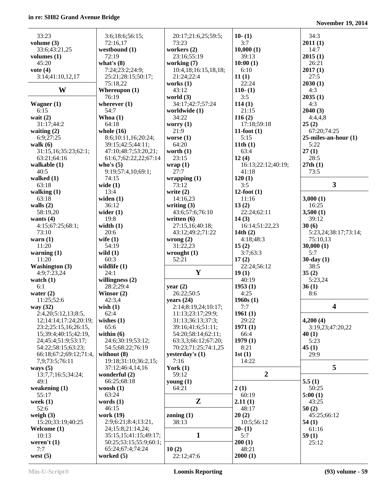| 33:23                    | 3:6;18:6;56:15;                | 20:17;21:6,25;59:5;    | $10-(1)$             | 34:3                      |
|--------------------------|--------------------------------|------------------------|----------------------|---------------------------|
| volume $(3)$             | 72:16,17                       | 73:23                  | 3:7                  | 2011(1)                   |
| 33:6;43:21,25            | westbound (1)                  | workers (2)            | 10,000(1)            | 14:7                      |
| volumes $(1)$            | 72:19                          | 23:16;55:19            | 39:13                | 2015(1)                   |
| 45:20                    | what's $(8)$                   | working (7)            | 10:00(1)             | 26:21                     |
| vote $(4)$               | 7:24;23:2;24:9;                | 10:4,18;16:15,18,18;   | 6:10                 | 2017(1)                   |
| 3:14;41:10,12,17         | 25:21;28:15;50:17;             | 21:24;22:4             | 11(1)                | 27:5                      |
|                          | 75:18,22                       | works $(1)$            | 22:24                | 2030(1)                   |
| W                        | Whereupon $(1)$                | 43:12                  | $110-(1)$            | 4:3                       |
|                          | 76:19                          | world $(3)$            | 3:5                  | 2035(1)                   |
| Wagner $(1)$             | wherever $(1)$                 | 34:17;42:7;57:24       | 114(1)               | 4:3                       |
| 6:15                     | 54:7                           | worldwide (1)          | 21:15                | 2040(3)                   |
| wait $(2)$               | Whoa $(1)$                     | 34:22                  | 116(2)               | 4:4,4,8                   |
| 31:17:44:2               | 64:18                          | worry $(1)$            | 17:18;59:18          | 25(2)                     |
| waiting $(2)$            | whole $(16)$                   | 21:9                   | $11$ -foot $(1)$     | 67:20;74:25               |
| 6:9;27:25                | 8:6;10:11,16;20:24;            | worse $(1)$            | 5:15                 | $25$ -miles-an-hour $(1)$ |
| walk $(6)$               | 39:15;42:5;44:11;              | 64:20                  | 11th(1)              | 5:22                      |
| 31:15,16;35:23;62:1;     | 47:10;48:7;53:20,21;           | worth $(1)$            | 63:4                 | 27(1)                     |
| 63:21;64:16              | 61:6,7;62:22,22;67:14          | 23:15                  | 12(4)                | 28:5                      |
| walkable $(1)$           | who's $(5)$                    | wrap(1)                | 16:13;22:12;40:19;   | 27th(1)                   |
| 40:5                     | 9:19;57:4,10;69:1;<br>74:15    | 27:7                   | 41:18                | 73:5                      |
| walked $(1)$<br>63:18    |                                | wrapping(1)<br>73:12   | 120(1)<br>3:5        | $\mathbf{3}$              |
| walking $(1)$            | wide $(1)$<br>13:4             | write $(2)$            | $12$ -foot $(1)$     |                           |
| 63:18                    | widen $(1)$                    | 14:16,23               | 11:16                | 3,000(1)                  |
| walls $(2)$              | 36:12                          | writing $(3)$          | 13(2)                | 16:25                     |
| 58:19,20                 | wider $(1)$                    | 43:6;57:6;76:10        | 22:24;62:11          | 3,500(1)                  |
| wants $(4)$              | 19:8                           | written $(6)$          | 14(3)                | 39:12                     |
| 4:15;67:25;68:1;         | width $(1)$                    | 27:15,16;40:18;        | 16:14;51:22,23       | 30(6)                     |
| 73:10                    | 20:6                           | 43:12;49:2;71:22       | 14th $(2)$           | 5:23,24;38:17;73:14;      |
| warn $(1)$               | wife $(1)$                     | wrong $(2)$            | 4:18;48:3            | 75:10,13                  |
| 11:20                    | 54:19                          | 31:22,23               | 15(2)                | 30,000(1)                 |
|                          |                                |                        |                      |                           |
|                          |                                |                        |                      |                           |
| warning $(1)$<br>11:20   | wild $(1)$<br>60:3             | wrought $(1)$<br>52:21 | 3:7;63:3             | 5:7                       |
| <b>Washington</b> (3)    | wildlife $(1)$                 |                        | 17(2)<br>22:24;56:12 | $30$ -day $(1)$<br>38:5   |
| 4:9;7:23,24              | 24:1                           | Y                      | 19(1)                | 35(2)                     |
| watch $(1)$              | willingness $(2)$              |                        | 40:19                | 5:23,24                   |
| 6:1                      | 28:2;29:4                      | year $(2)$             | 1953(1)              | 36(1)                     |
| water $(2)$              | Winsor $(2)$                   | 26:22;50:5             | 4:25                 | 8:6                       |
| 11:25;52:6               | 42:3,4                         | years $(24)$           | 1960s(1)             |                           |
| way (32)                 | wish $(1)$                     | 2:14;8:19,24;10:17;    | 7:7                  | 4                         |
| 2:4,20;5:12,13;8:5,      | 62:4                           | 11:13;23:17;29:9;      | 1961(1)              |                           |
| 12;14:14;17:24;20:19;    | wishes $(1)$                   | 31:13;36:13;37:3;      | 29:22                | 4,200(4)                  |
| 23:2;25:15,16;26:15,     | 65:6                           | 39:16;41:6;51:11;      | 1971(1)              | 3:19,23;47:20,22          |
| 15;39:4;40:15;42:19,     | within $(6)$                   | 54:20;58:14;62:11;     | 66:4                 | 40(1)                     |
| 24;45:4;51:9;53:17;      | 24:6;30:19;53:12;              | 63:3,3;66:12;67:20;    | 1979(1)              | 5:23                      |
| 54:22;58:15;63:23;       | 54:5;68:22;76:19               | 70:23;71:25;74:1,25    | 8:21                 | 45(1)                     |
| 66:18;67:2;69:12;71:4,   | without $(8)$                  | yesterday's $(1)$      | 1st(1)               | 29:9                      |
| 7,9;73:5;76:11           | 19:18;31:10;36:2,15;           | 7:16                   | 14:22                |                           |
| ways $(5)$               | 37:12;46:4,14,16               | York $(1)$             |                      | 5                         |
| 13:7,7;16:5;34:24;       | wonderful (2)                  | 59:12                  | $\boldsymbol{2}$     |                           |
| 49:1                     | 66:25;68:18                    | young $(1)$            |                      | 5.5(1)                    |
| weakening $(1)$<br>55:17 | woosh $(1)$<br>63:24           | 64:21                  | 2(1)                 | 50:25                     |
| week $(1)$               | words $(1)$                    | $\mathbf{Z}$           | 60:19<br>2.11(1)     | 5:00(1)<br>43:25          |
| 52:6                     | 46:15                          |                        | 48:17                | 50(2)                     |
| weigh $(3)$              | work (19)                      | zoning $(1)$           | 20(2)                | 45:25;66:12               |
| 15:20;33:19;40:25        | 2:9;6:21;8:4;13:21,            | 38:13                  | 10:5;56:12           | 54(1)                     |
| Welcome (1)              | 24;15:8;21:14,24;              |                        | $20-(1)$             | 61:16                     |
| 10:13                    | 35:15,15;41:15;49:17;          | $\mathbf{1}$           | 5:7                  | 59(1)                     |
| weren't (1)              | 50:25;53:15;55:9;60:1;         |                        | 200(1)               | 25:12                     |
| 7:7<br>west $(5)$        | 65:24;67:4;74:24<br>worked (5) | 10(2)<br>22:12;47:6    | 48:21<br>2000(1)     |                           |